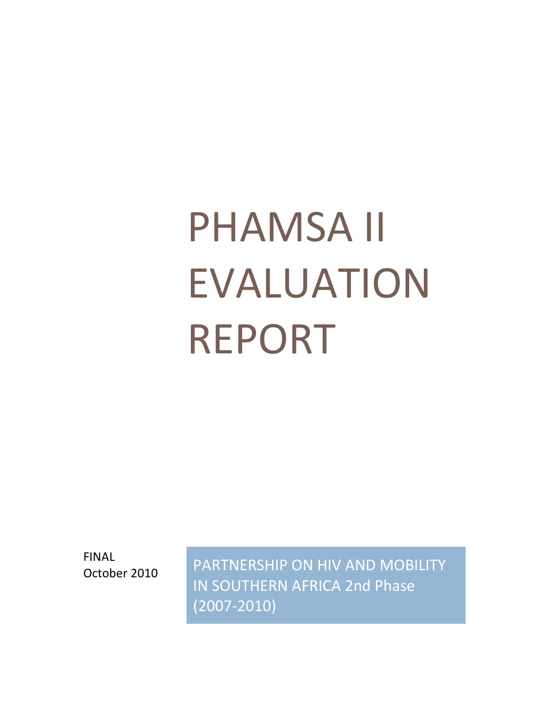# PHAMSA II EVALUATION REPORT

FINAL

FINAL PARTNERSHIP ON HIV AND MOBILITY IN SOUTHERN AFRICA 2nd Phase (2007-2010)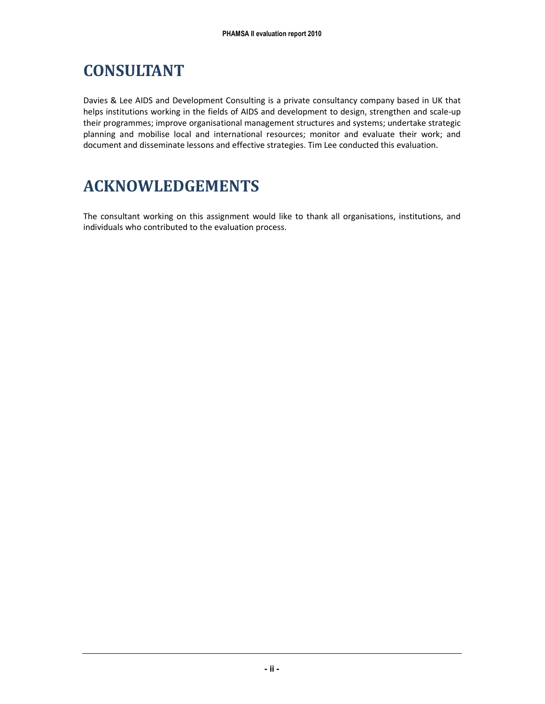# CONSULTANT

Davies & Lee AIDS and Development Consulting is a private consultancy company based in UK that helps institutions working in the fields of AIDS and development to design, strengthen and scale-up their programmes; improve organisational management structures and systems; undertake strategic planning and mobilise local and international resources; monitor and evaluate their work; and document and disseminate lessons and effective strategies. Tim Lee conducted this evaluation.

# ACKNOWLEDGEMENTS

The consultant working on this assignment would like to thank all organisations, institutions, and individuals who contributed to the evaluation process.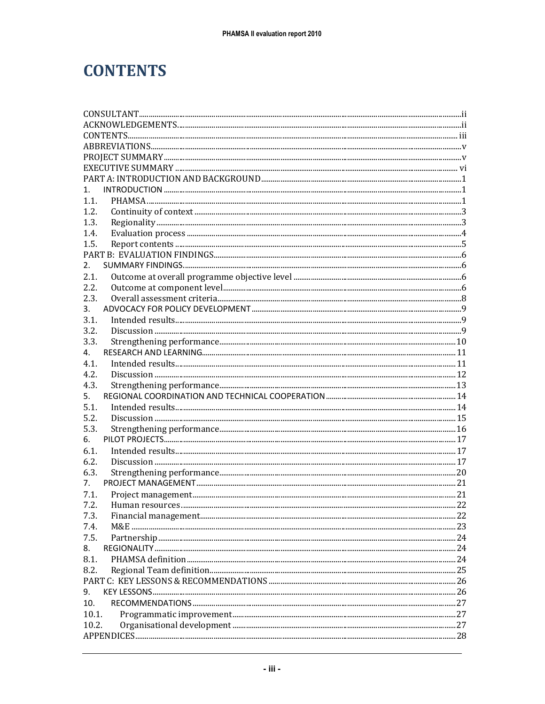# **CONTENTS**

| 1.                     |    |  |
|------------------------|----|--|
| 1.1.                   |    |  |
| 1.2.                   |    |  |
| 1.3.                   |    |  |
| 1.4.                   |    |  |
| 1.5.                   |    |  |
|                        |    |  |
| 2.                     |    |  |
| 2.1.                   |    |  |
| 2.2.                   |    |  |
| 2.3.                   |    |  |
| 3.                     |    |  |
| 3.1.                   |    |  |
| 3.2.                   |    |  |
| 3.3.                   |    |  |
| 4.                     |    |  |
| 4.1.                   |    |  |
| 4.2.                   |    |  |
| 4.3.                   |    |  |
| 5.                     |    |  |
| 5.1.                   |    |  |
| 5.2.                   |    |  |
| 5.3.                   |    |  |
| 6.                     |    |  |
| 6.1.                   |    |  |
| 6.2.                   |    |  |
| 6.3.                   |    |  |
| 7.                     |    |  |
| 7.1.                   |    |  |
| 7.2<br>Human resources | 22 |  |
| 7.3.                   |    |  |
| 7.4.                   |    |  |
| 7.5.                   |    |  |
| 8.                     |    |  |
| 8.1.                   |    |  |
| 8.2.                   |    |  |
|                        |    |  |
| 9.                     |    |  |
| 10.                    |    |  |
| 10.1.                  |    |  |
| 10.2.                  |    |  |
|                        |    |  |
|                        |    |  |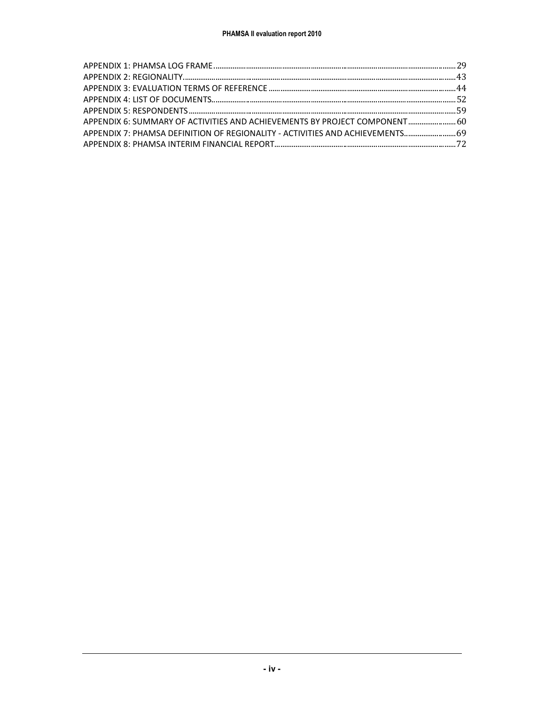| APPENDIX 6: SUMMARY OF ACTIVITIES AND ACHIEVEMENTS BY PROJECT COMPONENT 60    |  |
|-------------------------------------------------------------------------------|--|
| APPENDIX 7: PHAMSA DEFINITION OF REGIONALITY - ACTIVITIES AND ACHIEVEMENTS 69 |  |
|                                                                               |  |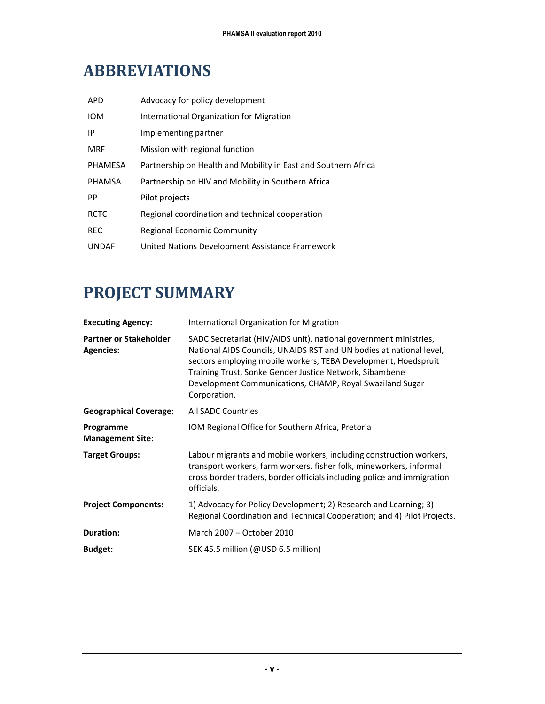# ABBREVIATIONS

| <b>APD</b>     | Advocacy for policy development                                |
|----------------|----------------------------------------------------------------|
| <b>IOM</b>     | International Organization for Migration                       |
| ΙP             | Implementing partner                                           |
| <b>MRF</b>     | Mission with regional function                                 |
| <b>PHAMESA</b> | Partnership on Health and Mobility in East and Southern Africa |
| <b>PHAMSA</b>  | Partnership on HIV and Mobility in Southern Africa             |
| PP             | Pilot projects                                                 |
| <b>RCTC</b>    | Regional coordination and technical cooperation                |
| <b>REC</b>     | Regional Economic Community                                    |
| <b>UNDAF</b>   | United Nations Development Assistance Framework                |

# PROJECT SUMMARY

| <b>Executing Agency:</b>                          | International Organization for Migration                                                                                                                                                                                                                                                                                                          |  |
|---------------------------------------------------|---------------------------------------------------------------------------------------------------------------------------------------------------------------------------------------------------------------------------------------------------------------------------------------------------------------------------------------------------|--|
| <b>Partner or Stakeholder</b><br><b>Agencies:</b> | SADC Secretariat (HIV/AIDS unit), national government ministries,<br>National AIDS Councils, UNAIDS RST and UN bodies at national level,<br>sectors employing mobile workers, TEBA Development, Hoedspruit<br>Training Trust, Sonke Gender Justice Network, Sibambene<br>Development Communications, CHAMP, Royal Swaziland Sugar<br>Corporation. |  |
| <b>Geographical Coverage:</b>                     | <b>All SADC Countries</b>                                                                                                                                                                                                                                                                                                                         |  |
| Programme<br><b>Management Site:</b>              | IOM Regional Office for Southern Africa, Pretoria                                                                                                                                                                                                                                                                                                 |  |
| <b>Target Groups:</b>                             | Labour migrants and mobile workers, including construction workers,<br>transport workers, farm workers, fisher folk, mineworkers, informal<br>cross border traders, border officials including police and immigration<br>officials.                                                                                                               |  |
| <b>Project Components:</b>                        | 1) Advocacy for Policy Development; 2) Research and Learning; 3)<br>Regional Coordination and Technical Cooperation; and 4) Pilot Projects.                                                                                                                                                                                                       |  |
| <b>Duration:</b>                                  | March 2007 - October 2010                                                                                                                                                                                                                                                                                                                         |  |
| <b>Budget:</b>                                    | SEK 45.5 million (@USD 6.5 million)                                                                                                                                                                                                                                                                                                               |  |
|                                                   |                                                                                                                                                                                                                                                                                                                                                   |  |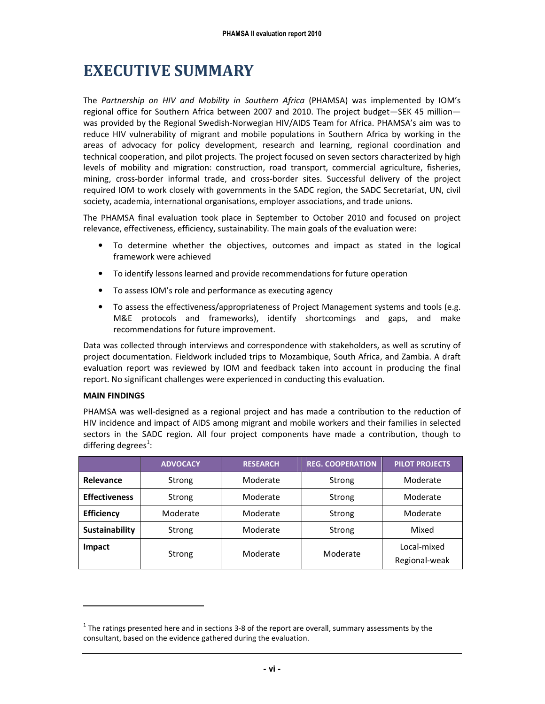# EXECUTIVE SUMMARY

The Partnership on HIV and Mobility in Southern Africa (PHAMSA) was implemented by IOM's regional office for Southern Africa between 2007 and 2010. The project budget—SEK 45 million was provided by the Regional Swedish-Norwegian HIV/AIDS Team for Africa. PHAMSA's aim was to reduce HIV vulnerability of migrant and mobile populations in Southern Africa by working in the areas of advocacy for policy development, research and learning, regional coordination and technical cooperation, and pilot projects. The project focused on seven sectors characterized by high levels of mobility and migration: construction, road transport, commercial agriculture, fisheries, mining, cross-border informal trade, and cross-border sites. Successful delivery of the project required IOM to work closely with governments in the SADC region, the SADC Secretariat, UN, civil society, academia, international organisations, employer associations, and trade unions.

The PHAMSA final evaluation took place in September to October 2010 and focused on project relevance, effectiveness, efficiency, sustainability. The main goals of the evaluation were:

- To determine whether the objectives, outcomes and impact as stated in the logical framework were achieved
- To identify lessons learned and provide recommendations for future operation
- To assess IOM's role and performance as executing agency
- To assess the effectiveness/appropriateness of Project Management systems and tools (e.g. M&E protocols and frameworks), identify shortcomings and gaps, and make recommendations for future improvement.

Data was collected through interviews and correspondence with stakeholders, as well as scrutiny of project documentation. Fieldwork included trips to Mozambique, South Africa, and Zambia. A draft evaluation report was reviewed by IOM and feedback taken into account in producing the final report. No significant challenges were experienced in conducting this evaluation.

#### MAIN FINDINGS

<u>.</u>

PHAMSA was well-designed as a regional project and has made a contribution to the reduction of HIV incidence and impact of AIDS among migrant and mobile workers and their families in selected sectors in the SADC region. All four project components have made a contribution, though to differing degrees<sup>1</sup>:

|                      | <b>ADVOCACY</b> | <b>RESEARCH</b>    | <b>REG. COOPERATION</b> | <b>PILOT PROJECTS</b>        |
|----------------------|-----------------|--------------------|-------------------------|------------------------------|
| Relevance            | Strong          | Moderate           | Strong                  | Moderate                     |
| <b>Effectiveness</b> | Strong          | Moderate<br>Strong |                         | Moderate                     |
| <b>Efficiency</b>    | Moderate        | Moderate           | Strong                  | Moderate                     |
| Sustainability       | Strong          | Moderate<br>Strong |                         | Mixed                        |
| <b>Impact</b>        | Strong          | Moderate           | Moderate                | Local-mixed<br>Regional-weak |

 $^1$  The ratings presented here and in sections 3-8 of the report are overall, summary assessments by the consultant, based on the evidence gathered during the evaluation.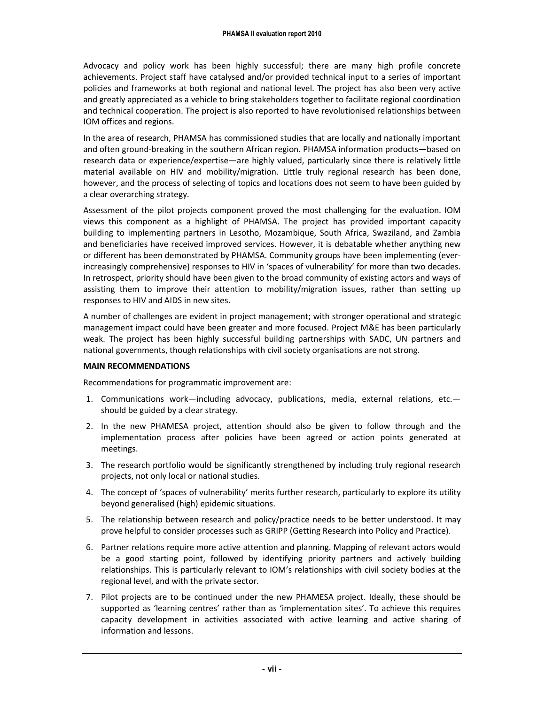Advocacy and policy work has been highly successful; there are many high profile concrete achievements. Project staff have catalysed and/or provided technical input to a series of important policies and frameworks at both regional and national level. The project has also been very active and greatly appreciated as a vehicle to bring stakeholders together to facilitate regional coordination and technical cooperation. The project is also reported to have revolutionised relationships between IOM offices and regions.

In the area of research, PHAMSA has commissioned studies that are locally and nationally important and often ground-breaking in the southern African region. PHAMSA information products—based on research data or experience/expertise—are highly valued, particularly since there is relatively little material available on HIV and mobility/migration. Little truly regional research has been done, however, and the process of selecting of topics and locations does not seem to have been guided by a clear overarching strategy.

Assessment of the pilot projects component proved the most challenging for the evaluation. IOM views this component as a highlight of PHAMSA. The project has provided important capacity building to implementing partners in Lesotho, Mozambique, South Africa, Swaziland, and Zambia and beneficiaries have received improved services. However, it is debatable whether anything new or different has been demonstrated by PHAMSA. Community groups have been implementing (everincreasingly comprehensive) responses to HIV in 'spaces of vulnerability' for more than two decades. In retrospect, priority should have been given to the broad community of existing actors and ways of assisting them to improve their attention to mobility/migration issues, rather than setting up responses to HIV and AIDS in new sites.

A number of challenges are evident in project management; with stronger operational and strategic management impact could have been greater and more focused. Project M&E has been particularly weak. The project has been highly successful building partnerships with SADC, UN partners and national governments, though relationships with civil society organisations are not strong.

#### MAIN RECOMMENDATIONS

Recommendations for programmatic improvement are:

- 1. Communications work—including advocacy, publications, media, external relations, etc. should be guided by a clear strategy.
- 2. In the new PHAMESA project, attention should also be given to follow through and the implementation process after policies have been agreed or action points generated at meetings.
- 3. The research portfolio would be significantly strengthened by including truly regional research projects, not only local or national studies.
- 4. The concept of 'spaces of vulnerability' merits further research, particularly to explore its utility beyond generalised (high) epidemic situations.
- 5. The relationship between research and policy/practice needs to be better understood. It may prove helpful to consider processes such as GRIPP (Getting Research into Policy and Practice).
- 6. Partner relations require more active attention and planning. Mapping of relevant actors would be a good starting point, followed by identifying priority partners and actively building relationships. This is particularly relevant to IOM's relationships with civil society bodies at the regional level, and with the private sector.
- 7. Pilot projects are to be continued under the new PHAMESA project. Ideally, these should be supported as 'learning centres' rather than as 'implementation sites'. To achieve this requires capacity development in activities associated with active learning and active sharing of information and lessons.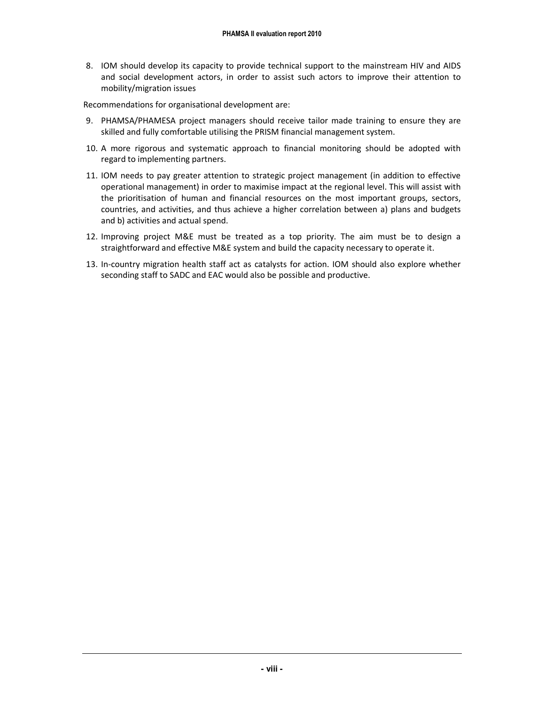8. IOM should develop its capacity to provide technical support to the mainstream HIV and AIDS and social development actors, in order to assist such actors to improve their attention to mobility/migration issues

Recommendations for organisational development are:

- 9. PHAMSA/PHAMESA project managers should receive tailor made training to ensure they are skilled and fully comfortable utilising the PRISM financial management system.
- 10. A more rigorous and systematic approach to financial monitoring should be adopted with regard to implementing partners.
- 11. IOM needs to pay greater attention to strategic project management (in addition to effective operational management) in order to maximise impact at the regional level. This will assist with the prioritisation of human and financial resources on the most important groups, sectors, countries, and activities, and thus achieve a higher correlation between a) plans and budgets and b) activities and actual spend.
- 12. Improving project M&E must be treated as a top priority. The aim must be to design a straightforward and effective M&E system and build the capacity necessary to operate it.
- 13. In-country migration health staff act as catalysts for action. IOM should also explore whether seconding staff to SADC and EAC would also be possible and productive.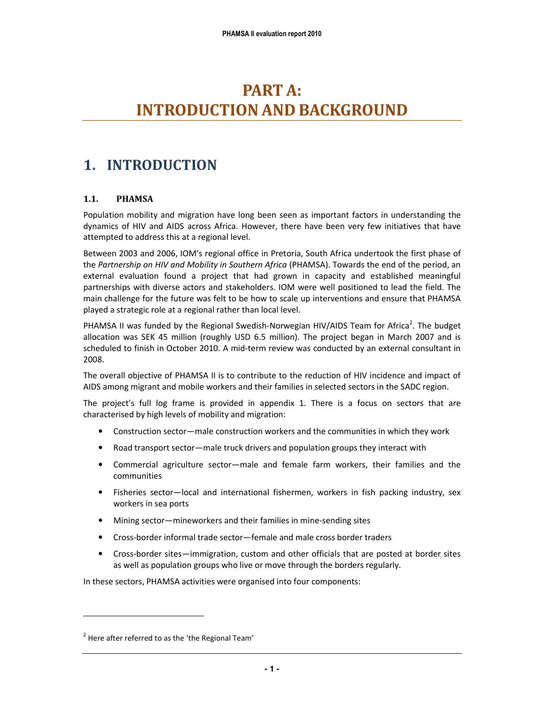# PART A: INTRODUCTION AND BACKGROUND

### 1. INTRODUCTION

#### 1.1. PHAMSA

Population mobility and migration have long been seen as important factors in understanding the dynamics of HIV and AIDS across Africa. However, there have been very few initiatives that have attempted to address this at a regional level.

Between 2003 and 2006, IOM's regional office in Pretoria, South Africa undertook the first phase of the Partnership on HIV and Mobility in Southern Africa (PHAMSA). Towards the end of the period, an external evaluation found a project that had grown in capacity and established meaningful partnerships with diverse actors and stakeholders. IOM were well positioned to lead the field. The main challenge for the future was felt to be how to scale up interventions and ensure that PHAMSA played a strategic role at a regional rather than local level.

PHAMSA II was funded by the Regional Swedish-Norwegian HIV/AIDS Team for Africa<sup>2</sup>. The budget allocation was SEK 45 million (roughly USD 6.5 million). The project began in March 2007 and is scheduled to finish in October 2010. A mid-term review was conducted by an external consultant in 2008.

The overall objective of PHAMSA II is to contribute to the reduction of HIV incidence and impact of AIDS among migrant and mobile workers and their families in selected sectors in the SADC region.

The project's full log frame is provided in appendix 1. There is a focus on sectors that are characterised by high levels of mobility and migration:

- Construction sector—male construction workers and the communities in which they work
- Road transport sector—male truck drivers and population groups they interact with
- Commercial agriculture sector—male and female farm workers, their families and the communities
- Fisheries sector—local and international fishermen, workers in fish packing industry, sex workers in sea ports
- Mining sector—mineworkers and their families in mine-sending sites
- Cross-border informal trade sector—female and male cross border traders
- Cross-border sites—immigration, custom and other officials that are posted at border sites as well as population groups who live or move through the borders regularly.

In these sectors, PHAMSA activities were organised into four components:

-

 $2$  Here after referred to as the 'the Regional Team'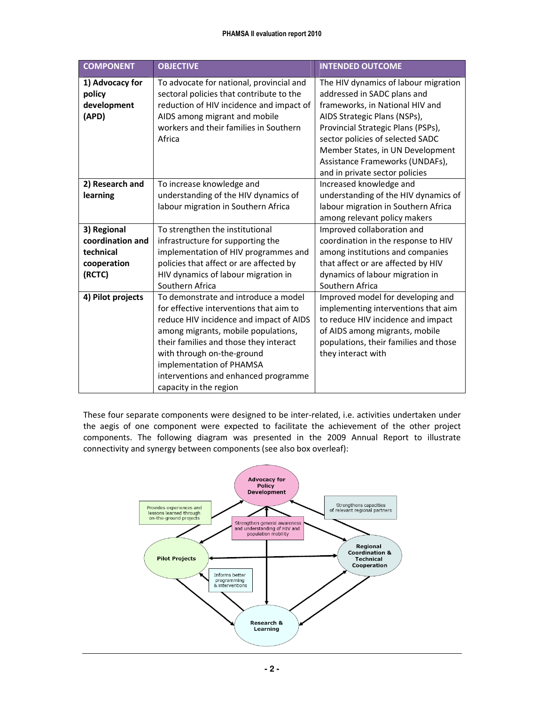| <b>COMPONENT</b>                                                      | <b>OBJECTIVE</b>                                                                                                                                                                                                                                                                                                                        | <b>INTENDED OUTCOME</b>                                                                                                                                                                                                                                                                                                   |
|-----------------------------------------------------------------------|-----------------------------------------------------------------------------------------------------------------------------------------------------------------------------------------------------------------------------------------------------------------------------------------------------------------------------------------|---------------------------------------------------------------------------------------------------------------------------------------------------------------------------------------------------------------------------------------------------------------------------------------------------------------------------|
| 1) Advocacy for<br>policy<br>development<br>(APD)                     | To advocate for national, provincial and<br>sectoral policies that contribute to the<br>reduction of HIV incidence and impact of<br>AIDS among migrant and mobile<br>workers and their families in Southern<br>Africa                                                                                                                   | The HIV dynamics of labour migration<br>addressed in SADC plans and<br>frameworks, in National HIV and<br>AIDS Strategic Plans (NSPs),<br>Provincial Strategic Plans (PSPs),<br>sector policies of selected SADC<br>Member States, in UN Development<br>Assistance Frameworks (UNDAFs),<br>and in private sector policies |
| 2) Research and<br>learning                                           | To increase knowledge and<br>understanding of the HIV dynamics of<br>labour migration in Southern Africa                                                                                                                                                                                                                                | Increased knowledge and<br>understanding of the HIV dynamics of<br>labour migration in Southern Africa<br>among relevant policy makers                                                                                                                                                                                    |
| 3) Regional<br>coordination and<br>technical<br>cooperation<br>(RCTC) | To strengthen the institutional<br>infrastructure for supporting the<br>implementation of HIV programmes and<br>policies that affect or are affected by<br>HIV dynamics of labour migration in<br>Southern Africa                                                                                                                       | Improved collaboration and<br>coordination in the response to HIV<br>among institutions and companies<br>that affect or are affected by HIV<br>dynamics of labour migration in<br>Southern Africa                                                                                                                         |
| 4) Pilot projects                                                     | To demonstrate and introduce a model<br>for effective interventions that aim to<br>reduce HIV incidence and impact of AIDS<br>among migrants, mobile populations,<br>their families and those they interact<br>with through on-the-ground<br>implementation of PHAMSA<br>interventions and enhanced programme<br>capacity in the region | Improved model for developing and<br>implementing interventions that aim<br>to reduce HIV incidence and impact<br>of AIDS among migrants, mobile<br>populations, their families and those<br>they interact with                                                                                                           |

These four separate components were designed to be inter-related, i.e. activities undertaken under the aegis of one component were expected to facilitate the achievement of the other project components. The following diagram was presented in the 2009 Annual Report to illustrate connectivity and synergy between components (see also box overleaf):

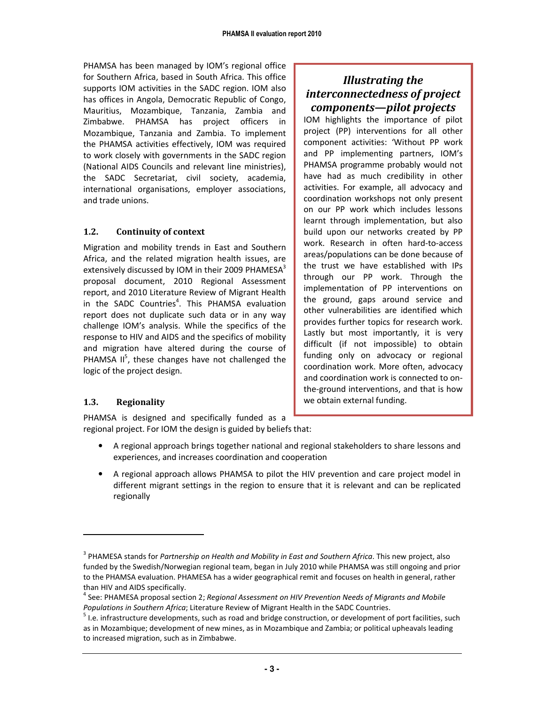PHAMSA has been managed by IOM's regional office for Southern Africa, based in South Africa. This office supports IOM activities in the SADC region. IOM also has offices in Angola, Democratic Republic of Congo, Mauritius, Mozambique, Tanzania, Zambia and Zimbabwe. PHAMSA has project officers in Mozambique, Tanzania and Zambia. To implement the PHAMSA activities effectively, IOM was required to work closely with governments in the SADC region (National AIDS Councils and relevant line ministries), the SADC Secretariat, civil society, academia, international organisations, employer associations, and trade unions.

#### 1.2. Continuity of context

Migration and mobility trends in East and Southern Africa, and the related migration health issues, are extensively discussed by IOM in their 2009 PHAMESA $3$ proposal document, 2010 Regional Assessment report, and 2010 Literature Review of Migrant Health in the SADC Countries<sup>4</sup>. This PHAMSA evaluation report does not duplicate such data or in any way challenge IOM's analysis. While the specifics of the response to HIV and AIDS and the specifics of mobility and migration have altered during the course of PHAMSA  $II^5$ , these changes have not challenged the logic of the project design.

#### Illustrating the interconnectedness of project components—pilot projects

IOM highlights the importance of pilot project (PP) interventions for all other component activities: 'Without PP work and PP implementing partners, IOM's PHAMSA programme probably would not have had as much credibility in other activities. For example, all advocacy and coordination workshops not only present on our PP work which includes lessons learnt through implementation, but also build upon our networks created by PP work. Research in often hard-to-access areas/populations can be done because of the trust we have established with IPs through our PP work. Through the implementation of PP interventions on the ground, gaps around service and other vulnerabilities are identified which provides further topics for research work. Lastly but most importantly, it is very difficult (if not impossible) to obtain funding only on advocacy or regional coordination work. More often, advocacy and coordination work is connected to onthe-ground interventions, and that is how we obtain external funding.

#### 1.3. Regionality

-

PHAMSA is designed and specifically funded as a regional project. For IOM the design is guided by beliefs that:

- A regional approach brings together national and regional stakeholders to share lessons and experiences, and increases coordination and cooperation
- A regional approach allows PHAMSA to pilot the HIV prevention and care project model in different migrant settings in the region to ensure that it is relevant and can be replicated regionally

<sup>&</sup>lt;sup>3</sup> PHAMESA stands for Partnership on Health and Mobility in East and Southern Africa. This new project, also funded by the Swedish/Norwegian regional team, began in July 2010 while PHAMSA was still ongoing and prior to the PHAMSA evaluation. PHAMESA has a wider geographical remit and focuses on health in general, rather than HIV and AIDS specifically.

 $^4$  See: PHAMESA proposal section 2; Regional Assessment on HIV Prevention Needs of Migrants and Mobile Populations in Southern Africa; Literature Review of Migrant Health in the SADC Countries.

<sup>&</sup>lt;sup>5</sup> I.e. infrastructure developments, such as road and bridge construction, or development of port facilities, such as in Mozambique; development of new mines, as in Mozambique and Zambia; or political upheavals leading to increased migration, such as in Zimbabwe.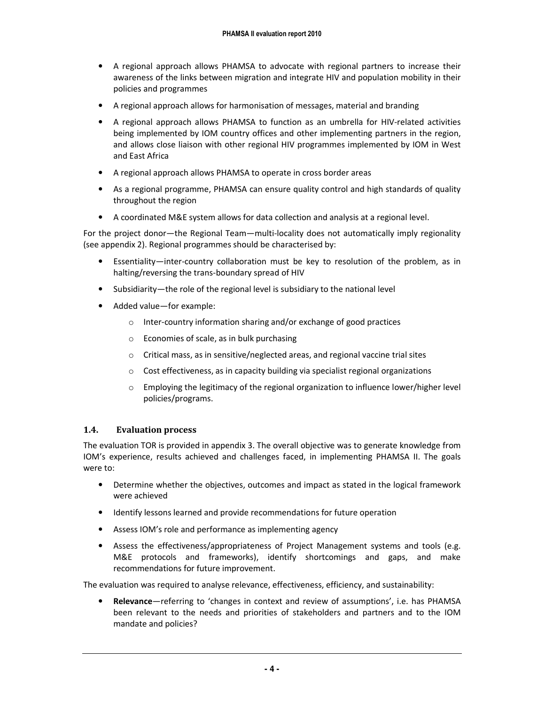- A regional approach allows PHAMSA to advocate with regional partners to increase their awareness of the links between migration and integrate HIV and population mobility in their policies and programmes
- A regional approach allows for harmonisation of messages, material and branding
- A regional approach allows PHAMSA to function as an umbrella for HIV-related activities being implemented by IOM country offices and other implementing partners in the region, and allows close liaison with other regional HIV programmes implemented by IOM in West and East Africa
- A regional approach allows PHAMSA to operate in cross border areas
- As a regional programme, PHAMSA can ensure quality control and high standards of quality throughout the region
- A coordinated M&E system allows for data collection and analysis at a regional level.

For the project donor—the Regional Team—multi-locality does not automatically imply regionality (see appendix 2). Regional programmes should be characterised by:

- Essentiality—inter-country collaboration must be key to resolution of the problem, as in halting/reversing the trans-boundary spread of HIV
- Subsidiarity—the role of the regional level is subsidiary to the national level
- Added value—for example:
	- o Inter-country information sharing and/or exchange of good practices
	- o Economies of scale, as in bulk purchasing
	- $\circ$  Critical mass, as in sensitive/neglected areas, and regional vaccine trial sites
	- o Cost effectiveness, as in capacity building via specialist regional organizations
	- $\circ$  Employing the legitimacy of the regional organization to influence lower/higher level policies/programs.

#### 1.4. Evaluation process

The evaluation TOR is provided in appendix 3. The overall objective was to generate knowledge from IOM's experience, results achieved and challenges faced, in implementing PHAMSA II. The goals were to:

- Determine whether the objectives, outcomes and impact as stated in the logical framework were achieved
- Identify lessons learned and provide recommendations for future operation
- Assess IOM's role and performance as implementing agency
- Assess the effectiveness/appropriateness of Project Management systems and tools (e.g. M&E protocols and frameworks), identify shortcomings and gaps, and make recommendations for future improvement.

The evaluation was required to analyse relevance, effectiveness, efficiency, and sustainability:

• Relevance—referring to 'changes in context and review of assumptions', i.e. has PHAMSA been relevant to the needs and priorities of stakeholders and partners and to the IOM mandate and policies?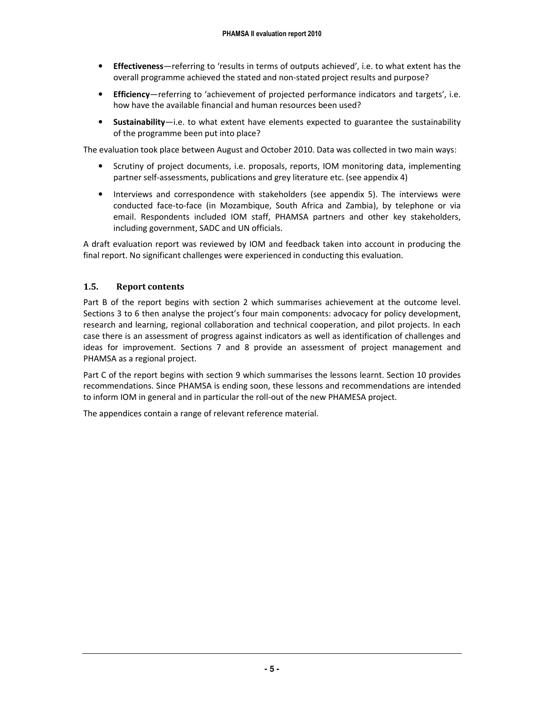- Effectiveness—referring to 'results in terms of outputs achieved', i.e. to what extent has the overall programme achieved the stated and non-stated project results and purpose?
- Efficiency—referring to 'achievement of projected performance indicators and targets', i.e. how have the available financial and human resources been used?
- Sustainability—i.e. to what extent have elements expected to guarantee the sustainability of the programme been put into place?

The evaluation took place between August and October 2010. Data was collected in two main ways:

- Scrutiny of project documents, i.e. proposals, reports, IOM monitoring data, implementing partner self-assessments, publications and grey literature etc. (see appendix 4)
- Interviews and correspondence with stakeholders (see appendix 5). The interviews were conducted face-to-face (in Mozambique, South Africa and Zambia), by telephone or via email. Respondents included IOM staff, PHAMSA partners and other key stakeholders, including government, SADC and UN officials.

A draft evaluation report was reviewed by IOM and feedback taken into account in producing the final report. No significant challenges were experienced in conducting this evaluation.

#### 1.5. Report contents

Part B of the report begins with section 2 which summarises achievement at the outcome level. Sections 3 to 6 then analyse the project's four main components: advocacy for policy development, research and learning, regional collaboration and technical cooperation, and pilot projects. In each case there is an assessment of progress against indicators as well as identification of challenges and ideas for improvement. Sections 7 and 8 provide an assessment of project management and PHAMSA as a regional project.

Part C of the report begins with section 9 which summarises the lessons learnt. Section 10 provides recommendations. Since PHAMSA is ending soon, these lessons and recommendations are intended to inform IOM in general and in particular the roll-out of the new PHAMESA project.

The appendices contain a range of relevant reference material.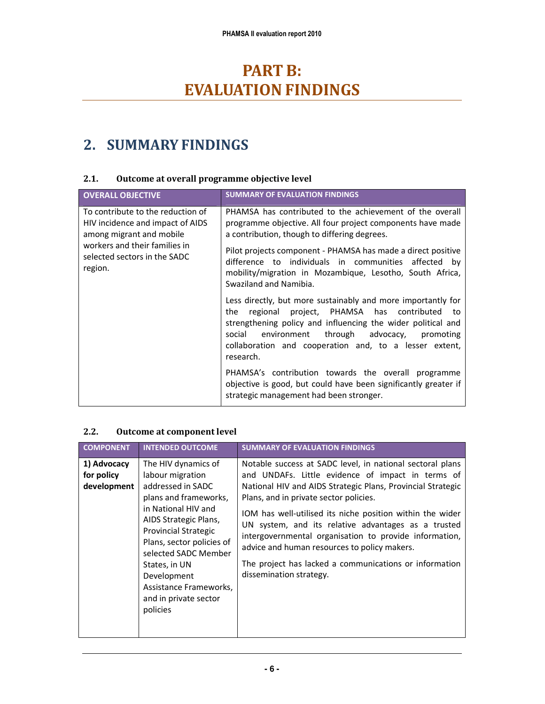# PART B: **EVALUATION FINDINGS**

### 2. SUMMARY FINDINGS

#### 2.1. Outcome at overall programme objective level

| <b>OVERALL OBJECTIVE</b>                                                                                                                                                      | <b>SUMMARY OF EVALUATION FINDINGS</b>                                                                                                                                                                                                                                                                                                                                                                                                                |
|-------------------------------------------------------------------------------------------------------------------------------------------------------------------------------|------------------------------------------------------------------------------------------------------------------------------------------------------------------------------------------------------------------------------------------------------------------------------------------------------------------------------------------------------------------------------------------------------------------------------------------------------|
| To contribute to the reduction of<br>HIV incidence and impact of AIDS<br>among migrant and mobile<br>workers and their families in<br>selected sectors in the SADC<br>region. | PHAMSA has contributed to the achievement of the overall<br>programme objective. All four project components have made<br>a contribution, though to differing degrees.<br>Pilot projects component - PHAMSA has made a direct positive<br>difference to individuals in communities affected by<br>mobility/migration in Mozambique, Lesotho, South Africa,<br>Swaziland and Namibia.<br>Less directly, but more sustainably and more importantly for |
|                                                                                                                                                                               | regional project, PHAMSA has contributed<br>the<br>to<br>strengthening policy and influencing the wider political and<br>through advocacy,<br>social<br>environment<br>promoting<br>collaboration and cooperation and, to a lesser extent,<br>research.                                                                                                                                                                                              |
|                                                                                                                                                                               | PHAMSA's contribution towards the overall programme<br>objective is good, but could have been significantly greater if<br>strategic management had been stronger.                                                                                                                                                                                                                                                                                    |

#### 2.2. Outcome at component level

| <b>COMPONENT</b>                         | <b>INTENDED OUTCOME</b>                                                                                                                                                                                                                                                                                                  | <b>SUMMARY OF EVALUATION FINDINGS</b>                                                                                                                                                                                                                                                                                                                                                                                                                                                                                                      |
|------------------------------------------|--------------------------------------------------------------------------------------------------------------------------------------------------------------------------------------------------------------------------------------------------------------------------------------------------------------------------|--------------------------------------------------------------------------------------------------------------------------------------------------------------------------------------------------------------------------------------------------------------------------------------------------------------------------------------------------------------------------------------------------------------------------------------------------------------------------------------------------------------------------------------------|
| 1) Advocacy<br>for policy<br>development | The HIV dynamics of<br>labour migration<br>addressed in SADC<br>plans and frameworks,<br>in National HIV and<br>AIDS Strategic Plans,<br><b>Provincial Strategic</b><br>Plans, sector policies of<br>selected SADC Member<br>States, in UN<br>Development<br>Assistance Frameworks,<br>and in private sector<br>policies | Notable success at SADC level, in national sectoral plans<br>and UNDAFs. Little evidence of impact in terms of<br>National HIV and AIDS Strategic Plans, Provincial Strategic<br>Plans, and in private sector policies.<br>IOM has well-utilised its niche position within the wider<br>UN system, and its relative advantages as a trusted<br>intergovernmental organisation to provide information,<br>advice and human resources to policy makers.<br>The project has lacked a communications or information<br>dissemination strategy. |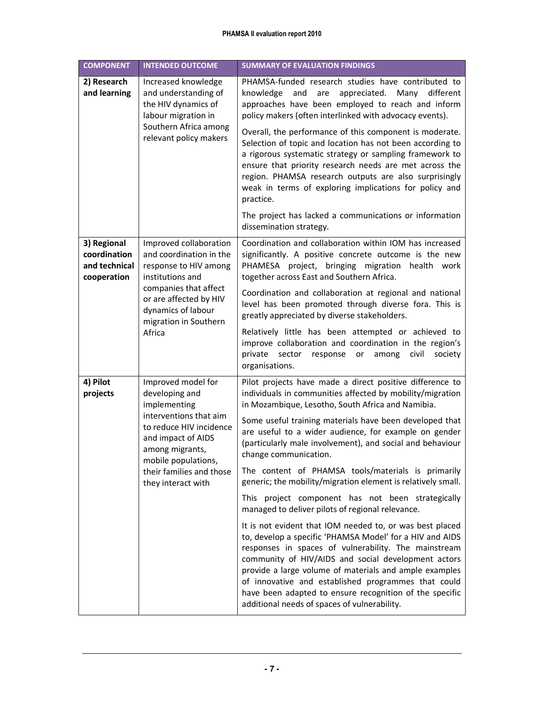#### PHAMSA II evaluation report 2010

| <b>COMPONENT</b>                                                                                                  | <b>INTENDED OUTCOME</b>                                                                                                                                                                                                                                                                                                                                                   | <b>SUMMARY OF EVALUATION FINDINGS</b>                                                                                                                                                                                                                                                                                                                                                                                                                           |
|-------------------------------------------------------------------------------------------------------------------|---------------------------------------------------------------------------------------------------------------------------------------------------------------------------------------------------------------------------------------------------------------------------------------------------------------------------------------------------------------------------|-----------------------------------------------------------------------------------------------------------------------------------------------------------------------------------------------------------------------------------------------------------------------------------------------------------------------------------------------------------------------------------------------------------------------------------------------------------------|
| 2) Research<br>and learning                                                                                       | Increased knowledge<br>and understanding of<br>the HIV dynamics of<br>labour migration in                                                                                                                                                                                                                                                                                 | PHAMSA-funded research studies have contributed to<br>and<br>appreciated.<br>Many<br>different<br>knowledge<br>are<br>approaches have been employed to reach and inform<br>policy makers (often interlinked with advocacy events).                                                                                                                                                                                                                              |
| Southern Africa among<br>relevant policy makers                                                                   | Overall, the performance of this component is moderate.<br>Selection of topic and location has not been according to<br>a rigorous systematic strategy or sampling framework to<br>ensure that priority research needs are met across the<br>region. PHAMSA research outputs are also surprisingly<br>weak in terms of exploring implications for policy and<br>practice. |                                                                                                                                                                                                                                                                                                                                                                                                                                                                 |
|                                                                                                                   |                                                                                                                                                                                                                                                                                                                                                                           | The project has lacked a communications or information<br>dissemination strategy.                                                                                                                                                                                                                                                                                                                                                                               |
| 3) Regional<br>coordination<br>and technical<br>cooperation                                                       | Improved collaboration<br>and coordination in the<br>response to HIV among<br>institutions and<br>companies that affect<br>or are affected by HIV<br>dynamics of labour<br>migration in Southern<br>Africa                                                                                                                                                                | Coordination and collaboration within IOM has increased<br>significantly. A positive concrete outcome is the new<br>PHAMESA project, bringing migration health work<br>together across East and Southern Africa.                                                                                                                                                                                                                                                |
|                                                                                                                   |                                                                                                                                                                                                                                                                                                                                                                           | Coordination and collaboration at regional and national<br>level has been promoted through diverse fora. This is<br>greatly appreciated by diverse stakeholders.                                                                                                                                                                                                                                                                                                |
|                                                                                                                   |                                                                                                                                                                                                                                                                                                                                                                           | Relatively little has been attempted or achieved to<br>improve collaboration and coordination in the region's<br>among<br>civil<br>private<br>sector<br>response<br>or<br>society<br>organisations.                                                                                                                                                                                                                                                             |
| 4) Pilot<br>projects                                                                                              | Improved model for<br>developing and<br>implementing                                                                                                                                                                                                                                                                                                                      | Pilot projects have made a direct positive difference to<br>individuals in communities affected by mobility/migration<br>in Mozambique, Lesotho, South Africa and Namibia.                                                                                                                                                                                                                                                                                      |
| interventions that aim<br>to reduce HIV incidence<br>and impact of AIDS<br>among migrants,<br>mobile populations, | Some useful training materials have been developed that<br>are useful to a wider audience, for example on gender<br>(particularly male involvement), and social and behaviour<br>change communication.                                                                                                                                                                    |                                                                                                                                                                                                                                                                                                                                                                                                                                                                 |
|                                                                                                                   | their families and those<br>they interact with                                                                                                                                                                                                                                                                                                                            | The content of PHAMSA tools/materials is primarily<br>generic; the mobility/migration element is relatively small.                                                                                                                                                                                                                                                                                                                                              |
|                                                                                                                   | This project component has not been strategically<br>managed to deliver pilots of regional relevance.                                                                                                                                                                                                                                                                     |                                                                                                                                                                                                                                                                                                                                                                                                                                                                 |
|                                                                                                                   |                                                                                                                                                                                                                                                                                                                                                                           | It is not evident that IOM needed to, or was best placed<br>to, develop a specific 'PHAMSA Model' for a HIV and AIDS<br>responses in spaces of vulnerability. The mainstream<br>community of HIV/AIDS and social development actors<br>provide a large volume of materials and ample examples<br>of innovative and established programmes that could<br>have been adapted to ensure recognition of the specific<br>additional needs of spaces of vulnerability. |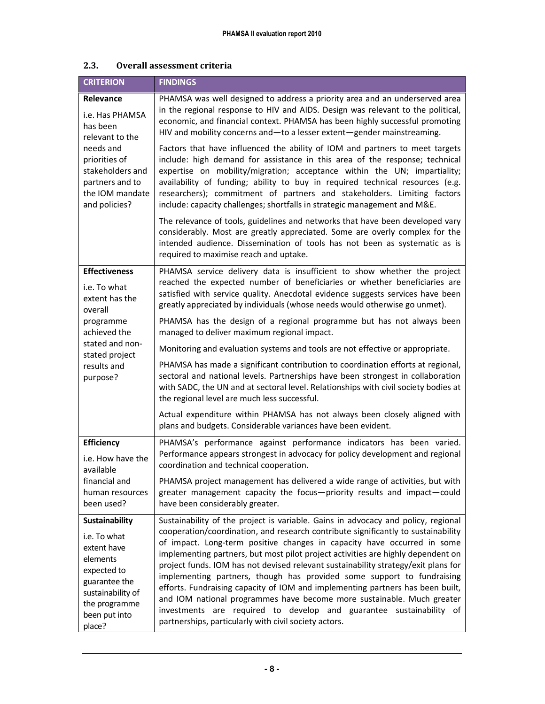| <b>CRITERION</b>                                                                                                                                                     | <b>FINDINGS</b>                                                                                                                                                                                                                                                                                                                                                                                                                                                                                                                                                                                                                                                                                              |  |  |
|----------------------------------------------------------------------------------------------------------------------------------------------------------------------|--------------------------------------------------------------------------------------------------------------------------------------------------------------------------------------------------------------------------------------------------------------------------------------------------------------------------------------------------------------------------------------------------------------------------------------------------------------------------------------------------------------------------------------------------------------------------------------------------------------------------------------------------------------------------------------------------------------|--|--|
| Relevance<br>i.e. Has PHAMSA<br>has been<br>relevant to the<br>needs and<br>priorities of<br>stakeholders and<br>partners and to<br>the IOM mandate<br>and policies? | PHAMSA was well designed to address a priority area and an underserved area<br>in the regional response to HIV and AIDS. Design was relevant to the political,<br>economic, and financial context. PHAMSA has been highly successful promoting<br>HIV and mobility concerns and-to a lesser extent-gender mainstreaming.                                                                                                                                                                                                                                                                                                                                                                                     |  |  |
|                                                                                                                                                                      | Factors that have influenced the ability of IOM and partners to meet targets<br>include: high demand for assistance in this area of the response; technical<br>expertise on mobility/migration; acceptance within the UN; impartiality;<br>availability of funding; ability to buy in required technical resources (e.g.<br>researchers); commitment of partners and stakeholders. Limiting factors<br>include: capacity challenges; shortfalls in strategic management and M&E.                                                                                                                                                                                                                             |  |  |
|                                                                                                                                                                      | The relevance of tools, guidelines and networks that have been developed vary<br>considerably. Most are greatly appreciated. Some are overly complex for the<br>intended audience. Dissemination of tools has not been as systematic as is<br>required to maximise reach and uptake.                                                                                                                                                                                                                                                                                                                                                                                                                         |  |  |
| <b>Effectiveness</b><br>i.e. To what<br>extent has the                                                                                                               | PHAMSA service delivery data is insufficient to show whether the project<br>reached the expected number of beneficiaries or whether beneficiaries are<br>satisfied with service quality. Anecdotal evidence suggests services have been<br>greatly appreciated by individuals (whose needs would otherwise go unmet).                                                                                                                                                                                                                                                                                                                                                                                        |  |  |
| overall<br>programme<br>achieved the                                                                                                                                 | PHAMSA has the design of a regional programme but has not always been<br>managed to deliver maximum regional impact.                                                                                                                                                                                                                                                                                                                                                                                                                                                                                                                                                                                         |  |  |
| stated and non-<br>stated project                                                                                                                                    | Monitoring and evaluation systems and tools are not effective or appropriate.                                                                                                                                                                                                                                                                                                                                                                                                                                                                                                                                                                                                                                |  |  |
| results and<br>purpose?                                                                                                                                              | PHAMSA has made a significant contribution to coordination efforts at regional,<br>sectoral and national levels. Partnerships have been strongest in collaboration<br>with SADC, the UN and at sectoral level. Relationships with civil society bodies at<br>the regional level are much less successful.                                                                                                                                                                                                                                                                                                                                                                                                    |  |  |
|                                                                                                                                                                      | Actual expenditure within PHAMSA has not always been closely aligned with<br>plans and budgets. Considerable variances have been evident.                                                                                                                                                                                                                                                                                                                                                                                                                                                                                                                                                                    |  |  |
| <b>Efficiency</b><br>i.e. How have the<br>available                                                                                                                  | PHAMSA's performance against performance indicators has been varied.<br>Performance appears strongest in advocacy for policy development and regional<br>coordination and technical cooperation.                                                                                                                                                                                                                                                                                                                                                                                                                                                                                                             |  |  |
| financial and<br>human resources<br>been used?                                                                                                                       | PHAMSA project management has delivered a wide range of activities, but with<br>greater management capacity the focus-priority results and impact-could<br>have been considerably greater.                                                                                                                                                                                                                                                                                                                                                                                                                                                                                                                   |  |  |
| <b>Sustainability</b>                                                                                                                                                | Sustainability of the project is variable. Gains in advocacy and policy, regional                                                                                                                                                                                                                                                                                                                                                                                                                                                                                                                                                                                                                            |  |  |
| i.e. To what<br>extent have<br>elements<br>expected to<br>guarantee the<br>sustainability of<br>the programme<br>been put into<br>place?                             | cooperation/coordination, and research contribute significantly to sustainability<br>of impact. Long-term positive changes in capacity have occurred in some<br>implementing partners, but most pilot project activities are highly dependent on<br>project funds. IOM has not devised relevant sustainability strategy/exit plans for<br>implementing partners, though has provided some support to fundraising<br>efforts. Fundraising capacity of IOM and implementing partners has been built,<br>and IOM national programmes have become more sustainable. Much greater<br>investments are required to develop and guarantee sustainability of<br>partnerships, particularly with civil society actors. |  |  |

#### 2.3. Overall assessment criteria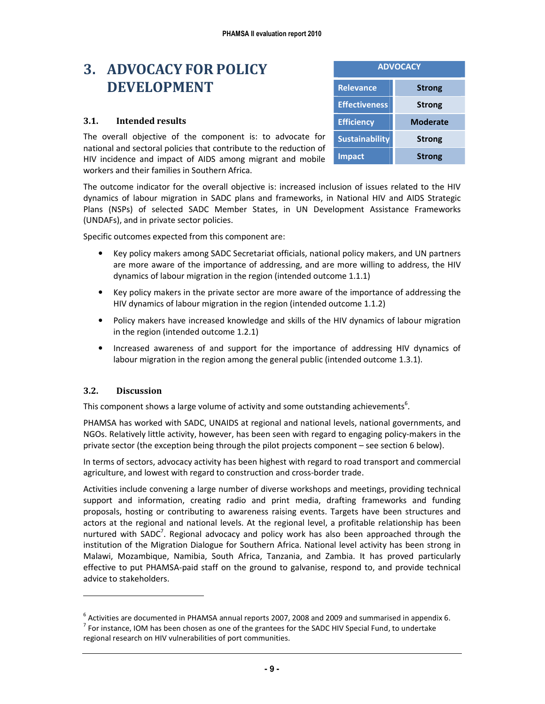### 3. ADVOCACY FOR POLICY DEVELOPMENT

#### 3.1. Intended results

The overall objective of the component is: to advocate for national and sectoral policies that contribute to the reduction of HIV incidence and impact of AIDS among migrant and mobile workers and their families in Southern Africa.

| <b>ADVOCACY</b>       |               |  |
|-----------------------|---------------|--|
| <b>Relevance</b>      | <b>Strong</b> |  |
| <b>Effectiveness</b>  | <b>Strong</b> |  |
| <b>Efficiency</b>     | Moderate      |  |
| <b>Sustainability</b> | <b>Strong</b> |  |
| <b>Impact</b>         | <b>Strong</b> |  |

The outcome indicator for the overall objective is: increased inclusion of issues related to the HIV dynamics of labour migration in SADC plans and frameworks, in National HIV and AIDS Strategic Plans (NSPs) of selected SADC Member States, in UN Development Assistance Frameworks (UNDAFs), and in private sector policies.

Specific outcomes expected from this component are:

- Key policy makers among SADC Secretariat officials, national policy makers, and UN partners are more aware of the importance of addressing, and are more willing to address, the HIV dynamics of labour migration in the region (intended outcome 1.1.1)
- Key policy makers in the private sector are more aware of the importance of addressing the HIV dynamics of labour migration in the region (intended outcome 1.1.2)
- Policy makers have increased knowledge and skills of the HIV dynamics of labour migration in the region (intended outcome 1.2.1)
- Increased awareness of and support for the importance of addressing HIV dynamics of labour migration in the region among the general public (intended outcome 1.3.1).

#### 3.2. Discussion

-

This component shows a large volume of activity and some outstanding achievements<sup>6</sup>.

PHAMSA has worked with SADC, UNAIDS at regional and national levels, national governments, and NGOs. Relatively little activity, however, has been seen with regard to engaging policy-makers in the private sector (the exception being through the pilot projects component – see section 6 below).

In terms of sectors, advocacy activity has been highest with regard to road transport and commercial agriculture, and lowest with regard to construction and cross-border trade.

Activities include convening a large number of diverse workshops and meetings, providing technical support and information, creating radio and print media, drafting frameworks and funding proposals, hosting or contributing to awareness raising events. Targets have been structures and actors at the regional and national levels. At the regional level, a profitable relationship has been nurtured with SADC<sup>7</sup>. Regional advocacy and policy work has also been approached through the institution of the Migration Dialogue for Southern Africa. National level activity has been strong in Malawi, Mozambique, Namibia, South Africa, Tanzania, and Zambia. It has proved particularly effective to put PHAMSA-paid staff on the ground to galvanise, respond to, and provide technical advice to stakeholders.

 $^6$  Activities are documented in PHAMSA annual reports 2007, 2008 and 2009 and summarised in appendix 6.  $<sup>7</sup>$  For instance, IOM has been chosen as one of the grantees for the SADC HIV Special Fund, to undertake</sup> regional research on HIV vulnerabilities of port communities.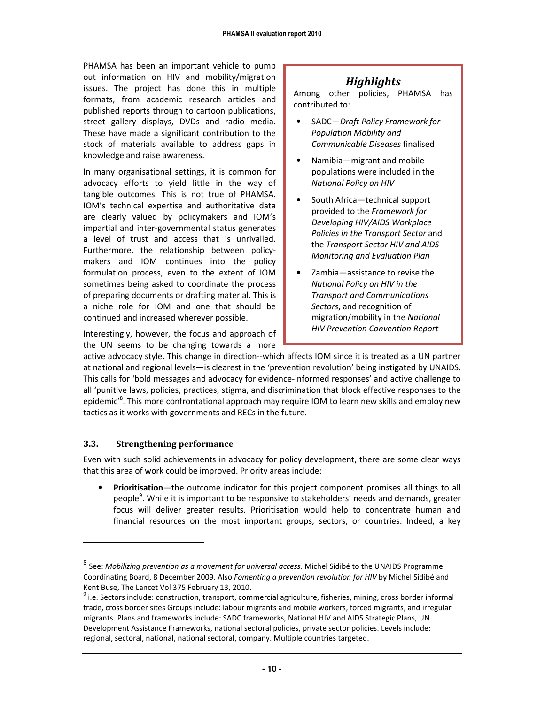PHAMSA has been an important vehicle to pump out information on HIV and mobility/migration issues. The project has done this in multiple formats, from academic research articles and published reports through to cartoon publications, street gallery displays, DVDs and radio media. These have made a significant contribution to the stock of materials available to address gaps in knowledge and raise awareness.

In many organisational settings, it is common for advocacy efforts to yield little in the way of tangible outcomes. This is not true of PHAMSA. IOM's technical expertise and authoritative data are clearly valued by policymakers and IOM's impartial and inter-governmental status generates a level of trust and access that is unrivalled. Furthermore, the relationship between policymakers and IOM continues into the policy formulation process, even to the extent of IOM sometimes being asked to coordinate the process of preparing documents or drafting material. This is a niche role for IOM and one that should be continued and increased wherever possible.

Interestingly, however, the focus and approach of the UN seems to be changing towards a more

#### Highlights

Among other policies, PHAMSA has contributed to:

- SADC-Draft Policy Framework for Population Mobility and Communicable Diseases finalised
- Namibia—migrant and mobile populations were included in the National Policy on HIV
- South Africa—technical support provided to the Framework for Developing HIV/AIDS Workplace Policies in the Transport Sector and the Transport Sector HIV and AIDS Monitoring and Evaluation Plan
- Zambia-assistance to revise the National Policy on HIV in the Transport and Communications Sectors, and recognition of migration/mobility in the National HIV Prevention Convention Report

active advocacy style. This change in direction--which affects IOM since it is treated as a UN partner at national and regional levels—is clearest in the 'prevention revolution' being instigated by UNAIDS. This calls for 'bold messages and advocacy for evidence-informed responses' and active challenge to all 'punitive laws, policies, practices, stigma, and discrimination that block effective responses to the epidemic<sup>'8</sup>. This more confrontational approach may require IOM to learn new skills and employ new tactics as it works with governments and RECs in the future.

#### 3.3. Strengthening performance

-

Even with such solid achievements in advocacy for policy development, there are some clear ways that this area of work could be improved. Priority areas include:

• Prioritisation—the outcome indicator for this project component promises all things to all people<sup>9</sup>. While it is important to be responsive to stakeholders' needs and demands, greater focus will deliver greater results. Prioritisation would help to concentrate human and financial resources on the most important groups, sectors, or countries. Indeed, a key

 $^8$  See: Mobilizing prevention as a movement for universal access. Michel Sidibé to the UNAIDS Programme Coordinating Board, 8 December 2009. Also Fomenting a prevention revolution for HIV by Michel Sidibé and Kent Buse, The Lancet Vol 375 February 13, 2010.

 $9$  i.e. Sectors include: construction, transport, commercial agriculture, fisheries, mining, cross border informal trade, cross border sites Groups include: labour migrants and mobile workers, forced migrants, and irregular migrants. Plans and frameworks include: SADC frameworks, National HIV and AIDS Strategic Plans, UN Development Assistance Frameworks, national sectoral policies, private sector policies. Levels include: regional, sectoral, national, national sectoral, company. Multiple countries targeted.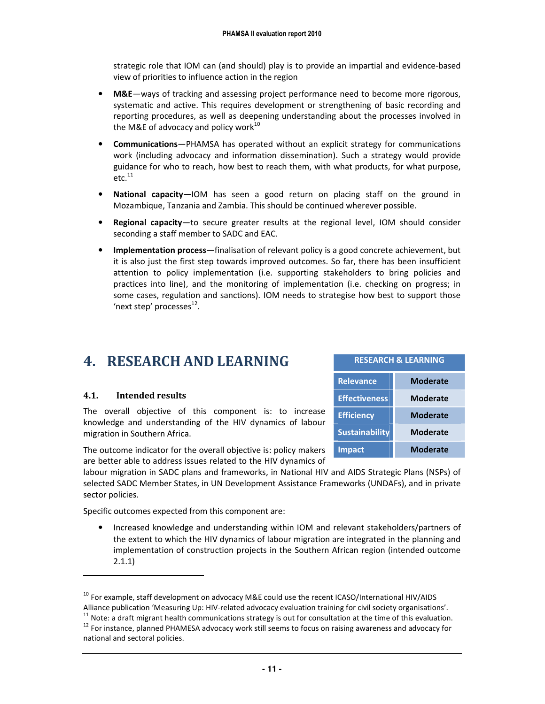strategic role that IOM can (and should) play is to provide an impartial and evidence-based view of priorities to influence action in the region

- M&E—ways of tracking and assessing project performance need to become more rigorous, systematic and active. This requires development or strengthening of basic recording and reporting procedures, as well as deepening understanding about the processes involved in the M&E of advocacy and policy work $10$
- **Communications**—PHAMSA has operated without an explicit strategy for communications work (including advocacy and information dissemination). Such a strategy would provide guidance for who to reach, how best to reach them, with what products, for what purpose,  $etc.<sup>11</sup>$
- National capacity—IOM has seen a good return on placing staff on the ground in Mozambique, Tanzania and Zambia. This should be continued wherever possible.
- Regional capacity—to secure greater results at the regional level, IOM should consider seconding a staff member to SADC and EAC.
- Implementation process—finalisation of relevant policy is a good concrete achievement, but it is also just the first step towards improved outcomes. So far, there has been insufficient attention to policy implementation (i.e. supporting stakeholders to bring policies and practices into line), and the monitoring of implementation (i.e. checking on progress; in some cases, regulation and sanctions). IOM needs to strategise how best to support those 'next step' processes<sup>12</sup>.

### 4. RESEARCH AND LEARNING

#### 4.1. Intended results

The overall objective of this component is: to increase knowledge and understanding of the HIV dynamics of labour migration in Southern Africa.

The outcome indicator for the overall objective is: policy makers are better able to address issues related to the HIV dynamics of

labour migration in SADC plans and frameworks, in National HIV and AIDS Strategic Plans (NSPs) of selected SADC Member States, in UN Development Assistance Frameworks (UNDAFs), and in private sector policies.

Specific outcomes expected from this component are:

• Increased knowledge and understanding within IOM and relevant stakeholders/partners of the extent to which the HIV dynamics of labour migration are integrated in the planning and implementation of construction projects in the Southern African region (intended outcome 2.1.1)

.

| <b>RESEARCH &amp; LEARNING</b> |                 |  |
|--------------------------------|-----------------|--|
| <b>Relevance</b>               | <b>Moderate</b> |  |
| <b>Effectiveness</b>           | <b>Moderate</b> |  |
| <b>Efficiency</b>              | <b>Moderate</b> |  |
| <b>Sustainability</b>          | <b>Moderate</b> |  |
| <b>Impact</b>                  | Moderate        |  |

 $^{10}$  For example, staff development on advocacy M&E could use the recent ICASO/International HIV/AIDS Alliance publication 'Measuring Up: HIV-related advocacy evaluation training for civil society organisations'.  $11$  Note: a draft migrant health communications strategy is out for consultation at the time of this evaluation. <sup>12</sup> For instance, planned PHAMESA advocacy work still seems to focus on raising awareness and advocacy for

national and sectoral policies.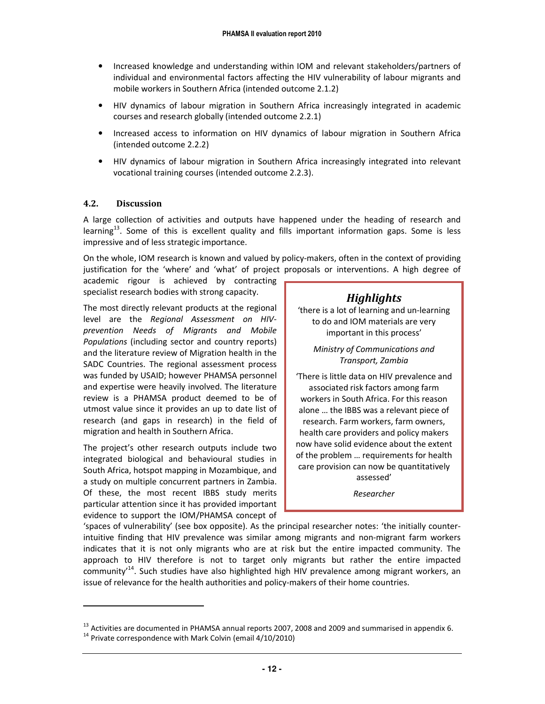- Increased knowledge and understanding within IOM and relevant stakeholders/partners of individual and environmental factors affecting the HIV vulnerability of labour migrants and mobile workers in Southern Africa (intended outcome 2.1.2)
- HIV dynamics of labour migration in Southern Africa increasingly integrated in academic courses and research globally (intended outcome 2.2.1)
- Increased access to information on HIV dynamics of labour migration in Southern Africa (intended outcome 2.2.2)
- HIV dynamics of labour migration in Southern Africa increasingly integrated into relevant vocational training courses (intended outcome 2.2.3).

#### 4.2. Discussion

A large collection of activities and outputs have happened under the heading of research and learning<sup>13</sup>. Some of this is excellent quality and fills important information gaps. Some is less impressive and of less strategic importance.

On the whole, IOM research is known and valued by policy-makers, often in the context of providing justification for the 'where' and 'what' of project proposals or interventions. A high degree of

academic rigour is achieved by contracting specialist research bodies with strong capacity.

The most directly relevant products at the regional level are the Regional Assessment on HIVprevention Needs of Migrants and Mobile Populations (including sector and country reports) and the literature review of Migration health in the SADC Countries. The regional assessment process was funded by USAID; however PHAMSA personnel and expertise were heavily involved. The literature review is a PHAMSA product deemed to be of utmost value since it provides an up to date list of research (and gaps in research) in the field of migration and health in Southern Africa.

The project's other research outputs include two integrated biological and behavioural studies in South Africa, hotspot mapping in Mozambique, and a study on multiple concurrent partners in Zambia. Of these, the most recent IBBS study merits particular attention since it has provided important evidence to support the IOM/PHAMSA concept of

#### **Highlights**

'there is a lot of learning and un-learning to do and IOM materials are very important in this process'

Ministry of Communications and Transport, Zambia

'There is little data on HIV prevalence and associated risk factors among farm workers in South Africa. For this reason alone … the IBBS was a relevant piece of research. Farm workers, farm owners, health care providers and policy makers now have solid evidence about the extent of the problem … requirements for health care provision can now be quantitatively assessed'

Researcher

'spaces of vulnerability' (see box opposite). As the principal researcher notes: 'the initially counterintuitive finding that HIV prevalence was similar among migrants and non-migrant farm workers indicates that it is not only migrants who are at risk but the entire impacted community. The approach to HIV therefore is not to target only migrants but rather the entire impacted community<sup>'14</sup>. Such studies have also highlighted high HIV prevalence among migrant workers, an issue of relevance for the health authorities and policy-makers of their home countries.

<u>.</u>

 $^{13}$  Activities are documented in PHAMSA annual reports 2007, 2008 and 2009 and summarised in appendix 6.

 $14$  Private correspondence with Mark Colvin (email 4/10/2010)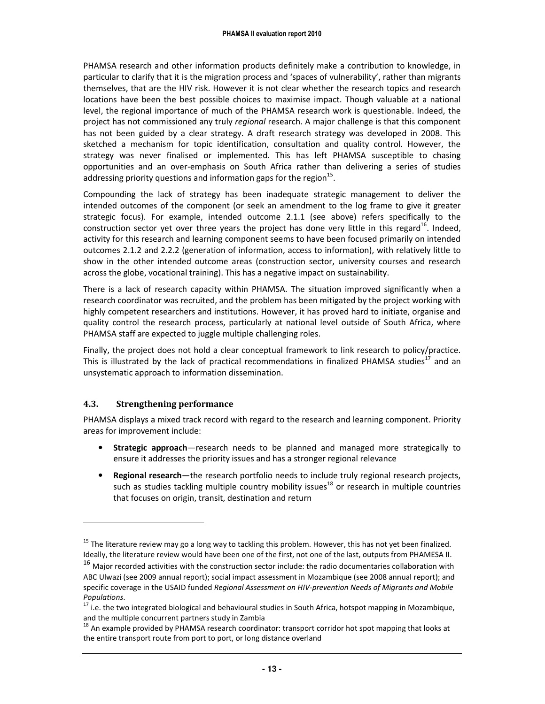PHAMSA research and other information products definitely make a contribution to knowledge, in particular to clarify that it is the migration process and 'spaces of vulnerability', rather than migrants themselves, that are the HIV risk. However it is not clear whether the research topics and research locations have been the best possible choices to maximise impact. Though valuable at a national level, the regional importance of much of the PHAMSA research work is questionable. Indeed, the project has not commissioned any truly regional research. A major challenge is that this component has not been guided by a clear strategy. A draft research strategy was developed in 2008. This sketched a mechanism for topic identification, consultation and quality control. However, the strategy was never finalised or implemented. This has left PHAMSA susceptible to chasing opportunities and an over-emphasis on South Africa rather than delivering a series of studies addressing priority questions and information gaps for the region $^{15}$ .

Compounding the lack of strategy has been inadequate strategic management to deliver the intended outcomes of the component (or seek an amendment to the log frame to give it greater strategic focus). For example, intended outcome 2.1.1 (see above) refers specifically to the construction sector yet over three years the project has done very little in this regard<sup>16</sup>. Indeed, activity for this research and learning component seems to have been focused primarily on intended outcomes 2.1.2 and 2.2.2 (generation of information, access to information), with relatively little to show in the other intended outcome areas (construction sector, university courses and research across the globe, vocational training). This has a negative impact on sustainability.

There is a lack of research capacity within PHAMSA. The situation improved significantly when a research coordinator was recruited, and the problem has been mitigated by the project working with highly competent researchers and institutions. However, it has proved hard to initiate, organise and quality control the research process, particularly at national level outside of South Africa, where PHAMSA staff are expected to juggle multiple challenging roles.

Finally, the project does not hold a clear conceptual framework to link research to policy/practice. This is illustrated by the lack of practical recommendations in finalized PHAMSA studies<sup>17</sup> and an unsystematic approach to information dissemination.

#### 4.3. Strengthening performance

-

PHAMSA displays a mixed track record with regard to the research and learning component. Priority areas for improvement include:

- Strategic approach—research needs to be planned and managed more strategically to ensure it addresses the priority issues and has a stronger regional relevance
- Regional research—the research portfolio needs to include truly regional research projects, such as studies tackling multiple country mobility issues<sup>18</sup> or research in multiple countries that focuses on origin, transit, destination and return

<sup>&</sup>lt;sup>15</sup> The literature review may go a long way to tackling this problem. However, this has not yet been finalized. Ideally, the literature review would have been one of the first, not one of the last, outputs from PHAMESA II.

 $16$  Major recorded activities with the construction sector include: the radio documentaries collaboration with ABC Ulwazi (see 2009 annual report); social impact assessment in Mozambique (see 2008 annual report); and specific coverage in the USAID funded Regional Assessment on HIV-prevention Needs of Migrants and Mobile Populations.

 $17$  i.e. the two integrated biological and behavioural studies in South Africa, hotspot mapping in Mozambique, and the multiple concurrent partners study in Zambia

 $^{18}$  An example provided by PHAMSA research coordinator: transport corridor hot spot mapping that looks at the entire transport route from port to port, or long distance overland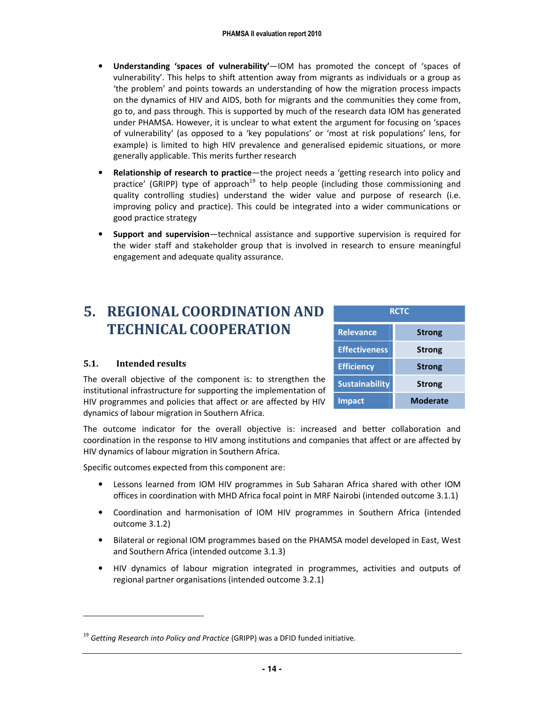- Understanding 'spaces of vulnerability'—IOM has promoted the concept of 'spaces of vulnerability'. This helps to shift attention away from migrants as individuals or a group as 'the problem' and points towards an understanding of how the migration process impacts on the dynamics of HIV and AIDS, both for migrants and the communities they come from, go to, and pass through. This is supported by much of the research data IOM has generated under PHAMSA. However, it is unclear to what extent the argument for focusing on 'spaces of vulnerability' (as opposed to a 'key populations' or 'most at risk populations' lens, for example) is limited to high HIV prevalence and generalised epidemic situations, or more generally applicable. This merits further research
- Relationship of research to practice—the project needs a 'getting research into policy and practice' (GRIPP) type of approach<sup>19</sup> to help people (including those commissioning and quality controlling studies) understand the wider value and purpose of research (i.e. improving policy and practice). This could be integrated into a wider communications or good practice strategy
- Support and supervision—technical assistance and supportive supervision is required for the wider staff and stakeholder group that is involved in research to ensure meaningful engagement and adequate quality assurance.

### 5. REGIONAL COORDINATION AND TECHNICAL COOPERATION

#### 5.1. Intended results

-

| <b>RCTC</b>           |               |  |
|-----------------------|---------------|--|
| <b>Relevance</b>      | <b>Strong</b> |  |
| <b>Effectiveness</b>  | <b>Strong</b> |  |
| <b>Efficiency</b>     | <b>Strong</b> |  |
| <b>Sustainability</b> | <b>Strong</b> |  |
| <b>Impact</b>         | Moderate      |  |

The overall objective of the component is: to strengthen the institutional infrastructure for supporting the implementation of HIV programmes and policies that affect or are affected by HIV dynamics of labour migration in Southern Africa.

The outcome indicator for the overall objective is: increased and better collaboration and coordination in the response to HIV among institutions and companies that affect or are affected by HIV dynamics of labour migration in Southern Africa.

Specific outcomes expected from this component are:

- Lessons learned from IOM HIV programmes in Sub Saharan Africa shared with other IOM offices in coordination with MHD Africa focal point in MRF Nairobi (intended outcome 3.1.1)
- Coordination and harmonisation of IOM HIV programmes in Southern Africa (intended outcome 3.1.2)
- Bilateral or regional IOM programmes based on the PHAMSA model developed in East, West and Southern Africa (intended outcome 3.1.3)
- HIV dynamics of labour migration integrated in programmes, activities and outputs of regional partner organisations (intended outcome 3.2.1)

 $19$  Getting Research into Policy and Practice (GRIPP) was a DFID funded initiative.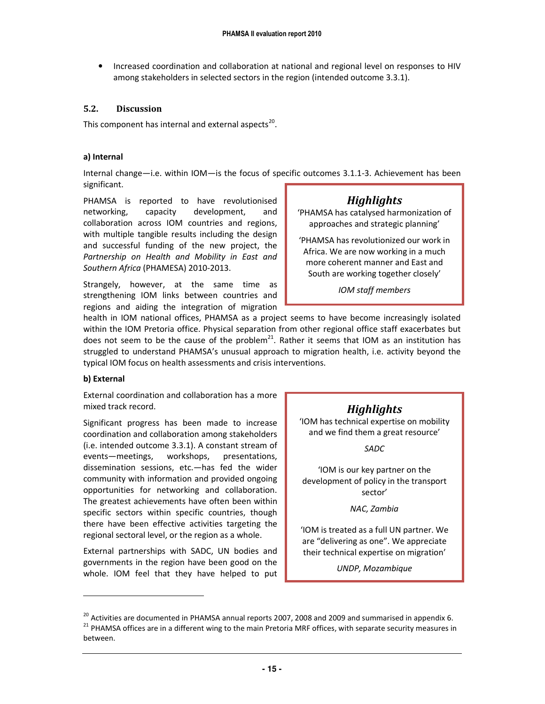• Increased coordination and collaboration at national and regional level on responses to HIV among stakeholders in selected sectors in the region (intended outcome 3.3.1).

#### 5.2. Discussion

This component has internal and external aspects<sup>20</sup>.

#### a) Internal

Internal change—i.e. within IOM—is the focus of specific outcomes 3.1.1-3. Achievement has been significant.

PHAMSA is reported to have revolutionised networking, capacity development, and collaboration across IOM countries and regions, with multiple tangible results including the design and successful funding of the new project, the Partnership on Health and Mobility in East and Southern Africa (PHAMESA) 2010-2013.

Strangely, however, at the same time as strengthening IOM links between countries and regions and aiding the integration of migration

#### **Highlights**

'PHAMSA has catalysed harmonization of approaches and strategic planning'

'PHAMSA has revolutionized our work in Africa. We are now working in a much more coherent manner and East and South are working together closely'

IOM staff members

health in IOM national offices, PHAMSA as a project seems to have become increasingly isolated within the IOM Pretoria office. Physical separation from other regional office staff exacerbates but does not seem to be the cause of the problem<sup>21</sup>. Rather it seems that IOM as an institution has struggled to understand PHAMSA's unusual approach to migration health, i.e. activity beyond the typical IOM focus on health assessments and crisis interventions.

#### b) External

-

External coordination and collaboration has a more mixed track record.

Significant progress has been made to increase coordination and collaboration among stakeholders (i.e. intended outcome 3.3.1). A constant stream of events—meetings, workshops, presentations, dissemination sessions, etc.—has fed the wider community with information and provided ongoing opportunities for networking and collaboration. The greatest achievements have often been within specific sectors within specific countries, though there have been effective activities targeting the regional sectoral level, or the region as a whole.

External partnerships with SADC, UN bodies and governments in the region have been good on the whole. IOM feel that they have helped to put

#### **Highlights**

'IOM has technical expertise on mobility and we find them a great resource'

SADC

'IOM is our key partner on the development of policy in the transport sector'

NAC, Zambia

'IOM is treated as a full UN partner. We are "delivering as one". We appreciate their technical expertise on migration'

UNDP, Mozambique

 $^{20}$  Activities are documented in PHAMSA annual reports 2007, 2008 and 2009 and summarised in appendix 6. <sup>21</sup> PHAMSA offices are in a different wing to the main Pretoria MRF offices, with separate security measures in between.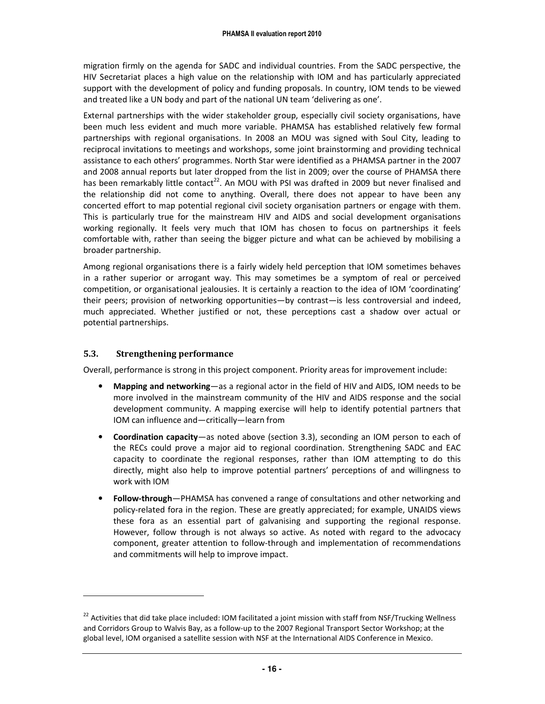migration firmly on the agenda for SADC and individual countries. From the SADC perspective, the HIV Secretariat places a high value on the relationship with IOM and has particularly appreciated support with the development of policy and funding proposals. In country, IOM tends to be viewed and treated like a UN body and part of the national UN team 'delivering as one'.

External partnerships with the wider stakeholder group, especially civil society organisations, have been much less evident and much more variable. PHAMSA has established relatively few formal partnerships with regional organisations. In 2008 an MOU was signed with Soul City, leading to reciprocal invitations to meetings and workshops, some joint brainstorming and providing technical assistance to each others' programmes. North Star were identified as a PHAMSA partner in the 2007 and 2008 annual reports but later dropped from the list in 2009; over the course of PHAMSA there has been remarkably little contact<sup>22</sup>. An MOU with PSI was drafted in 2009 but never finalised and the relationship did not come to anything. Overall, there does not appear to have been any concerted effort to map potential regional civil society organisation partners or engage with them. This is particularly true for the mainstream HIV and AIDS and social development organisations working regionally. It feels very much that IOM has chosen to focus on partnerships it feels comfortable with, rather than seeing the bigger picture and what can be achieved by mobilising a broader partnership.

Among regional organisations there is a fairly widely held perception that IOM sometimes behaves in a rather superior or arrogant way. This may sometimes be a symptom of real or perceived competition, or organisational jealousies. It is certainly a reaction to the idea of IOM 'coordinating' their peers; provision of networking opportunities—by contrast—is less controversial and indeed, much appreciated. Whether justified or not, these perceptions cast a shadow over actual or potential partnerships.

#### 5.3. Strengthening performance

-

Overall, performance is strong in this project component. Priority areas for improvement include:

- Mapping and networking—as a regional actor in the field of HIV and AIDS, IOM needs to be more involved in the mainstream community of the HIV and AIDS response and the social development community. A mapping exercise will help to identify potential partners that IOM can influence and—critically—learn from
- Coordination capacity—as noted above (section 3.3), seconding an IOM person to each of the RECs could prove a major aid to regional coordination. Strengthening SADC and EAC capacity to coordinate the regional responses, rather than IOM attempting to do this directly, might also help to improve potential partners' perceptions of and willingness to work with IOM
- Follow-through—PHAMSA has convened a range of consultations and other networking and policy-related fora in the region. These are greatly appreciated; for example, UNAIDS views these fora as an essential part of galvanising and supporting the regional response. However, follow through is not always so active. As noted with regard to the advocacy component, greater attention to follow-through and implementation of recommendations and commitments will help to improve impact.

 $22$  Activities that did take place included: IOM facilitated a joint mission with staff from NSF/Trucking Wellness and Corridors Group to Walvis Bay, as a follow-up to the 2007 Regional Transport Sector Workshop; at the global level, IOM organised a satellite session with NSF at the International AIDS Conference in Mexico.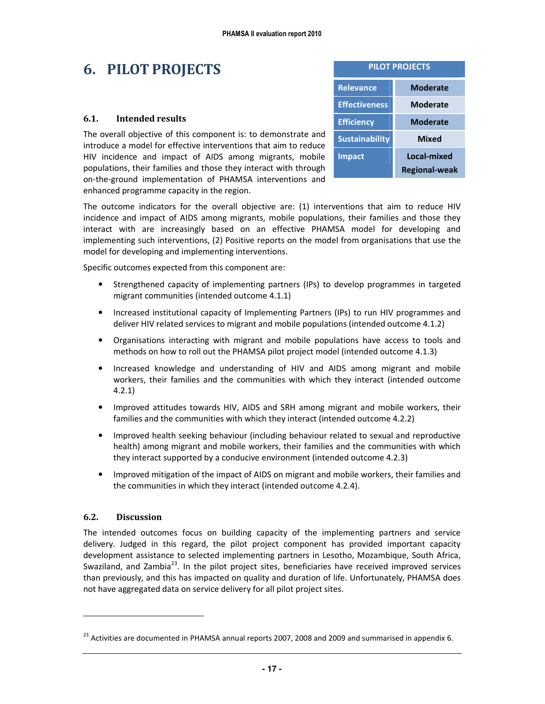### 6. PILOT PROJECTS

#### 6.1. Intended results

The overall objective of this component is: to demonstrate and introduce a model for effective interventions that aim to reduce HIV incidence and impact of AIDS among migrants, mobile populations, their families and those they interact with through on-the-ground implementation of PHAMSA interventions and enhanced programme capacity in the region.

| <b>PILOT PROJECTS</b> |                      |  |
|-----------------------|----------------------|--|
| <b>Relevance</b>      | Moderate             |  |
| <b>Effectiveness</b>  | Moderate             |  |
| <b>Efficiency</b>     | Moderate             |  |
| <b>Sustainability</b> | <b>Mixed</b>         |  |
| <b>Impact</b>         | Local-mixed          |  |
|                       | <b>Regional-weak</b> |  |

The outcome indicators for the overall objective are: (1) interventions that aim to reduce HIV incidence and impact of AIDS among migrants, mobile populations, their families and those they interact with are increasingly based on an effective PHAMSA model for developing and implementing such interventions, (2) Positive reports on the model from organisations that use the model for developing and implementing interventions.

Specific outcomes expected from this component are:

- Strengthened capacity of implementing partners (IPs) to develop programmes in targeted migrant communities (intended outcome 4.1.1)
- Increased institutional capacity of Implementing Partners (IPs) to run HIV programmes and deliver HIV related services to migrant and mobile populations (intended outcome 4.1.2)
- Organisations interacting with migrant and mobile populations have access to tools and methods on how to roll out the PHAMSA pilot project model (intended outcome 4.1.3)
- Increased knowledge and understanding of HIV and AIDS among migrant and mobile workers, their families and the communities with which they interact (intended outcome 4.2.1)
- Improved attitudes towards HIV, AIDS and SRH among migrant and mobile workers, their families and the communities with which they interact (intended outcome 4.2.2)
- Improved health seeking behaviour (including behaviour related to sexual and reproductive health) among migrant and mobile workers, their families and the communities with which they interact supported by a conducive environment (intended outcome 4.2.3)
- Improved mitigation of the impact of AIDS on migrant and mobile workers, their families and the communities in which they interact (intended outcome 4.2.4).

#### 6.2. Discussion

-

The intended outcomes focus on building capacity of the implementing partners and service delivery. Judged in this regard, the pilot project component has provided important capacity development assistance to selected implementing partners in Lesotho, Mozambique, South Africa, Swaziland, and Zambia<sup>23</sup>. In the pilot project sites, beneficiaries have received improved services than previously, and this has impacted on quality and duration of life. Unfortunately, PHAMSA does not have aggregated data on service delivery for all pilot project sites.

<sup>&</sup>lt;sup>23</sup> Activities are documented in PHAMSA annual reports 2007, 2008 and 2009 and summarised in appendix 6.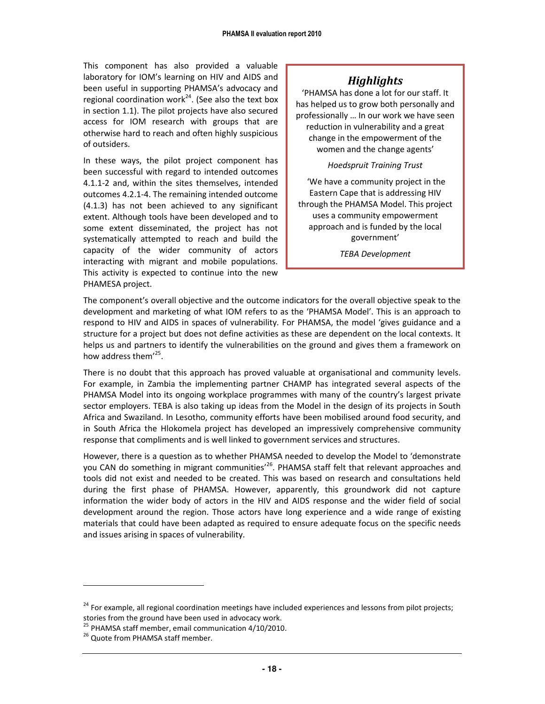This component has also provided a valuable laboratory for IOM's learning on HIV and AIDS and been useful in supporting PHAMSA's advocacy and regional coordination work<sup>24</sup>. (See also the text box in section 1.1). The pilot projects have also secured access for IOM research with groups that are otherwise hard to reach and often highly suspicious of outsiders.

In these ways, the pilot project component has been successful with regard to intended outcomes 4.1.1-2 and, within the sites themselves, intended outcomes 4.2.1-4. The remaining intended outcome (4.1.3) has not been achieved to any significant extent. Although tools have been developed and to some extent disseminated, the project has not systematically attempted to reach and build the capacity of the wider community of actors interacting with migrant and mobile populations. This activity is expected to continue into the new PHAMESA project.

#### **Highlights**

'PHAMSA has done a lot for our staff. It has helped us to grow both personally and professionally … In our work we have seen reduction in vulnerability and a great change in the empowerment of the women and the change agents'

#### Hoedspruit Training Trust

 'We have a community project in the Eastern Cape that is addressing HIV through the PHAMSA Model. This project uses a community empowerment approach and is funded by the local government'

TEBA Development

The component's overall objective and the outcome indicators for the overall objective speak to the development and marketing of what IOM refers to as the 'PHAMSA Model'. This is an approach to respond to HIV and AIDS in spaces of vulnerability. For PHAMSA, the model 'gives guidance and a structure for a project but does not define activities as these are dependent on the local contexts. It helps us and partners to identify the vulnerabilities on the ground and gives them a framework on how address them<sup>'25</sup>.

There is no doubt that this approach has proved valuable at organisational and community levels. For example, in Zambia the implementing partner CHAMP has integrated several aspects of the PHAMSA Model into its ongoing workplace programmes with many of the country's largest private sector employers. TEBA is also taking up ideas from the Model in the design of its projects in South Africa and Swaziland. In Lesotho, community efforts have been mobilised around food security, and in South Africa the Hlokomela project has developed an impressively comprehensive community response that compliments and is well linked to government services and structures.

However, there is a question as to whether PHAMSA needed to develop the Model to 'demonstrate you CAN do something in migrant communities<sup>26</sup>. PHAMSA staff felt that relevant approaches and tools did not exist and needed to be created. This was based on research and consultations held during the first phase of PHAMSA. However, apparently, this groundwork did not capture information the wider body of actors in the HIV and AIDS response and the wider field of social development around the region. Those actors have long experience and a wide range of existing materials that could have been adapted as required to ensure adequate focus on the specific needs and issues arising in spaces of vulnerability.

-

<sup>&</sup>lt;sup>24</sup> For example, all regional coordination meetings have included experiences and lessons from pilot projects; stories from the ground have been used in advocacy work.

<sup>&</sup>lt;sup>25</sup> PHAMSA staff member, email communication 4/10/2010.

<sup>&</sup>lt;sup>26</sup> Quote from PHAMSA staff member.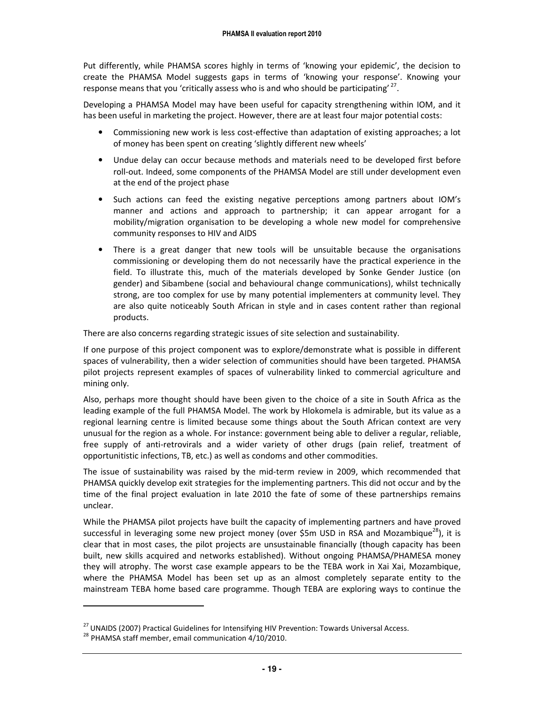Put differently, while PHAMSA scores highly in terms of 'knowing your epidemic', the decision to create the PHAMSA Model suggests gaps in terms of 'knowing your response'. Knowing your response means that you 'critically assess who is and who should be participating'  $^{27}$ .

Developing a PHAMSA Model may have been useful for capacity strengthening within IOM, and it has been useful in marketing the project. However, there are at least four major potential costs:

- Commissioning new work is less cost-effective than adaptation of existing approaches; a lot of money has been spent on creating 'slightly different new wheels'
- Undue delay can occur because methods and materials need to be developed first before roll-out. Indeed, some components of the PHAMSA Model are still under development even at the end of the project phase
- Such actions can feed the existing negative perceptions among partners about IOM's manner and actions and approach to partnership; it can appear arrogant for a mobility/migration organisation to be developing a whole new model for comprehensive community responses to HIV and AIDS
- There is a great danger that new tools will be unsuitable because the organisations commissioning or developing them do not necessarily have the practical experience in the field. To illustrate this, much of the materials developed by Sonke Gender Justice (on gender) and Sibambene (social and behavioural change communications), whilst technically strong, are too complex for use by many potential implementers at community level. They are also quite noticeably South African in style and in cases content rather than regional products.

There are also concerns regarding strategic issues of site selection and sustainability.

If one purpose of this project component was to explore/demonstrate what is possible in different spaces of vulnerability, then a wider selection of communities should have been targeted. PHAMSA pilot projects represent examples of spaces of vulnerability linked to commercial agriculture and mining only.

Also, perhaps more thought should have been given to the choice of a site in South Africa as the leading example of the full PHAMSA Model. The work by Hlokomela is admirable, but its value as a regional learning centre is limited because some things about the South African context are very unusual for the region as a whole. For instance: government being able to deliver a regular, reliable, free supply of anti-retrovirals and a wider variety of other drugs (pain relief, treatment of opportunitistic infections, TB, etc.) as well as condoms and other commodities.

The issue of sustainability was raised by the mid-term review in 2009, which recommended that PHAMSA quickly develop exit strategies for the implementing partners. This did not occur and by the time of the final project evaluation in late 2010 the fate of some of these partnerships remains unclear.

While the PHAMSA pilot projects have built the capacity of implementing partners and have proved successful in leveraging some new project money (over \$5m USD in RSA and Mozambique<sup>28</sup>), it is clear that in most cases, the pilot projects are unsustainable financially (though capacity has been built, new skills acquired and networks established). Without ongoing PHAMSA/PHAMESA money they will atrophy. The worst case example appears to be the TEBA work in Xai Xai, Mozambique, where the PHAMSA Model has been set up as an almost completely separate entity to the mainstream TEBA home based care programme. Though TEBA are exploring ways to continue the

<u>.</u>

<sup>&</sup>lt;sup>27</sup> UNAIDS (2007) Practical Guidelines for Intensifying HIV Prevention: Towards Universal Access.

 $^{28}$  PHAMSA staff member, email communication 4/10/2010.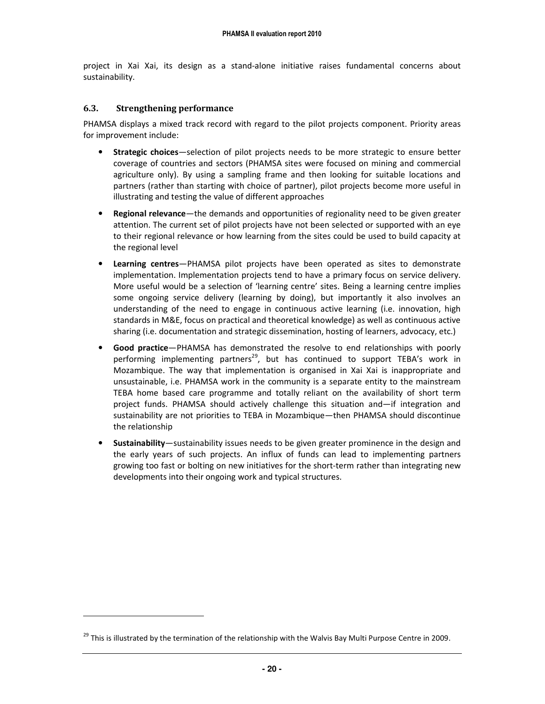project in Xai Xai, its design as a stand-alone initiative raises fundamental concerns about sustainability.

#### 6.3. Strengthening performance

-

PHAMSA displays a mixed track record with regard to the pilot projects component. Priority areas for improvement include:

- Strategic choices—selection of pilot projects needs to be more strategic to ensure better coverage of countries and sectors (PHAMSA sites were focused on mining and commercial agriculture only). By using a sampling frame and then looking for suitable locations and partners (rather than starting with choice of partner), pilot projects become more useful in illustrating and testing the value of different approaches
- Regional relevance—the demands and opportunities of regionality need to be given greater attention. The current set of pilot projects have not been selected or supported with an eye to their regional relevance or how learning from the sites could be used to build capacity at the regional level
- Learning centres—PHAMSA pilot projects have been operated as sites to demonstrate implementation. Implementation projects tend to have a primary focus on service delivery. More useful would be a selection of 'learning centre' sites. Being a learning centre implies some ongoing service delivery (learning by doing), but importantly it also involves an understanding of the need to engage in continuous active learning (i.e. innovation, high standards in M&E, focus on practical and theoretical knowledge) as well as continuous active sharing (i.e. documentation and strategic dissemination, hosting of learners, advocacy, etc.)
- Good practice—PHAMSA has demonstrated the resolve to end relationships with poorly performing implementing partners<sup>29</sup>, but has continued to support TEBA's work in Mozambique. The way that implementation is organised in Xai Xai is inappropriate and unsustainable, i.e. PHAMSA work in the community is a separate entity to the mainstream TEBA home based care programme and totally reliant on the availability of short term project funds. PHAMSA should actively challenge this situation and—if integration and sustainability are not priorities to TEBA in Mozambique—then PHAMSA should discontinue the relationship
- Sustainability—sustainability issues needs to be given greater prominence in the design and the early years of such projects. An influx of funds can lead to implementing partners growing too fast or bolting on new initiatives for the short-term rather than integrating new developments into their ongoing work and typical structures.

<sup>&</sup>lt;sup>29</sup> This is illustrated by the termination of the relationship with the Walvis Bay Multi Purpose Centre in 2009.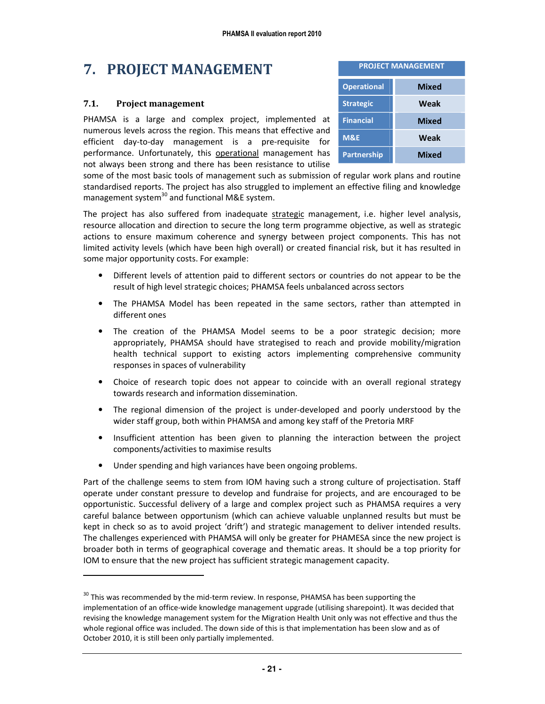# 7. PROJECT MANAGEMENT

#### 7.1. Project management

.

PHAMSA is a large and complex project, implemented at numerous levels across the region. This means that effective and efficient day-to-day management is a pre-requisite for performance. Unfortunately, this operational management has not always been strong and there has been resistance to utilise

| <b>PROJECT MANAGEMENT</b> |              |  |
|---------------------------|--------------|--|
| <b>Operational</b>        | <b>Mixed</b> |  |
| <b>Strategic</b>          | Weak         |  |
| <b>Financial</b>          | <b>Mixed</b> |  |
| <b>M&amp;E</b>            | Weak         |  |
| <b>Partnership</b>        | <b>Mixed</b> |  |

some of the most basic tools of management such as submission of regular work plans and routine standardised reports. The project has also struggled to implement an effective filing and knowledge management system $^{30}$  and functional M&E system.

The project has also suffered from inadequate strategic management, i.e. higher level analysis, resource allocation and direction to secure the long term programme objective, as well as strategic actions to ensure maximum coherence and synergy between project components. This has not limited activity levels (which have been high overall) or created financial risk, but it has resulted in some major opportunity costs. For example:

- Different levels of attention paid to different sectors or countries do not appear to be the result of high level strategic choices; PHAMSA feels unbalanced across sectors
- The PHAMSA Model has been repeated in the same sectors, rather than attempted in different ones
- The creation of the PHAMSA Model seems to be a poor strategic decision; more appropriately, PHAMSA should have strategised to reach and provide mobility/migration health technical support to existing actors implementing comprehensive community responses in spaces of vulnerability
- Choice of research topic does not appear to coincide with an overall regional strategy towards research and information dissemination.
- The regional dimension of the project is under-developed and poorly understood by the wider staff group, both within PHAMSA and among key staff of the Pretoria MRF
- Insufficient attention has been given to planning the interaction between the project components/activities to maximise results
- Under spending and high variances have been ongoing problems.

Part of the challenge seems to stem from IOM having such a strong culture of projectisation. Staff operate under constant pressure to develop and fundraise for projects, and are encouraged to be opportunistic. Successful delivery of a large and complex project such as PHAMSA requires a very careful balance between opportunism (which can achieve valuable unplanned results but must be kept in check so as to avoid project 'drift') and strategic management to deliver intended results. The challenges experienced with PHAMSA will only be greater for PHAMESA since the new project is broader both in terms of geographical coverage and thematic areas. It should be a top priority for IOM to ensure that the new project has sufficient strategic management capacity.

<sup>&</sup>lt;sup>30</sup> This was recommended by the mid-term review. In response, PHAMSA has been supporting the implementation of an office-wide knowledge management upgrade (utilising sharepoint). It was decided that revising the knowledge management system for the Migration Health Unit only was not effective and thus the whole regional office was included. The down side of this is that implementation has been slow and as of October 2010, it is still been only partially implemented.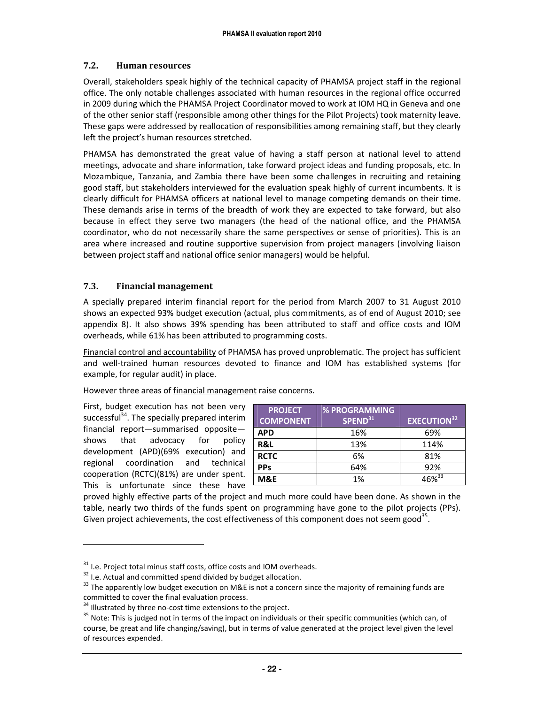#### 7.2. Human resources

Overall, stakeholders speak highly of the technical capacity of PHAMSA project staff in the regional office. The only notable challenges associated with human resources in the regional office occurred in 2009 during which the PHAMSA Project Coordinator moved to work at IOM HQ in Geneva and one of the other senior staff (responsible among other things for the Pilot Projects) took maternity leave. These gaps were addressed by reallocation of responsibilities among remaining staff, but they clearly left the project's human resources stretched.

PHAMSA has demonstrated the great value of having a staff person at national level to attend meetings, advocate and share information, take forward project ideas and funding proposals, etc. In Mozambique, Tanzania, and Zambia there have been some challenges in recruiting and retaining good staff, but stakeholders interviewed for the evaluation speak highly of current incumbents. It is clearly difficult for PHAMSA officers at national level to manage competing demands on their time. These demands arise in terms of the breadth of work they are expected to take forward, but also because in effect they serve two managers (the head of the national office, and the PHAMSA coordinator, who do not necessarily share the same perspectives or sense of priorities). This is an area where increased and routine supportive supervision from project managers (involving liaison between project staff and national office senior managers) would be helpful.

#### 7.3. Financial management

A specially prepared interim financial report for the period from March 2007 to 31 August 2010 shows an expected 93% budget execution (actual, plus commitments, as of end of August 2010; see appendix 8). It also shows 39% spending has been attributed to staff and office costs and IOM overheads, while 61% has been attributed to programming costs.

Financial control and accountability of PHAMSA has proved unproblematic. The project has sufficient and well-trained human resources devoted to finance and IOM has established systems (for example, for regular audit) in place.

However three areas of financial management raise concerns.

First, budget execution has not been very successful<sup>34</sup>. The specially prepared interim financial report—summarised opposite shows that advocacy for policy development (APD)(69% execution) and regional coordination and technical cooperation (RCTC)(81%) are under spent. This is unfortunate since these have

-

| <b>PROJECT</b>   | <b>% PROGRAMMING</b> |                    |
|------------------|----------------------|--------------------|
| <b>COMPONENT</b> | SPEND <sup>31</sup>  | <b>EXECUTION32</b> |
| <b>APD</b>       | 16%                  | 69%                |
| R&L              | 13%                  | 114%               |
| <b>RCTC</b>      | 6%                   | 81%                |
| <b>PPs</b>       | 64%                  | 92%                |
| M&E              | 1%                   | $46\%^{33}$        |

proved highly effective parts of the project and much more could have been done. As shown in the table, nearly two thirds of the funds spent on programming have gone to the pilot projects (PPs). Given project achievements, the cost effectiveness of this component does not seem good<sup>35</sup>.

 $31$  I.e. Project total minus staff costs, office costs and IOM overheads.

 $32$  I.e. Actual and committed spend divided by budget allocation.

<sup>&</sup>lt;sup>33</sup> The apparently low budget execution on M&E is not a concern since the majority of remaining funds are committed to cover the final evaluation process.

<sup>&</sup>lt;sup>34</sup> Illustrated by three no-cost time extensions to the project.

<sup>&</sup>lt;sup>35</sup> Note: This is judged not in terms of the impact on individuals or their specific communities (which can, of course, be great and life changing/saving), but in terms of value generated at the project level given the level of resources expended.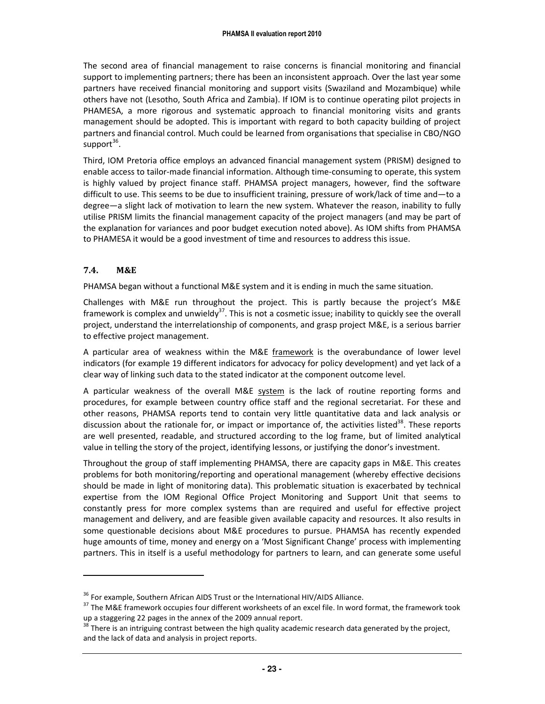The second area of financial management to raise concerns is financial monitoring and financial support to implementing partners; there has been an inconsistent approach. Over the last year some partners have received financial monitoring and support visits (Swaziland and Mozambique) while others have not (Lesotho, South Africa and Zambia). If IOM is to continue operating pilot projects in PHAMESA, a more rigorous and systematic approach to financial monitoring visits and grants management should be adopted. This is important with regard to both capacity building of project partners and financial control. Much could be learned from organisations that specialise in CBO/NGO support<sup>36</sup>.

Third, IOM Pretoria office employs an advanced financial management system (PRISM) designed to enable access to tailor-made financial information. Although time-consuming to operate, this system is highly valued by project finance staff. PHAMSA project managers, however, find the software difficult to use. This seems to be due to insufficient training, pressure of work/lack of time and—to a degree—a slight lack of motivation to learn the new system. Whatever the reason, inability to fully utilise PRISM limits the financial management capacity of the project managers (and may be part of the explanation for variances and poor budget execution noted above). As IOM shifts from PHAMSA to PHAMESA it would be a good investment of time and resources to address this issue.

#### 7.4. M&E

.

PHAMSA began without a functional M&E system and it is ending in much the same situation.

Challenges with M&E run throughout the project. This is partly because the project's M&E framework is complex and unwieldy<sup>37</sup>. This is not a cosmetic issue; inability to quickly see the overall project, understand the interrelationship of components, and grasp project M&E, is a serious barrier to effective project management.

A particular area of weakness within the M&E framework is the overabundance of lower level indicators (for example 19 different indicators for advocacy for policy development) and yet lack of a clear way of linking such data to the stated indicator at the component outcome level.

A particular weakness of the overall M&E system is the lack of routine reporting forms and procedures, for example between country office staff and the regional secretariat. For these and other reasons, PHAMSA reports tend to contain very little quantitative data and lack analysis or discussion about the rationale for, or impact or importance of, the activities listed<sup>38</sup>. These reports are well presented, readable, and structured according to the log frame, but of limited analytical value in telling the story of the project, identifying lessons, or justifying the donor's investment.

Throughout the group of staff implementing PHAMSA, there are capacity gaps in M&E. This creates problems for both monitoring/reporting and operational management (whereby effective decisions should be made in light of monitoring data). This problematic situation is exacerbated by technical expertise from the IOM Regional Office Project Monitoring and Support Unit that seems to constantly press for more complex systems than are required and useful for effective project management and delivery, and are feasible given available capacity and resources. It also results in some questionable decisions about M&E procedures to pursue. PHAMSA has recently expended huge amounts of time, money and energy on a 'Most Significant Change' process with implementing partners. This in itself is a useful methodology for partners to learn, and can generate some useful

 $36$  For example, Southern African AIDS Trust or the International HIV/AIDS Alliance.

<sup>&</sup>lt;sup>37</sup> The M&E framework occupies four different worksheets of an excel file. In word format, the framework took up a staggering 22 pages in the annex of the 2009 annual report.

 $38$  There is an intriguing contrast between the high quality academic research data generated by the project, and the lack of data and analysis in project reports.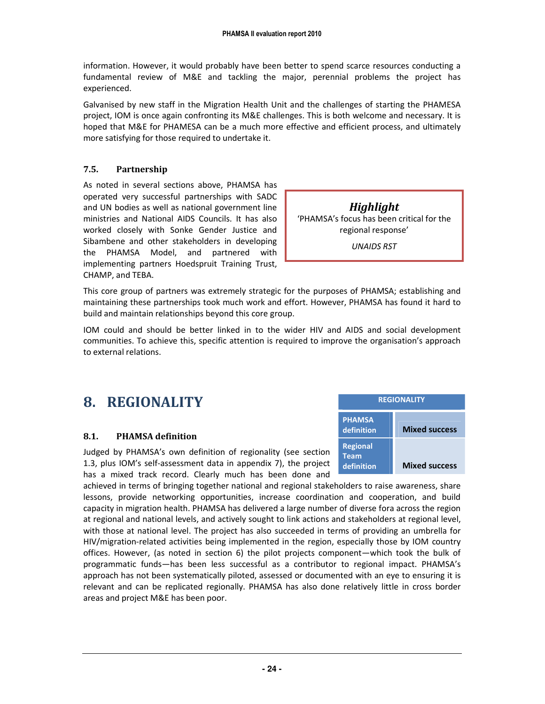information. However, it would probably have been better to spend scarce resources conducting a fundamental review of M&E and tackling the major, perennial problems the project has experienced.

Galvanised by new staff in the Migration Health Unit and the challenges of starting the PHAMESA project, IOM is once again confronting its M&E challenges. This is both welcome and necessary. It is hoped that M&E for PHAMESA can be a much more effective and efficient process, and ultimately more satisfying for those required to undertake it.

#### 7.5. Partnership

As noted in several sections above, PHAMSA has operated very successful partnerships with SADC and UN bodies as well as national government line ministries and National AIDS Councils. It has also worked closely with Sonke Gender Justice and Sibambene and other stakeholders in developing the PHAMSA Model, and partnered with implementing partners Hoedspruit Training Trust, CHAMP, and TEBA.

Highlight 'PHAMSA's focus has been critical for the regional response'

UNAIDS RST

This core group of partners was extremely strategic for the purposes of PHAMSA; establishing and maintaining these partnerships took much work and effort. However, PHAMSA has found it hard to build and maintain relationships beyond this core group.

IOM could and should be better linked in to the wider HIV and AIDS and social development communities. To achieve this, specific attention is required to improve the organisation's approach to external relations.

### 8. REGIONALITY

#### 8.1. PHAMSA definition

Judged by PHAMSA's own definition of regionality (see section 1.3, plus IOM's self-assessment data in appendix 7), the project has a mixed track record. Clearly much has been done and

achieved in terms of bringing together national and regional stakeholders to raise awareness, share lessons, provide networking opportunities, increase coordination and cooperation, and build capacity in migration health. PHAMSA has delivered a large number of diverse fora across the region at regional and national levels, and actively sought to link actions and stakeholders at regional level, with those at national level. The project has also succeeded in terms of providing an umbrella for HIV/migration-related activities being implemented in the region, especially those by IOM country offices. However, (as noted in section 6) the pilot projects component—which took the bulk of programmatic funds—has been less successful as a contributor to regional impact. PHAMSA's approach has not been systematically piloted, assessed or documented with an eye to ensuring it is relevant and can be replicated regionally. PHAMSA has also done relatively little in cross border areas and project M&E has been poor.

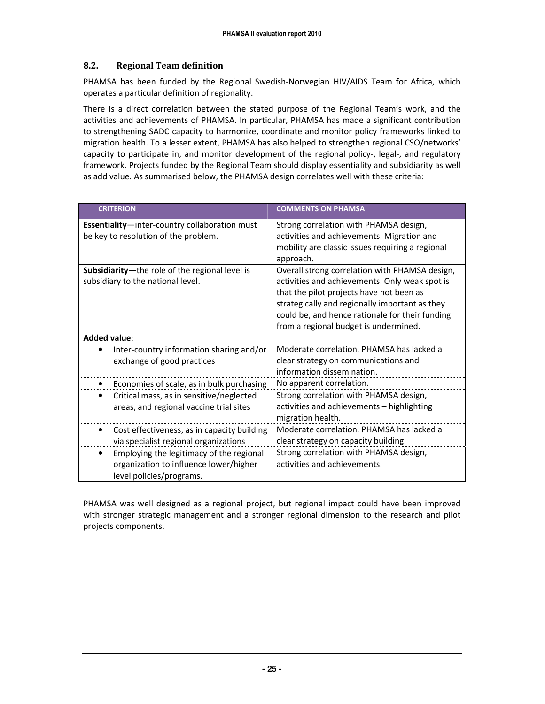#### 8.2. Regional Team definition

PHAMSA has been funded by the Regional Swedish-Norwegian HIV/AIDS Team for Africa, which operates a particular definition of regionality.

There is a direct correlation between the stated purpose of the Regional Team's work, and the activities and achievements of PHAMSA. In particular, PHAMSA has made a significant contribution to strengthening SADC capacity to harmonize, coordinate and monitor policy frameworks linked to migration health. To a lesser extent, PHAMSA has also helped to strengthen regional CSO/networks' capacity to participate in, and monitor development of the regional policy-, legal-, and regulatory framework. Projects funded by the Regional Team should display essentiality and subsidiarity as well as add value. As summarised below, the PHAMSA design correlates well with these criteria:

| <b>CRITERION</b>                                                                                               | <b>COMMENTS ON PHAMSA</b>                                                                                                                                                                                                                                                                  |
|----------------------------------------------------------------------------------------------------------------|--------------------------------------------------------------------------------------------------------------------------------------------------------------------------------------------------------------------------------------------------------------------------------------------|
| <b>Essentiality</b> -inter-country collaboration must<br>be key to resolution of the problem.                  | Strong correlation with PHAMSA design,<br>activities and achievements. Migration and<br>mobility are classic issues requiring a regional<br>approach.                                                                                                                                      |
| Subsidiarity-the role of the regional level is<br>subsidiary to the national level.                            | Overall strong correlation with PHAMSA design,<br>activities and achievements. Only weak spot is<br>that the pilot projects have not been as<br>strategically and regionally important as they<br>could be, and hence rationale for their funding<br>from a regional budget is undermined. |
| <b>Added value:</b>                                                                                            |                                                                                                                                                                                                                                                                                            |
| Inter-country information sharing and/or<br>exchange of good practices                                         | Moderate correlation. PHAMSA has lacked a<br>clear strategy on communications and<br>information dissemination.                                                                                                                                                                            |
| Economies of scale, as in bulk purchasing                                                                      | No apparent correlation.                                                                                                                                                                                                                                                                   |
| Critical mass, as in sensitive/neglected<br>areas, and regional vaccine trial sites                            | Strong correlation with PHAMSA design,<br>activities and achievements - highlighting<br>migration health.                                                                                                                                                                                  |
| Cost effectiveness, as in capacity building<br>via specialist regional organizations                           | Moderate correlation. PHAMSA has lacked a<br>clear strategy on capacity building.                                                                                                                                                                                                          |
| Employing the legitimacy of the regional<br>organization to influence lower/higher<br>level policies/programs. | Strong correlation with PHAMSA design,<br>activities and achievements.                                                                                                                                                                                                                     |

PHAMSA was well designed as a regional project, but regional impact could have been improved with stronger strategic management and a stronger regional dimension to the research and pilot projects components.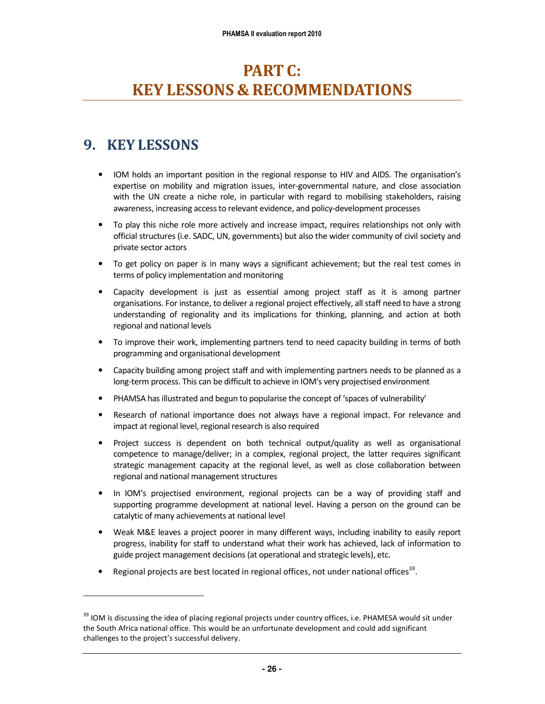# PART C: KEY LESSONS & RECOMMENDATIONS

### 9. KEY LESSONS

-

- IOM holds an important position in the regional response to HIV and AIDS. The organisation's expertise on mobility and migration issues, inter-governmental nature, and close association with the UN create a niche role, in particular with regard to mobilising stakeholders, raising awareness, increasing access to relevant evidence, and policy-development processes
- To play this niche role more actively and increase impact, requires relationships not only with official structures (i.e. SADC, UN, governments) but also the wider community of civil society and private sector actors
- To get policy on paper is in many ways a significant achievement; but the real test comes in terms of policy implementation and monitoring
- Capacity development is just as essential among project staff as it is among partner organisations. For instance, to deliver a regional project effectively, all staff need to have a strong understanding of regionality and its implications for thinking, planning, and action at both regional and national levels
- To improve their work, implementing partners tend to need capacity building in terms of both programming and organisational development
- Capacity building among project staff and with implementing partners needs to be planned as a long-term process. This can be difficult to achieve in IOM's very projectised environment
- PHAMSA has illustrated and begun to popularise the concept of 'spaces of vulnerability'
- Research of national importance does not always have a regional impact. For relevance and impact at regional level, regional research is also required
- Project success is dependent on both technical output/quality as well as organisational competence to manage/deliver; in a complex, regional project, the latter requires significant strategic management capacity at the regional level, as well as close collaboration between regional and national management structures
- In IOM's projectised environment, regional projects can be a way of providing staff and supporting programme development at national level. Having a person on the ground can be catalytic of many achievements at national level
- Weak M&E leaves a project poorer in many different ways, including inability to easily report progress, inability for staff to understand what their work has achieved, lack of information to guide project management decisions (at operational and strategic levels), etc.
- Regional projects are best located in regional offices, not under national offices<sup>39</sup>.

<sup>&</sup>lt;sup>39</sup> IOM is discussing the idea of placing regional projects under country offices, i.e. PHAMESA would sit under the South Africa national office. This would be an unfortunate development and could add significant challenges to the project's successful delivery.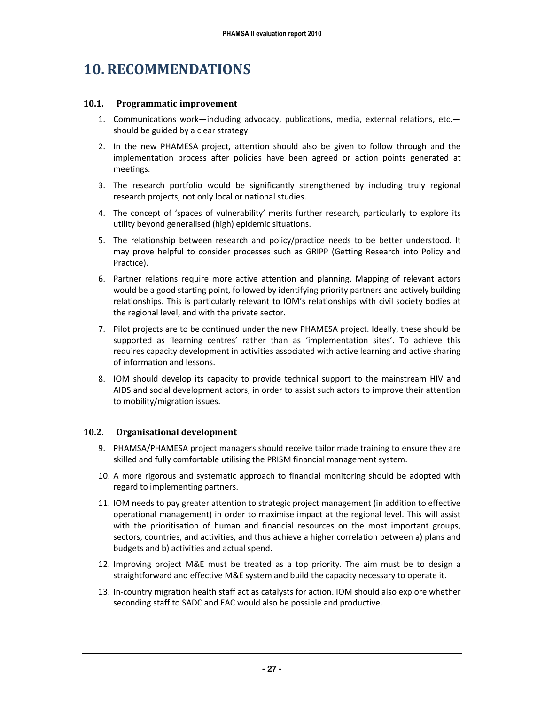### 10.RECOMMENDATIONS

#### 10.1. Programmatic improvement

- 1. Communications work—including advocacy, publications, media, external relations, etc. should be guided by a clear strategy.
- 2. In the new PHAMESA project, attention should also be given to follow through and the implementation process after policies have been agreed or action points generated at meetings.
- 3. The research portfolio would be significantly strengthened by including truly regional research projects, not only local or national studies.
- 4. The concept of 'spaces of vulnerability' merits further research, particularly to explore its utility beyond generalised (high) epidemic situations.
- 5. The relationship between research and policy/practice needs to be better understood. It may prove helpful to consider processes such as GRIPP (Getting Research into Policy and Practice).
- 6. Partner relations require more active attention and planning. Mapping of relevant actors would be a good starting point, followed by identifying priority partners and actively building relationships. This is particularly relevant to IOM's relationships with civil society bodies at the regional level, and with the private sector.
- 7. Pilot projects are to be continued under the new PHAMESA project. Ideally, these should be supported as 'learning centres' rather than as 'implementation sites'. To achieve this requires capacity development in activities associated with active learning and active sharing of information and lessons.
- 8. IOM should develop its capacity to provide technical support to the mainstream HIV and AIDS and social development actors, in order to assist such actors to improve their attention to mobility/migration issues.

#### 10.2. Organisational development

- 9. PHAMSA/PHAMESA project managers should receive tailor made training to ensure they are skilled and fully comfortable utilising the PRISM financial management system.
- 10. A more rigorous and systematic approach to financial monitoring should be adopted with regard to implementing partners.
- 11. IOM needs to pay greater attention to strategic project management (in addition to effective operational management) in order to maximise impact at the regional level. This will assist with the prioritisation of human and financial resources on the most important groups, sectors, countries, and activities, and thus achieve a higher correlation between a) plans and budgets and b) activities and actual spend.
- 12. Improving project M&E must be treated as a top priority. The aim must be to design a straightforward and effective M&E system and build the capacity necessary to operate it.
- 13. In-country migration health staff act as catalysts for action. IOM should also explore whether seconding staff to SADC and EAC would also be possible and productive.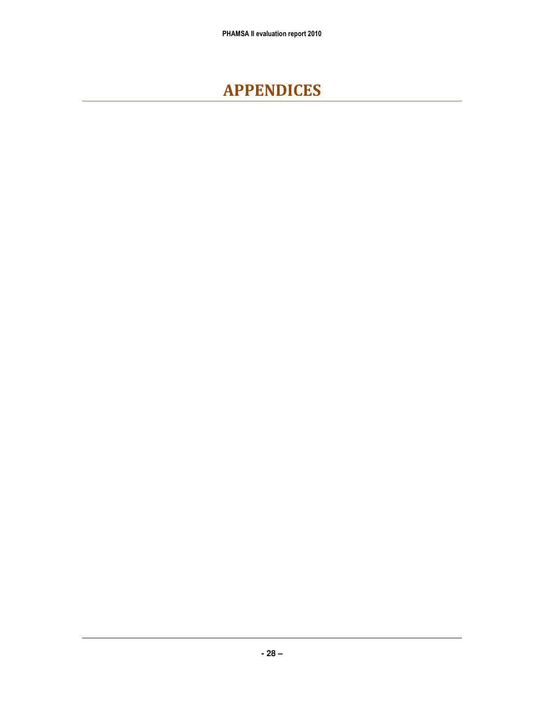# APPENDICES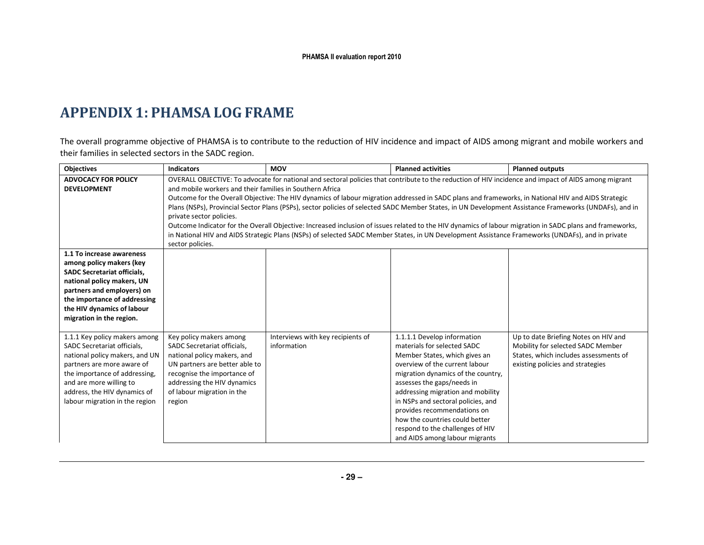# APPENDIX 1: PHAMSA LOG FRAME

The overall programme objective of PHAMSA is to contribute to the reduction of HIV incidence and impact of AIDS among migrant and mobile workers and their families in selected sectors in the SADC region.

| <b>Objectives</b>                  | <b>Indicators</b>                                        | <b>MOV</b>                                                                                                                                         | <b>Planned activities</b>          | <b>Planned outputs</b>                                                                                                                                   |
|------------------------------------|----------------------------------------------------------|----------------------------------------------------------------------------------------------------------------------------------------------------|------------------------------------|----------------------------------------------------------------------------------------------------------------------------------------------------------|
| <b>ADVOCACY FOR POLICY</b>         |                                                          |                                                                                                                                                    |                                    | OVERALL OBJECTIVE: To advocate for national and sectoral policies that contribute to the reduction of HIV incidence and impact of AIDS among migrant     |
| <b>DEVELOPMENT</b>                 | and mobile workers and their families in Southern Africa |                                                                                                                                                    |                                    |                                                                                                                                                          |
|                                    |                                                          | Outcome for the Overall Objective: The HIV dynamics of labour migration addressed in SADC plans and frameworks, in National HIV and AIDS Strategic |                                    |                                                                                                                                                          |
|                                    |                                                          |                                                                                                                                                    |                                    | Plans (NSPs), Provincial Sector Plans (PSPs), sector policies of selected SADC Member States, in UN Development Assistance Frameworks (UNDAFs), and in   |
|                                    | private sector policies.                                 |                                                                                                                                                    |                                    |                                                                                                                                                          |
|                                    |                                                          |                                                                                                                                                    |                                    | Outcome Indicator for the Overall Objective: Increased inclusion of issues related to the HIV dynamics of labour migration in SADC plans and frameworks, |
|                                    |                                                          | in National HIV and AIDS Strategic Plans (NSPs) of selected SADC Member States, in UN Development Assistance Frameworks (UNDAFs), and in private   |                                    |                                                                                                                                                          |
|                                    | sector policies.                                         |                                                                                                                                                    |                                    |                                                                                                                                                          |
| 1.1 To increase awareness          |                                                          |                                                                                                                                                    |                                    |                                                                                                                                                          |
| among policy makers (key           |                                                          |                                                                                                                                                    |                                    |                                                                                                                                                          |
| <b>SADC Secretariat officials,</b> |                                                          |                                                                                                                                                    |                                    |                                                                                                                                                          |
| national policy makers, UN         |                                                          |                                                                                                                                                    |                                    |                                                                                                                                                          |
| partners and employers) on         |                                                          |                                                                                                                                                    |                                    |                                                                                                                                                          |
| the importance of addressing       |                                                          |                                                                                                                                                    |                                    |                                                                                                                                                          |
| the HIV dynamics of labour         |                                                          |                                                                                                                                                    |                                    |                                                                                                                                                          |
| migration in the region.           |                                                          |                                                                                                                                                    |                                    |                                                                                                                                                          |
| 1.1.1 Key policy makers among      |                                                          | Interviews with key recipients of                                                                                                                  | 1.1.1.1 Develop information        | Up to date Briefing Notes on HIV and                                                                                                                     |
| SADC Secretariat officials,        | Key policy makers among<br>SADC Secretariat officials,   | information                                                                                                                                        | materials for selected SADC        | Mobility for selected SADC Member                                                                                                                        |
| national policy makers, and UN     | national policy makers, and                              |                                                                                                                                                    | Member States, which gives an      | States, which includes assessments of                                                                                                                    |
| partners are more aware of         | UN partners are better able to                           |                                                                                                                                                    | overview of the current labour     | existing policies and strategies                                                                                                                         |
| the importance of addressing,      | recognise the importance of                              |                                                                                                                                                    | migration dynamics of the country, |                                                                                                                                                          |
| and are more willing to            | addressing the HIV dynamics                              |                                                                                                                                                    | assesses the gaps/needs in         |                                                                                                                                                          |
| address, the HIV dynamics of       | of labour migration in the                               |                                                                                                                                                    | addressing migration and mobility  |                                                                                                                                                          |
| labour migration in the region     | region                                                   |                                                                                                                                                    | in NSPs and sectoral policies, and |                                                                                                                                                          |
|                                    |                                                          |                                                                                                                                                    | provides recommendations on        |                                                                                                                                                          |
|                                    |                                                          |                                                                                                                                                    | how the countries could better     |                                                                                                                                                          |
|                                    |                                                          |                                                                                                                                                    | respond to the challenges of HIV   |                                                                                                                                                          |
|                                    |                                                          |                                                                                                                                                    | and AIDS among labour migrants     |                                                                                                                                                          |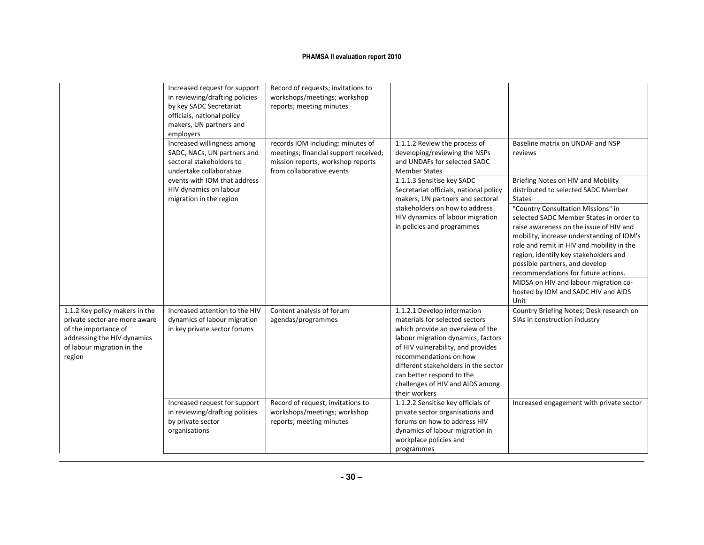|                                                                                                                                                                | Increased request for support<br>in reviewing/drafting policies<br>by key SADC Secretariat<br>officials, national policy<br>makers, UN partners and<br>employers | Record of requests; invitations to<br>workshops/meetings; workshop<br>reports; meeting minutes                                               |                                                                                                                                                                                                                                                                                                                                   |                                                                                                                                                                                                                                                                                                                                                                                                                              |
|----------------------------------------------------------------------------------------------------------------------------------------------------------------|------------------------------------------------------------------------------------------------------------------------------------------------------------------|----------------------------------------------------------------------------------------------------------------------------------------------|-----------------------------------------------------------------------------------------------------------------------------------------------------------------------------------------------------------------------------------------------------------------------------------------------------------------------------------|------------------------------------------------------------------------------------------------------------------------------------------------------------------------------------------------------------------------------------------------------------------------------------------------------------------------------------------------------------------------------------------------------------------------------|
|                                                                                                                                                                | Increased willingness among<br>SADC, NACs, UN partners and<br>sectoral stakeholders to<br>undertake collaborative                                                | records IOM including: minutes of<br>meetings; financial support received;<br>mission reports; workshop reports<br>from collaborative events | 1.1.1.2 Review the process of<br>developing/reviewing the NSPs<br>and UNDAFs for selected SADC<br><b>Member States</b>                                                                                                                                                                                                            | Baseline matrix on UNDAF and NSP<br>reviews                                                                                                                                                                                                                                                                                                                                                                                  |
|                                                                                                                                                                | events with IOM that address<br>HIV dynamics on labour<br>migration in the region                                                                                |                                                                                                                                              | 1.1.1.3 Sensitise key SADC<br>Secretariat officials, national policy<br>makers, UN partners and sectoral                                                                                                                                                                                                                          | Briefing Notes on HIV and Mobility<br>distributed to selected SADC Member<br><b>States</b>                                                                                                                                                                                                                                                                                                                                   |
|                                                                                                                                                                |                                                                                                                                                                  |                                                                                                                                              | stakeholders on how to address<br>HIV dynamics of labour migration<br>in policies and programmes                                                                                                                                                                                                                                  | "Country Consultation Missions" in<br>selected SADC Member States in order to<br>raise awareness on the issue of HIV and<br>mobility, increase understanding of IOM's<br>role and remit in HIV and mobility in the<br>region, identify key stakeholders and<br>possible partners, and develop<br>recommendations for future actions.<br>MIDSA on HIV and labour migration co-<br>hosted by IOM and SADC HIV and AIDS<br>Unit |
| 1.1.2 Key policy makers in the<br>private sector are more aware<br>of the importance of<br>addressing the HIV dynamics<br>of labour migration in the<br>region | Increased attention to the HIV<br>dynamics of labour migration<br>in key private sector forums                                                                   | Content analysis of forum<br>agendas/programmes                                                                                              | 1.1.2.1 Develop information<br>materials for selected sectors<br>which provide an overview of the<br>labour migration dynamics, factors<br>of HIV vulnerability, and provides<br>recommendations on how<br>different stakeholders in the sector<br>can better respond to the<br>challenges of HIV and AIDS among<br>their workers | Country Briefing Notes; Desk research on<br>SIAs in construction industry                                                                                                                                                                                                                                                                                                                                                    |
|                                                                                                                                                                | Increased request for support<br>in reviewing/drafting policies<br>by private sector<br>organisations                                                            | Record of request; invitations to<br>workshops/meetings; workshop<br>reports; meeting minutes                                                | 1.1.2.2 Sensitise key officials of<br>private sector organisations and<br>forums on how to address HIV<br>dynamics of labour migration in<br>workplace policies and<br>programmes                                                                                                                                                 | Increased engagement with private sector                                                                                                                                                                                                                                                                                                                                                                                     |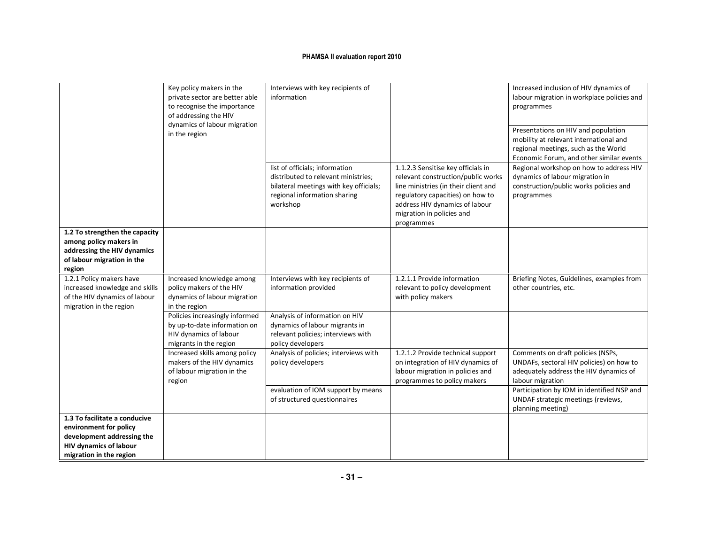| Key policy makers in the<br>private sector are better able<br>to recognise the importance<br>of addressing the HIV<br>dynamics of labour migration | Interviews with key recipients of<br>information                                                                   |                                                                                                                                                             | Increased inclusion of HIV dynamics of<br>labour migration in workplace policies and<br>programmes                                                                                                                                |                                                                                                                                                                   |
|----------------------------------------------------------------------------------------------------------------------------------------------------|--------------------------------------------------------------------------------------------------------------------|-------------------------------------------------------------------------------------------------------------------------------------------------------------|-----------------------------------------------------------------------------------------------------------------------------------------------------------------------------------------------------------------------------------|-------------------------------------------------------------------------------------------------------------------------------------------------------------------|
|                                                                                                                                                    | in the region                                                                                                      |                                                                                                                                                             |                                                                                                                                                                                                                                   | Presentations on HIV and population<br>mobility at relevant international and<br>regional meetings, such as the World<br>Economic Forum, and other similar events |
|                                                                                                                                                    |                                                                                                                    | list of officials; information<br>distributed to relevant ministries;<br>bilateral meetings with key officials;<br>regional information sharing<br>workshop | 1.1.2.3 Sensitise key officials in<br>relevant construction/public works<br>line ministries (in their client and<br>regulatory capacities) on how to<br>address HIV dynamics of labour<br>migration in policies and<br>programmes | Regional workshop on how to address HIV<br>dynamics of labour migration in<br>construction/public works policies and<br>programmes                                |
| 1.2 To strengthen the capacity<br>among policy makers in<br>addressing the HIV dynamics<br>of labour migration in the<br>region                    |                                                                                                                    |                                                                                                                                                             |                                                                                                                                                                                                                                   |                                                                                                                                                                   |
| 1.2.1 Policy makers have<br>increased knowledge and skills<br>of the HIV dynamics of labour<br>migration in the region                             | Increased knowledge among<br>policy makers of the HIV<br>dynamics of labour migration<br>in the region             | Interviews with key recipients of<br>information provided                                                                                                   | 1.2.1.1 Provide information<br>relevant to policy development<br>with policy makers                                                                                                                                               | Briefing Notes, Guidelines, examples from<br>other countries, etc.                                                                                                |
|                                                                                                                                                    | Policies increasingly informed<br>by up-to-date information on<br>HIV dynamics of labour<br>migrants in the region | Analysis of information on HIV<br>dynamics of labour migrants in<br>relevant policies; interviews with<br>policy developers                                 |                                                                                                                                                                                                                                   |                                                                                                                                                                   |
|                                                                                                                                                    | Increased skills among policy<br>makers of the HIV dynamics<br>of labour migration in the<br>region                | Analysis of policies; interviews with<br>policy developers                                                                                                  | 1.2.1.2 Provide technical support<br>on integration of HIV dynamics of<br>labour migration in policies and<br>programmes to policy makers                                                                                         | Comments on draft policies (NSPs,<br>UNDAFs, sectoral HIV policies) on how to<br>adequately address the HIV dynamics of<br>labour migration                       |
|                                                                                                                                                    |                                                                                                                    | evaluation of IOM support by means<br>of structured questionnaires                                                                                          |                                                                                                                                                                                                                                   | Participation by IOM in identified NSP and<br>UNDAF strategic meetings (reviews,<br>planning meeting)                                                             |
| 1.3 To facilitate a conducive<br>environment for policy<br>development addressing the<br><b>HIV dynamics of labour</b><br>migration in the region  |                                                                                                                    |                                                                                                                                                             |                                                                                                                                                                                                                                   |                                                                                                                                                                   |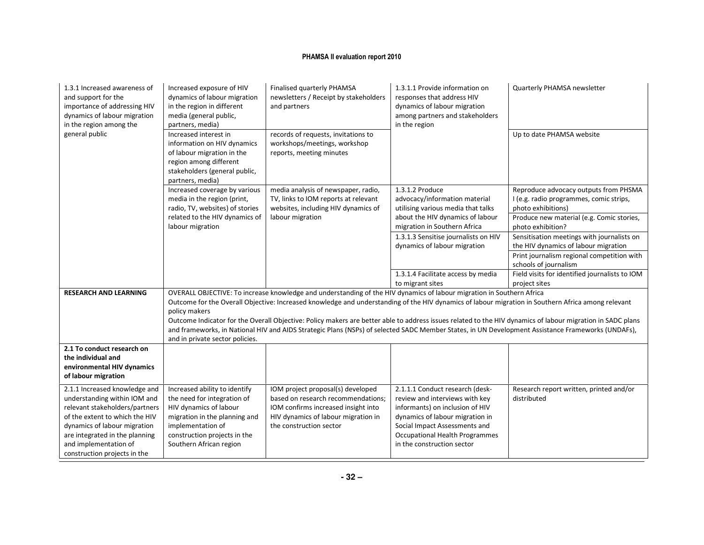| 1.3.1 Increased awareness of<br>and support for the<br>importance of addressing HIV<br>dynamics of labour migration<br>in the region among the                                                                                                               | Increased exposure of HIV<br>dynamics of labour migration<br>in the region in different<br>media (general public,<br>partners, media)                                                                   | Finalised quarterly PHAMSA<br>newsletters / Receipt by stakeholders<br>and partners                                                                                              | 1.3.1.1 Provide information on<br>responses that address HIV<br>dynamics of labour migration<br>among partners and stakeholders<br>in the region                                                                                                | Quarterly PHAMSA newsletter                                                                                                                                |
|--------------------------------------------------------------------------------------------------------------------------------------------------------------------------------------------------------------------------------------------------------------|---------------------------------------------------------------------------------------------------------------------------------------------------------------------------------------------------------|----------------------------------------------------------------------------------------------------------------------------------------------------------------------------------|-------------------------------------------------------------------------------------------------------------------------------------------------------------------------------------------------------------------------------------------------|------------------------------------------------------------------------------------------------------------------------------------------------------------|
| general public                                                                                                                                                                                                                                               | Increased interest in<br>information on HIV dynamics<br>of labour migration in the<br>region among different<br>stakeholders (general public,<br>partners, media)                                       | records of requests, invitations to<br>workshops/meetings, workshop<br>reports, meeting minutes                                                                                  |                                                                                                                                                                                                                                                 | Up to date PHAMSA website                                                                                                                                  |
|                                                                                                                                                                                                                                                              | Increased coverage by various                                                                                                                                                                           | media analysis of newspaper, radio,                                                                                                                                              | 1.3.1.2 Produce                                                                                                                                                                                                                                 | Reproduce advocacy outputs from PHSMA                                                                                                                      |
|                                                                                                                                                                                                                                                              | media in the region (print,<br>radio, TV, websites) of stories                                                                                                                                          | TV, links to IOM reports at relevant<br>websites, including HIV dynamics of                                                                                                      | advocacy/information material<br>utilising various media that talks                                                                                                                                                                             | I (e.g. radio programmes, comic strips,<br>photo exhibitions)                                                                                              |
|                                                                                                                                                                                                                                                              | related to the HIV dynamics of                                                                                                                                                                          | labour migration                                                                                                                                                                 | about the HIV dynamics of labour                                                                                                                                                                                                                | Produce new material (e.g. Comic stories,                                                                                                                  |
|                                                                                                                                                                                                                                                              | labour migration                                                                                                                                                                                        |                                                                                                                                                                                  | migration in Southern Africa                                                                                                                                                                                                                    | photo exhibition?                                                                                                                                          |
|                                                                                                                                                                                                                                                              |                                                                                                                                                                                                         |                                                                                                                                                                                  | 1.3.1.3 Sensitise journalists on HIV<br>dynamics of labour migration                                                                                                                                                                            | Sensitisation meetings with journalists on<br>the HIV dynamics of labour migration                                                                         |
|                                                                                                                                                                                                                                                              |                                                                                                                                                                                                         |                                                                                                                                                                                  |                                                                                                                                                                                                                                                 | Print journalism regional competition with<br>schools of journalism                                                                                        |
|                                                                                                                                                                                                                                                              |                                                                                                                                                                                                         |                                                                                                                                                                                  | 1.3.1.4 Facilitate access by media                                                                                                                                                                                                              | Field visits for identified journalists to IOM                                                                                                             |
| <b>RESEARCH AND LEARNING</b>                                                                                                                                                                                                                                 |                                                                                                                                                                                                         | OVERALL OBJECTIVE: To increase knowledge and understanding of the HIV dynamics of labour migration in Southern Africa                                                            | to migrant sites                                                                                                                                                                                                                                | project sites                                                                                                                                              |
|                                                                                                                                                                                                                                                              | policy makers                                                                                                                                                                                           |                                                                                                                                                                                  |                                                                                                                                                                                                                                                 | Outcome for the Overall Objective: Increased knowledge and understanding of the HIV dynamics of labour migration in Southern Africa among relevant         |
|                                                                                                                                                                                                                                                              |                                                                                                                                                                                                         |                                                                                                                                                                                  |                                                                                                                                                                                                                                                 | Outcome Indicator for the Overall Objective: Policy makers are better able to address issues related to the HIV dynamics of labour migration in SADC plans |
|                                                                                                                                                                                                                                                              | and in private sector policies.                                                                                                                                                                         |                                                                                                                                                                                  |                                                                                                                                                                                                                                                 | and frameworks, in National HIV and AIDS Strategic Plans (NSPs) of selected SADC Member States, in UN Development Assistance Frameworks (UNDAFs),          |
| 2.1 To conduct research on<br>the individual and<br>environmental HIV dynamics<br>of labour migration                                                                                                                                                        |                                                                                                                                                                                                         |                                                                                                                                                                                  |                                                                                                                                                                                                                                                 |                                                                                                                                                            |
| 2.1.1 Increased knowledge and<br>understanding within IOM and<br>relevant stakeholders/partners<br>of the extent to which the HIV<br>dynamics of labour migration<br>are integrated in the planning<br>and implementation of<br>construction projects in the | Increased ability to identify<br>the need for integration of<br>HIV dynamics of labour<br>migration in the planning and<br>implementation of<br>construction projects in the<br>Southern African region | IOM project proposal(s) developed<br>based on research recommendations;<br>IOM confirms increased insight into<br>HIV dynamics of labour migration in<br>the construction sector | 2.1.1.1 Conduct research (desk-<br>review and interviews with key<br>informants) on inclusion of HIV<br>dynamics of labour migration in<br>Social Impact Assessments and<br><b>Occupational Health Programmes</b><br>in the construction sector | Research report written, printed and/or<br>distributed                                                                                                     |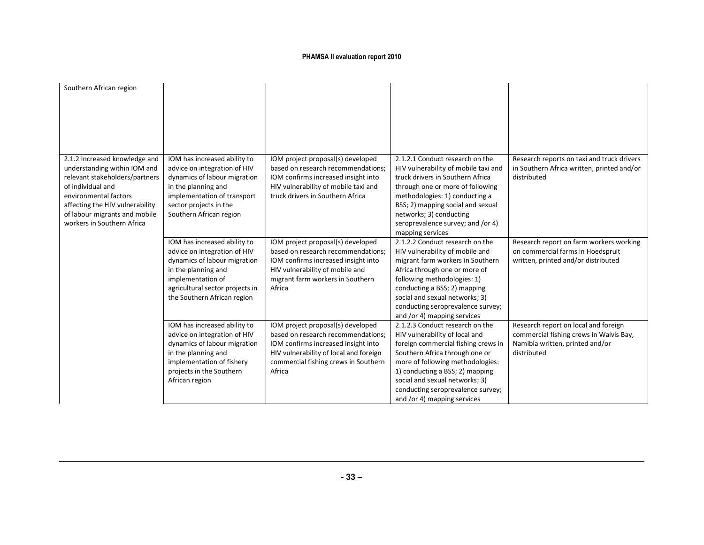| Southern African region                    |                                                       |                                                                          |                                                                     |                                            |
|--------------------------------------------|-------------------------------------------------------|--------------------------------------------------------------------------|---------------------------------------------------------------------|--------------------------------------------|
|                                            |                                                       |                                                                          |                                                                     |                                            |
|                                            |                                                       |                                                                          |                                                                     |                                            |
|                                            |                                                       |                                                                          |                                                                     |                                            |
|                                            |                                                       |                                                                          |                                                                     |                                            |
|                                            |                                                       |                                                                          |                                                                     |                                            |
| 2.1.2 Increased knowledge and              | IOM has increased ability to                          | IOM project proposal(s) developed                                        | 2.1.2.1 Conduct research on the                                     | Research reports on taxi and truck drivers |
| understanding within IOM and               | advice on integration of HIV                          | based on research recommendations;                                       | HIV vulnerability of mobile taxi and                                | in Southern Africa written, printed and/or |
| relevant stakeholders/partners             | dynamics of labour migration                          | IOM confirms increased insight into                                      | truck drivers in Southern Africa                                    | distributed                                |
| of individual and<br>environmental factors | in the planning and<br>implementation of transport    | HIV vulnerability of mobile taxi and<br>truck drivers in Southern Africa | through one or more of following<br>methodologies: 1) conducting a  |                                            |
| affecting the HIV vulnerability            | sector projects in the                                |                                                                          | BSS; 2) mapping social and sexual                                   |                                            |
| of labour migrants and mobile              | Southern African region                               |                                                                          | networks; 3) conducting                                             |                                            |
| workers in Southern Africa                 |                                                       |                                                                          | seroprevalence survey; and /or 4)                                   |                                            |
|                                            |                                                       |                                                                          | mapping services                                                    |                                            |
|                                            | IOM has increased ability to                          | IOM project proposal(s) developed                                        | 2.1.2.2 Conduct research on the                                     | Research report on farm workers working    |
|                                            | advice on integration of HIV                          | based on research recommendations:                                       | HIV vulnerability of mobile and                                     | on commercial farms in Hoedspruit          |
|                                            | dynamics of labour migration                          | IOM confirms increased insight into                                      | migrant farm workers in Southern                                    | written, printed and/or distributed        |
|                                            | in the planning and                                   | HIV vulnerability of mobile and                                          | Africa through one or more of                                       |                                            |
|                                            | implementation of<br>agricultural sector projects in  | migrant farm workers in Southern<br>Africa                               | following methodologies: 1)<br>conducting a BSS; 2) mapping         |                                            |
|                                            | the Southern African region                           |                                                                          | social and sexual networks; 3)                                      |                                            |
|                                            |                                                       |                                                                          | conducting seroprevalence survey;                                   |                                            |
|                                            |                                                       |                                                                          | and /or 4) mapping services                                         |                                            |
|                                            | IOM has increased ability to                          | IOM project proposal(s) developed                                        | 2.1.2.3 Conduct research on the                                     | Research report on local and foreign       |
|                                            | advice on integration of HIV                          | based on research recommendations;                                       | HIV vulnerability of local and                                      | commercial fishing crews in Walvis Bay,    |
|                                            | dynamics of labour migration                          | IOM confirms increased insight into                                      | foreign commercial fishing crews in                                 | Namibia written, printed and/or            |
|                                            | in the planning and                                   | HIV vulnerability of local and foreign                                   | Southern Africa through one or                                      | distributed                                |
|                                            | implementation of fishery<br>projects in the Southern | commercial fishing crews in Southern<br>Africa                           | more of following methodologies:<br>1) conducting a BSS; 2) mapping |                                            |
|                                            | African region                                        |                                                                          | social and sexual networks; 3)                                      |                                            |
|                                            |                                                       |                                                                          | conducting seroprevalence survey;                                   |                                            |
|                                            |                                                       |                                                                          | and /or 4) mapping services                                         |                                            |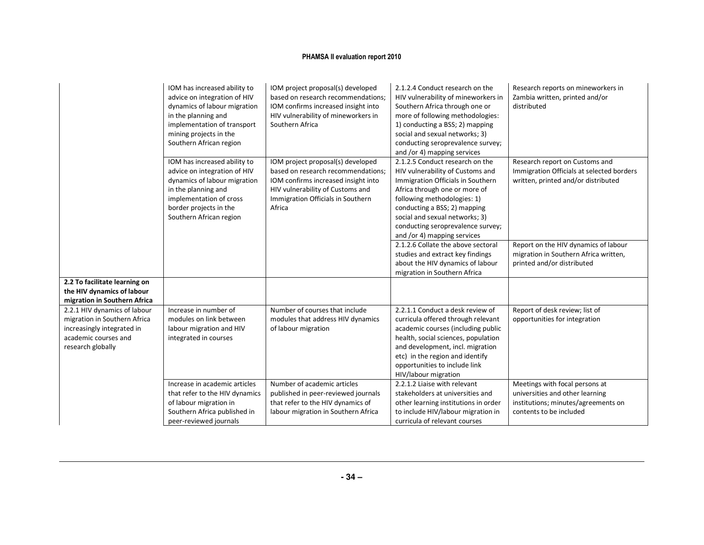|                                                                                                                                         | IOM has increased ability to<br>advice on integration of HIV<br>dynamics of labour migration<br>in the planning and<br>implementation of transport<br>mining projects in the<br>Southern African region | IOM project proposal(s) developed<br>based on research recommendations;<br>IOM confirms increased insight into<br>HIV vulnerability of mineworkers in<br>Southern Africa                          | 2.1.2.4 Conduct research on the<br>HIV vulnerability of mineworkers in<br>Southern Africa through one or<br>more of following methodologies:<br>1) conducting a BSS; 2) mapping<br>social and sexual networks; 3)<br>conducting seroprevalence survey;<br>and /or 4) mapping services                          | Research reports on mineworkers in<br>Zambia written, printed and/or<br>distributed                                                 |
|-----------------------------------------------------------------------------------------------------------------------------------------|---------------------------------------------------------------------------------------------------------------------------------------------------------------------------------------------------------|---------------------------------------------------------------------------------------------------------------------------------------------------------------------------------------------------|----------------------------------------------------------------------------------------------------------------------------------------------------------------------------------------------------------------------------------------------------------------------------------------------------------------|-------------------------------------------------------------------------------------------------------------------------------------|
|                                                                                                                                         | IOM has increased ability to<br>advice on integration of HIV<br>dynamics of labour migration<br>in the planning and<br>implementation of cross<br>border projects in the<br>Southern African region     | IOM project proposal(s) developed<br>based on research recommendations;<br>IOM confirms increased insight into<br>HIV vulnerability of Customs and<br>Immigration Officials in Southern<br>Africa | 2.1.2.5 Conduct research on the<br>HIV vulnerability of Customs and<br>Immigration Officials in Southern<br>Africa through one or more of<br>following methodologies: 1)<br>conducting a BSS; 2) mapping<br>social and sexual networks; 3)<br>conducting seroprevalence survey;<br>and /or 4) mapping services | Research report on Customs and<br>Immigration Officials at selected borders<br>written, printed and/or distributed                  |
|                                                                                                                                         |                                                                                                                                                                                                         |                                                                                                                                                                                                   | 2.1.2.6 Collate the above sectoral<br>studies and extract key findings<br>about the HIV dynamics of labour<br>migration in Southern Africa                                                                                                                                                                     | Report on the HIV dynamics of labour<br>migration in Southern Africa written,<br>printed and/or distributed                         |
| 2.2 To facilitate learning on<br>the HIV dynamics of labour<br>migration in Southern Africa                                             |                                                                                                                                                                                                         |                                                                                                                                                                                                   |                                                                                                                                                                                                                                                                                                                |                                                                                                                                     |
| 2.2.1 HIV dynamics of labour<br>migration in Southern Africa<br>increasingly integrated in<br>academic courses and<br>research globally | Increase in number of<br>modules on link between<br>labour migration and HIV<br>integrated in courses                                                                                                   | Number of courses that include<br>modules that address HIV dynamics<br>of labour migration                                                                                                        | 2.2.1.1 Conduct a desk review of<br>curricula offered through relevant<br>academic courses (including public<br>health, social sciences, population<br>and development, incl. migration<br>etc) in the region and identify<br>opportunities to include link<br>HIV/labour migration                            | Report of desk review; list of<br>opportunities for integration                                                                     |
|                                                                                                                                         | Increase in academic articles<br>that refer to the HIV dynamics<br>of labour migration in<br>Southern Africa published in<br>peer-reviewed journals                                                     | Number of academic articles<br>published in peer-reviewed journals<br>that refer to the HIV dynamics of<br>labour migration in Southern Africa                                                    | 2.2.1.2 Liaise with relevant<br>stakeholders at universities and<br>other learning institutions in order<br>to include HIV/labour migration in<br>curricula of relevant courses                                                                                                                                | Meetings with focal persons at<br>universities and other learning<br>institutions; minutes/agreements on<br>contents to be included |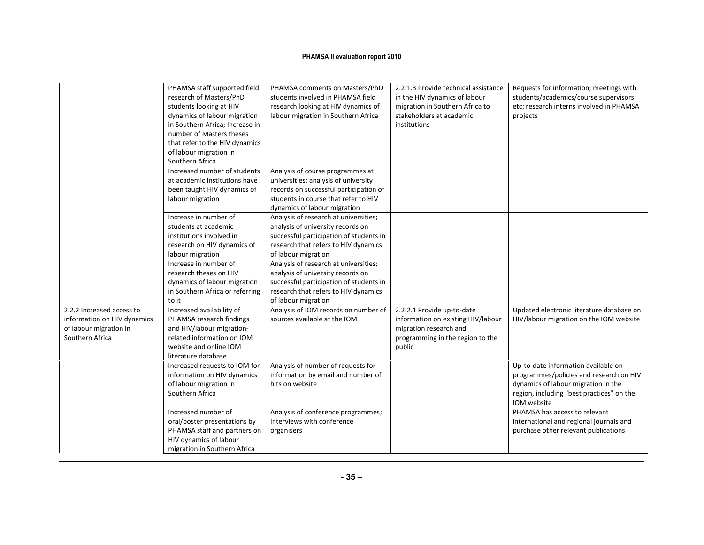|                                                                                                       | PHAMSA staff supported field<br>research of Masters/PhD<br>students looking at HIV<br>dynamics of labour migration<br>in Southern Africa; Increase in<br>number of Masters theses<br>that refer to the HIV dynamics<br>of labour migration in<br>Southern Africa | PHAMSA comments on Masters/PhD<br>students involved in PHAMSA field<br>research looking at HIV dynamics of<br>labour migration in Southern Africa                                          | 2.2.1.3 Provide technical assistance<br>in the HIV dynamics of labour<br>migration in Southern Africa to<br>stakeholders at academic<br>institutions | Requests for information; meetings with<br>students/academics/course supervisors<br>etc; research interns involved in PHAMSA<br>projects                                          |
|-------------------------------------------------------------------------------------------------------|------------------------------------------------------------------------------------------------------------------------------------------------------------------------------------------------------------------------------------------------------------------|--------------------------------------------------------------------------------------------------------------------------------------------------------------------------------------------|------------------------------------------------------------------------------------------------------------------------------------------------------|-----------------------------------------------------------------------------------------------------------------------------------------------------------------------------------|
|                                                                                                       | Increased number of students<br>at academic institutions have<br>been taught HIV dynamics of<br>labour migration                                                                                                                                                 | Analysis of course programmes at<br>universities; analysis of university<br>records on successful participation of<br>students in course that refer to HIV<br>dynamics of labour migration |                                                                                                                                                      |                                                                                                                                                                                   |
|                                                                                                       | Increase in number of<br>students at academic<br>institutions involved in<br>research on HIV dynamics of<br>labour migration                                                                                                                                     | Analysis of research at universities;<br>analysis of university records on<br>successful participation of students in<br>research that refers to HIV dynamics<br>of labour migration       |                                                                                                                                                      |                                                                                                                                                                                   |
|                                                                                                       | Increase in number of<br>research theses on HIV<br>dynamics of labour migration<br>in Southern Africa or referring<br>to it                                                                                                                                      | Analysis of research at universities;<br>analysis of university records on<br>successful participation of students in<br>research that refers to HIV dynamics<br>of labour migration       |                                                                                                                                                      |                                                                                                                                                                                   |
| 2.2.2 Increased access to<br>information on HIV dynamics<br>of labour migration in<br>Southern Africa | Increased availability of<br>PHAMSA research findings<br>and HIV/labour migration-<br>related information on IOM<br>website and online IOM<br>literature database                                                                                                | Analysis of IOM records on number of<br>sources available at the IOM                                                                                                                       | 2.2.2.1 Provide up-to-date<br>information on existing HIV/labour<br>migration research and<br>programming in the region to the<br>public             | Updated electronic literature database on<br>HIV/labour migration on the IOM website                                                                                              |
|                                                                                                       | Increased requests to IOM for<br>information on HIV dynamics<br>of labour migration in<br>Southern Africa                                                                                                                                                        | Analysis of number of requests for<br>information by email and number of<br>hits on website                                                                                                |                                                                                                                                                      | Up-to-date information available on<br>programmes/policies and research on HIV<br>dynamics of labour migration in the<br>region, including "best practices" on the<br>IOM website |
|                                                                                                       | Increased number of<br>oral/poster presentations by<br>PHAMSA staff and partners on<br>HIV dynamics of labour<br>migration in Southern Africa                                                                                                                    | Analysis of conference programmes;<br>interviews with conference<br>organisers                                                                                                             |                                                                                                                                                      | PHAMSA has access to relevant<br>international and regional journals and<br>purchase other relevant publications                                                                  |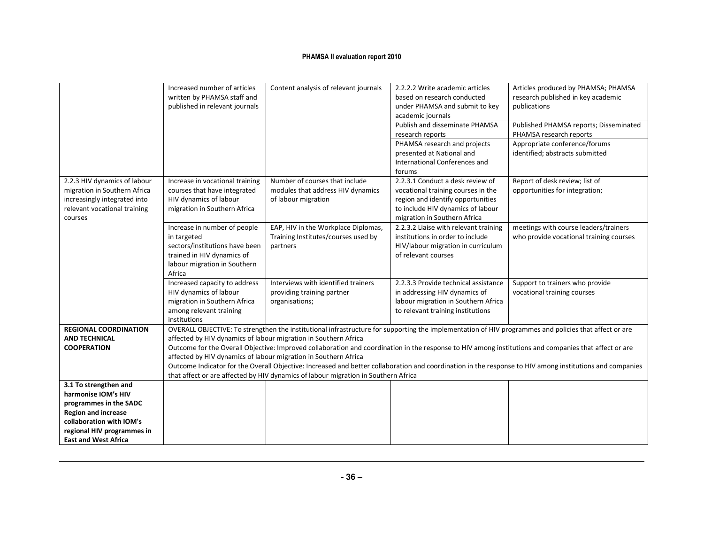|                                                                                                                                                                                               | Increased number of articles<br>written by PHAMSA staff and<br>published in relevant journals                                                         | Content analysis of relevant journals                                                                                                                                                                                    | 2.2.2.2 Write academic articles<br>based on research conducted<br>under PHAMSA and submit to key<br>academic journals<br>Publish and disseminate PHAMSA<br>research reports<br>PHAMSA research and projects<br>presented at National and | Articles produced by PHAMSA; PHAMSA<br>research published in key academic<br>publications<br>Published PHAMSA reports; Disseminated<br>PHAMSA research reports<br>Appropriate conference/forums<br>identified; abstracts submitted                                                                                                                                                                                                                                         |
|-----------------------------------------------------------------------------------------------------------------------------------------------------------------------------------------------|-------------------------------------------------------------------------------------------------------------------------------------------------------|--------------------------------------------------------------------------------------------------------------------------------------------------------------------------------------------------------------------------|------------------------------------------------------------------------------------------------------------------------------------------------------------------------------------------------------------------------------------------|----------------------------------------------------------------------------------------------------------------------------------------------------------------------------------------------------------------------------------------------------------------------------------------------------------------------------------------------------------------------------------------------------------------------------------------------------------------------------|
|                                                                                                                                                                                               |                                                                                                                                                       |                                                                                                                                                                                                                          | International Conferences and<br>forums                                                                                                                                                                                                  |                                                                                                                                                                                                                                                                                                                                                                                                                                                                            |
| 2.2.3 HIV dynamics of labour<br>migration in Southern Africa<br>increasingly integrated into<br>relevant vocational training<br>courses                                                       | Increase in vocational training<br>courses that have integrated<br>HIV dynamics of labour<br>migration in Southern Africa                             | Number of courses that include<br>modules that address HIV dynamics<br>of labour migration                                                                                                                               | 2.2.3.1 Conduct a desk review of<br>vocational training courses in the<br>region and identify opportunities<br>to include HIV dynamics of labour<br>migration in Southern Africa                                                         | Report of desk review; list of<br>opportunities for integration;                                                                                                                                                                                                                                                                                                                                                                                                           |
|                                                                                                                                                                                               | Increase in number of people<br>in targeted<br>sectors/institutions have been<br>trained in HIV dynamics of<br>labour migration in Southern<br>Africa | EAP, HIV in the Workplace Diplomas,<br>Training Institutes/courses used by<br>partners                                                                                                                                   | 2.2.3.2 Liaise with relevant training<br>institutions in order to include<br>HIV/labour migration in curriculum<br>of relevant courses                                                                                                   | meetings with course leaders/trainers<br>who provide vocational training courses                                                                                                                                                                                                                                                                                                                                                                                           |
|                                                                                                                                                                                               | Increased capacity to address<br>HIV dynamics of labour<br>migration in Southern Africa<br>among relevant training<br>institutions                    | Interviews with identified trainers<br>providing training partner<br>organisations;                                                                                                                                      | 2.2.3.3 Provide technical assistance<br>in addressing HIV dynamics of<br>labour migration in Southern Africa<br>to relevant training institutions                                                                                        | Support to trainers who provide<br>vocational training courses                                                                                                                                                                                                                                                                                                                                                                                                             |
| <b>REGIONAL COORDINATION</b><br><b>AND TECHNICAL</b><br><b>COOPERATION</b>                                                                                                                    |                                                                                                                                                       | affected by HIV dynamics of labour migration in Southern Africa<br>affected by HIV dynamics of labour migration in Southern Africa<br>that affect or are affected by HIV dynamics of labour migration in Southern Africa |                                                                                                                                                                                                                                          | OVERALL OBJECTIVE: To strengthen the institutional infrastructure for supporting the implementation of HIV programmes and policies that affect or are<br>Outcome for the Overall Objective: Improved collaboration and coordination in the response to HIV among institutions and companies that affect or are<br>Outcome Indicator for the Overall Objective: Increased and better collaboration and coordination in the response to HIV among institutions and companies |
| 3.1 To strengthen and<br>harmonise IOM's HIV<br>programmes in the SADC<br><b>Region and increase</b><br>collaboration with IOM's<br>regional HIV programmes in<br><b>East and West Africa</b> |                                                                                                                                                       |                                                                                                                                                                                                                          |                                                                                                                                                                                                                                          |                                                                                                                                                                                                                                                                                                                                                                                                                                                                            |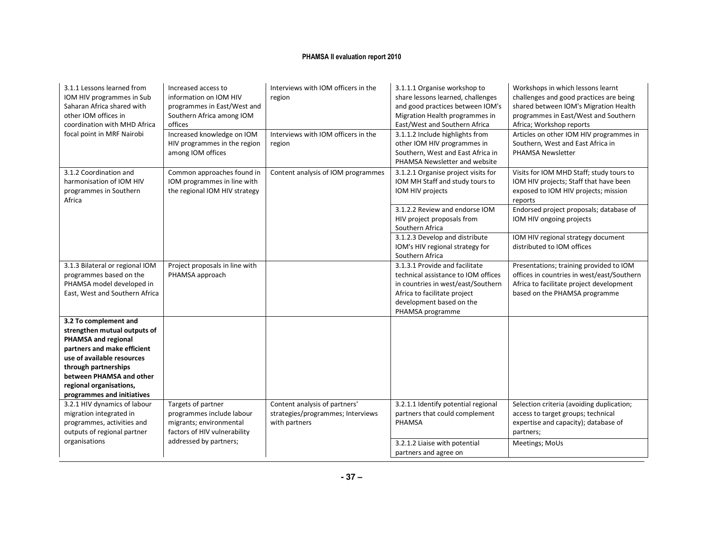| 3.1.1 Lessons learned from<br>IOM HIV programmes in Sub<br>Saharan Africa shared with<br>other IOM offices in<br>coordination with MHD Africa<br>focal point in MRF Nairobi                                                                            | Increased access to<br>information on IOM HIV<br>programmes in East/West and<br>Southern Africa among IOM<br>offices<br>Increased knowledge on IOM<br>HIV programmes in the region<br>among IOM offices | Interviews with IOM officers in the<br>region<br>Interviews with IOM officers in the<br>region | 3.1.1.1 Organise workshop to<br>share lessons learned, challenges<br>and good practices between IOM's<br>Migration Health programmes in<br>East/West and Southern Africa<br>3.1.1.2 Include highlights from<br>other IOM HIV programmes in<br>Southern, West and East Africa in<br>PHAMSA Newsletter and website | Workshops in which lessons learnt<br>challenges and good practices are being<br>shared between IOM's Migration Health<br>programmes in East/West and Southern<br>Africa; Workshop reports<br>Articles on other IOM HIV programmes in<br>Southern, West and East Africa in<br>PHAMSA Newsletter |
|--------------------------------------------------------------------------------------------------------------------------------------------------------------------------------------------------------------------------------------------------------|---------------------------------------------------------------------------------------------------------------------------------------------------------------------------------------------------------|------------------------------------------------------------------------------------------------|------------------------------------------------------------------------------------------------------------------------------------------------------------------------------------------------------------------------------------------------------------------------------------------------------------------|------------------------------------------------------------------------------------------------------------------------------------------------------------------------------------------------------------------------------------------------------------------------------------------------|
| 3.1.2 Coordination and<br>harmonisation of IOM HIV<br>programmes in Southern<br>Africa                                                                                                                                                                 | Common approaches found in<br>IOM programmes in line with<br>the regional IOM HIV strategy                                                                                                              | Content analysis of IOM programmes                                                             | 3.1.2.1 Organise project visits for<br>IOM MH Staff and study tours to<br>IOM HIV projects                                                                                                                                                                                                                       | Visits for IOM MHD Staff; study tours to<br>IOM HIV projects; Staff that have been<br>exposed to IOM HIV projects; mission<br>reports                                                                                                                                                          |
|                                                                                                                                                                                                                                                        |                                                                                                                                                                                                         |                                                                                                | 3.1.2.2 Review and endorse IOM<br>HIV project proposals from<br>Southern Africa                                                                                                                                                                                                                                  | Endorsed project proposals; database of<br>IOM HIV ongoing projects                                                                                                                                                                                                                            |
|                                                                                                                                                                                                                                                        |                                                                                                                                                                                                         |                                                                                                | 3.1.2.3 Develop and distribute<br>IOM's HIV regional strategy for<br>Southern Africa                                                                                                                                                                                                                             | IOM HIV regional strategy document<br>distributed to IOM offices                                                                                                                                                                                                                               |
| 3.1.3 Bilateral or regional IOM<br>programmes based on the<br>PHAMSA model developed in<br>East, West and Southern Africa                                                                                                                              | Project proposals in line with<br>PHAMSA approach                                                                                                                                                       |                                                                                                | 3.1.3.1 Provide and facilitate<br>technical assistance to IOM offices<br>in countries in west/east/Southern<br>Africa to facilitate project<br>development based on the<br>PHAMSA programme                                                                                                                      | Presentations; training provided to IOM<br>offices in countries in west/east/Southern<br>Africa to facilitate project development<br>based on the PHAMSA programme                                                                                                                             |
| 3.2 To complement and<br>strengthen mutual outputs of<br>PHAMSA and regional<br>partners and make efficient<br>use of available resources<br>through partnerships<br>between PHAMSA and other<br>regional organisations,<br>programmes and initiatives |                                                                                                                                                                                                         |                                                                                                |                                                                                                                                                                                                                                                                                                                  |                                                                                                                                                                                                                                                                                                |
| 3.2.1 HIV dynamics of labour<br>migration integrated in<br>programmes, activities and<br>outputs of regional partner                                                                                                                                   | Targets of partner<br>programmes include labour<br>migrants; environmental<br>factors of HIV vulnerability                                                                                              | Content analysis of partners'<br>strategies/programmes; Interviews<br>with partners            | 3.2.1.1 Identify potential regional<br>partners that could complement<br>PHAMSA                                                                                                                                                                                                                                  | Selection criteria (avoiding duplication;<br>access to target groups; technical<br>expertise and capacity); database of<br>partners;                                                                                                                                                           |
| organisations                                                                                                                                                                                                                                          | addressed by partners;                                                                                                                                                                                  |                                                                                                | 3.2.1.2 Liaise with potential<br>partners and agree on                                                                                                                                                                                                                                                           | Meetings; MoUs                                                                                                                                                                                                                                                                                 |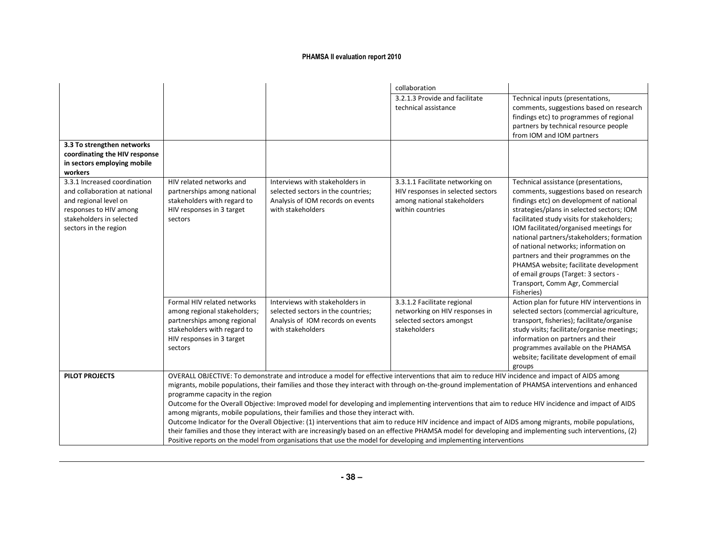|                                                                                                                                                                       |                                                                                                                                                                   |                                                                                                                                                                                                                                                                                                                                                        | collaboration                                                                                                            |                                                                                                                                                                                                                                                                                                                                                                                                                                                                                                                                                                                                                                 |
|-----------------------------------------------------------------------------------------------------------------------------------------------------------------------|-------------------------------------------------------------------------------------------------------------------------------------------------------------------|--------------------------------------------------------------------------------------------------------------------------------------------------------------------------------------------------------------------------------------------------------------------------------------------------------------------------------------------------------|--------------------------------------------------------------------------------------------------------------------------|---------------------------------------------------------------------------------------------------------------------------------------------------------------------------------------------------------------------------------------------------------------------------------------------------------------------------------------------------------------------------------------------------------------------------------------------------------------------------------------------------------------------------------------------------------------------------------------------------------------------------------|
|                                                                                                                                                                       |                                                                                                                                                                   |                                                                                                                                                                                                                                                                                                                                                        | 3.2.1.3 Provide and facilitate<br>technical assistance                                                                   | Technical inputs (presentations,<br>comments, suggestions based on research<br>findings etc) to programmes of regional<br>partners by technical resource people<br>from IOM and IOM partners                                                                                                                                                                                                                                                                                                                                                                                                                                    |
| 3.3 To strengthen networks<br>coordinating the HIV response<br>in sectors employing mobile<br>workers                                                                 |                                                                                                                                                                   |                                                                                                                                                                                                                                                                                                                                                        |                                                                                                                          |                                                                                                                                                                                                                                                                                                                                                                                                                                                                                                                                                                                                                                 |
| 3.3.1 Increased coordination<br>and collaboration at national<br>and regional level on<br>responses to HIV among<br>stakeholders in selected<br>sectors in the region | HIV related networks and<br>partnerships among national<br>stakeholders with regard to<br>HIV responses in 3 target<br>sectors                                    | Interviews with stakeholders in<br>selected sectors in the countries;<br>Analysis of IOM records on events<br>with stakeholders                                                                                                                                                                                                                        | 3.3.1.1 Facilitate networking on<br>HIV responses in selected sectors<br>among national stakeholders<br>within countries | Technical assistance (presentations,<br>comments, suggestions based on research<br>findings etc) on development of national<br>strategies/plans in selected sectors; IOM<br>facilitated study visits for stakeholders;<br>IOM facilitated/organised meetings for<br>national partners/stakeholders; formation<br>of national networks; information on<br>partners and their programmes on the<br>PHAMSA website; facilitate development<br>of email groups (Target: 3 sectors -<br>Transport, Comm Agr, Commercial<br>Fisheries)                                                                                                |
|                                                                                                                                                                       | Formal HIV related networks<br>among regional stakeholders;<br>partnerships among regional<br>stakeholders with regard to<br>HIV responses in 3 target<br>sectors | Interviews with stakeholders in<br>selected sectors in the countries;<br>Analysis of IOM records on events<br>with stakeholders                                                                                                                                                                                                                        | 3.3.1.2 Facilitate regional<br>networking on HIV responses in<br>selected sectors amongst<br>stakeholders                | Action plan for future HIV interventions in<br>selected sectors (commercial agriculture,<br>transport, fisheries); facilitate/organise<br>study visits; facilitate/organise meetings;<br>information on partners and their<br>programmes available on the PHAMSA<br>website; facilitate development of email<br>groups                                                                                                                                                                                                                                                                                                          |
| <b>PILOT PROJECTS</b>                                                                                                                                                 | programme capacity in the region                                                                                                                                  | OVERALL OBJECTIVE: To demonstrate and introduce a model for effective interventions that aim to reduce HIV incidence and impact of AIDS among<br>among migrants, mobile populations, their families and those they interact with.<br>Positive reports on the model from organisations that use the model for developing and implementing interventions |                                                                                                                          | migrants, mobile populations, their families and those they interact with through on-the-ground implementation of PHAMSA interventions and enhanced<br>Outcome for the Overall Objective: Improved model for developing and implementing interventions that aim to reduce HIV incidence and impact of AIDS<br>Outcome Indicator for the Overall Objective: (1) interventions that aim to reduce HIV incidence and impact of AIDS among migrants, mobile populations,<br>their families and those they interact with are increasingly based on an effective PHAMSA model for developing and implementing such interventions, (2) |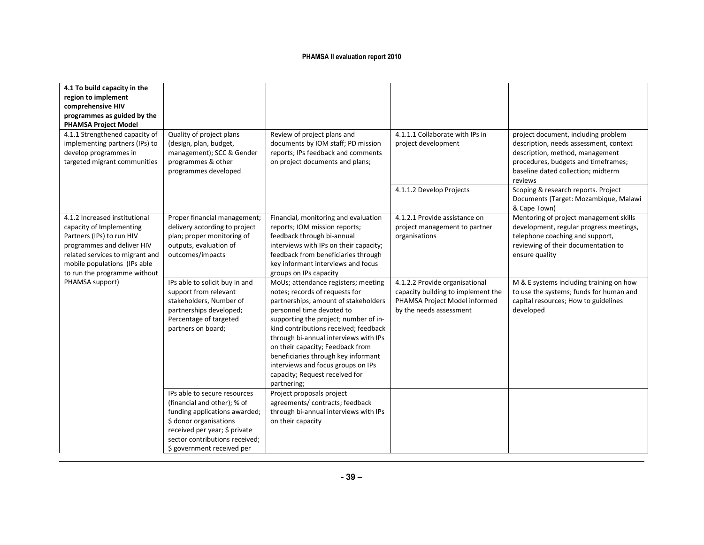| 4.1 To build capacity in the<br>region to implement<br>comprehensive HIV<br>programmes as guided by the<br><b>PHAMSA Project Model</b>                                                                                  |                                                                                                                                                                                                                         |                                                                                                                                                                                                                                                                                                                                                                                                                                         |                                                                                                                                  |                                                                                                                                                                                                          |
|-------------------------------------------------------------------------------------------------------------------------------------------------------------------------------------------------------------------------|-------------------------------------------------------------------------------------------------------------------------------------------------------------------------------------------------------------------------|-----------------------------------------------------------------------------------------------------------------------------------------------------------------------------------------------------------------------------------------------------------------------------------------------------------------------------------------------------------------------------------------------------------------------------------------|----------------------------------------------------------------------------------------------------------------------------------|----------------------------------------------------------------------------------------------------------------------------------------------------------------------------------------------------------|
| 4.1.1 Strengthened capacity of<br>implementing partners (IPs) to<br>develop programmes in<br>targeted migrant communities                                                                                               | Quality of project plans<br>(design, plan, budget,<br>management); SCC & Gender<br>programmes & other<br>programmes developed                                                                                           | Review of project plans and<br>documents by IOM staff; PD mission<br>reports; IPs feedback and comments<br>on project documents and plans;                                                                                                                                                                                                                                                                                              | 4.1.1.1 Collaborate with IPs in<br>project development                                                                           | project document, including problem<br>description, needs assessment, context<br>description, method, management<br>procedures, budgets and timeframes;<br>baseline dated collection; midterm<br>reviews |
|                                                                                                                                                                                                                         |                                                                                                                                                                                                                         |                                                                                                                                                                                                                                                                                                                                                                                                                                         | 4.1.1.2 Develop Projects                                                                                                         | Scoping & research reports. Project<br>Documents (Target: Mozambique, Malawi<br>& Cape Town)                                                                                                             |
| 4.1.2 Increased institutional<br>capacity of Implementing<br>Partners (IPs) to run HIV<br>programmes and deliver HIV<br>related services to migrant and<br>mobile populations (IPs able<br>to run the programme without | Proper financial management;<br>delivery according to project<br>plan; proper monitoring of<br>outputs, evaluation of<br>outcomes/impacts                                                                               | Financial, monitoring and evaluation<br>reports; IOM mission reports;<br>feedback through bi-annual<br>interviews with IPs on their capacity;<br>feedback from beneficiaries through<br>key informant interviews and focus<br>groups on IPs capacity                                                                                                                                                                                    | 4.1.2.1 Provide assistance on<br>project management to partner<br>organisations                                                  | Mentoring of project management skills<br>development, regular progress meetings,<br>telephone coaching and support,<br>reviewing of their documentation to<br>ensure quality                            |
| PHAMSA support)                                                                                                                                                                                                         | IPs able to solicit buy in and<br>support from relevant<br>stakeholders, Number of<br>partnerships developed;<br>Percentage of targeted<br>partners on board;                                                           | MoUs; attendance registers; meeting<br>notes; records of requests for<br>partnerships; amount of stakeholders<br>personnel time devoted to<br>supporting the project; number of in-<br>kind contributions received; feedback<br>through bi-annual interviews with IPs<br>on their capacity; Feedback from<br>beneficiaries through key informant<br>interviews and focus groups on IPs<br>capacity; Request received for<br>partnering; | 4.1.2.2 Provide organisational<br>capacity building to implement the<br>PHAMSA Project Model informed<br>by the needs assessment | M & E systems including training on how<br>to use the systems; funds for human and<br>capital resources; How to guidelines<br>developed                                                                  |
|                                                                                                                                                                                                                         | IPs able to secure resources<br>(financial and other); % of<br>funding applications awarded;<br>\$ donor organisations<br>received per year; \$ private<br>sector contributions received;<br>\$ government received per | Project proposals project<br>agreements/ contracts; feedback<br>through bi-annual interviews with IPs<br>on their capacity                                                                                                                                                                                                                                                                                                              |                                                                                                                                  |                                                                                                                                                                                                          |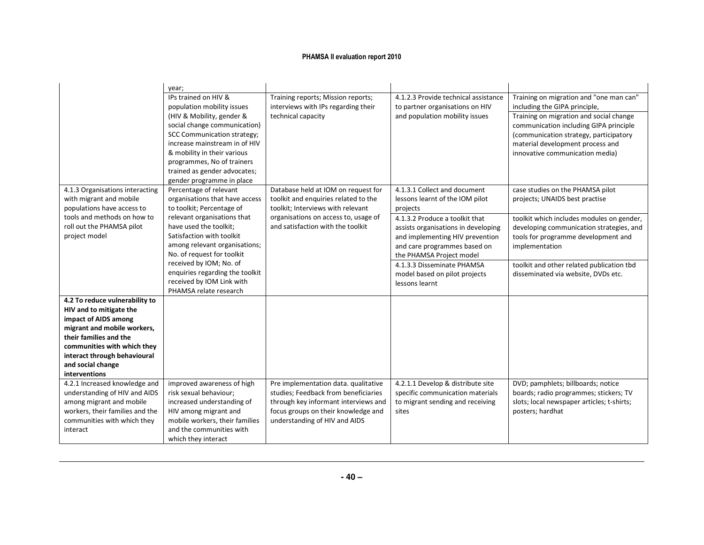|                                                                                          | year;                                                                                    |                                                                                                                  |                                                                                             |                                                                                       |
|------------------------------------------------------------------------------------------|------------------------------------------------------------------------------------------|------------------------------------------------------------------------------------------------------------------|---------------------------------------------------------------------------------------------|---------------------------------------------------------------------------------------|
|                                                                                          | IPs trained on HIV &<br>population mobility issues                                       | Training reports; Mission reports;<br>interviews with IPs regarding their                                        | 4.1.2.3 Provide technical assistance<br>to partner organisations on HIV                     | Training on migration and "one man can"<br>including the GIPA principle,              |
|                                                                                          | (HIV & Mobility, gender &<br>social change communication)                                | technical capacity                                                                                               | and population mobility issues                                                              | Training on migration and social change<br>communication including GIPA principle     |
|                                                                                          | <b>SCC Communication strategy;</b><br>increase mainstream in of HIV                      |                                                                                                                  |                                                                                             | (communication strategy, participatory                                                |
|                                                                                          | & mobility in their various                                                              |                                                                                                                  |                                                                                             | material development process and<br>innovative communication media)                   |
|                                                                                          | programmes, No of trainers                                                               |                                                                                                                  |                                                                                             |                                                                                       |
|                                                                                          | trained as gender advocates;                                                             |                                                                                                                  |                                                                                             |                                                                                       |
|                                                                                          | gender programme in place                                                                |                                                                                                                  |                                                                                             |                                                                                       |
| 4.1.3 Organisations interacting<br>with migrant and mobile<br>populations have access to | Percentage of relevant<br>organisations that have access<br>to toolkit; Percentage of    | Database held at IOM on request for<br>toolkit and enquiries related to the<br>toolkit; Interviews with relevant | 4.1.3.1 Collect and document<br>lessons learnt of the IOM pilot<br>projects                 | case studies on the PHAMSA pilot<br>projects; UNAIDS best practise                    |
| tools and methods on how to<br>roll out the PHAMSA pilot                                 | relevant organisations that<br>have used the toolkit;                                    | organisations on access to, usage of<br>and satisfaction with the toolkit                                        | 4.1.3.2 Produce a toolkit that<br>assists organisations in developing                       | toolkit which includes modules on gender,<br>developing communication strategies, and |
| project model                                                                            | Satisfaction with toolkit<br>among relevant organisations;<br>No. of request for toolkit |                                                                                                                  | and implementing HIV prevention<br>and care programmes based on<br>the PHAMSA Project model | tools for programme development and<br>implementation                                 |
|                                                                                          | received by IOM; No. of                                                                  |                                                                                                                  | 4.1.3.3 Disseminate PHAMSA                                                                  | toolkit and other related publication tbd                                             |
|                                                                                          | enquiries regarding the toolkit                                                          |                                                                                                                  | model based on pilot projects                                                               | disseminated via website, DVDs etc.                                                   |
|                                                                                          | received by IOM Link with                                                                |                                                                                                                  | lessons learnt                                                                              |                                                                                       |
|                                                                                          | PHAMSA relate research                                                                   |                                                                                                                  |                                                                                             |                                                                                       |
| 4.2 To reduce vulnerability to                                                           |                                                                                          |                                                                                                                  |                                                                                             |                                                                                       |
| HIV and to mitigate the<br>impact of AIDS among                                          |                                                                                          |                                                                                                                  |                                                                                             |                                                                                       |
| migrant and mobile workers,                                                              |                                                                                          |                                                                                                                  |                                                                                             |                                                                                       |
| their families and the                                                                   |                                                                                          |                                                                                                                  |                                                                                             |                                                                                       |
| communities with which they                                                              |                                                                                          |                                                                                                                  |                                                                                             |                                                                                       |
| interact through behavioural                                                             |                                                                                          |                                                                                                                  |                                                                                             |                                                                                       |
| and social change                                                                        |                                                                                          |                                                                                                                  |                                                                                             |                                                                                       |
| interventions                                                                            |                                                                                          |                                                                                                                  |                                                                                             |                                                                                       |
| 4.2.1 Increased knowledge and                                                            | improved awareness of high                                                               | Pre implementation data. qualitative                                                                             | 4.2.1.1 Develop & distribute site                                                           | DVD; pamphlets; billboards; notice                                                    |
| understanding of HIV and AIDS                                                            | risk sexual behaviour;                                                                   | studies; Feedback from beneficiaries                                                                             | specific communication materials                                                            | boards; radio programmes; stickers; TV                                                |
| among migrant and mobile                                                                 | increased understanding of                                                               | through key informant interviews and                                                                             | to migrant sending and receiving                                                            | slots; local newspaper articles; t-shirts;                                            |
| workers, their families and the                                                          | HIV among migrant and                                                                    | focus groups on their knowledge and                                                                              | sites                                                                                       | posters; hardhat                                                                      |
| communities with which they                                                              | mobile workers, their families                                                           | understanding of HIV and AIDS                                                                                    |                                                                                             |                                                                                       |
| interact                                                                                 | and the communities with<br>which they interact                                          |                                                                                                                  |                                                                                             |                                                                                       |
|                                                                                          |                                                                                          |                                                                                                                  |                                                                                             |                                                                                       |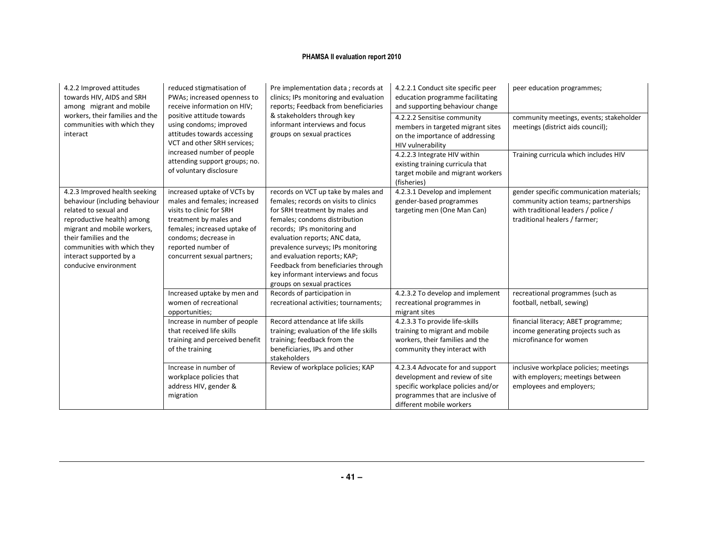| 4.2.2 Improved attitudes<br>towards HIV, AIDS and SRH<br>among migrant and mobile<br>workers, their families and the<br>communities with which they<br>interact                                                                                                    | reduced stigmatisation of<br>PWAs; increased openness to<br>receive information on HIV;<br>positive attitude towards<br>using condoms; improved<br>attitudes towards accessing<br>VCT and other SRH services;<br>increased number of people<br>attending support groups; no.<br>of voluntary disclosure | Pre implementation data; records at<br>clinics; IPs monitoring and evaluation<br>reports; Feedback from beneficiaries<br>& stakeholders through key<br>informant interviews and focus<br>groups on sexual practices                                                                                                                                                                              | 4.2.2.1 Conduct site specific peer<br>education programme facilitating<br>and supporting behaviour change<br>4.2.2.2 Sensitise community<br>members in targeted migrant sites<br>on the importance of addressing<br>HIV vulnerability<br>4.2.2.3 Integrate HIV within<br>existing training curricula that<br>target mobile and migrant workers<br>(fisheries) | peer education programmes;<br>community meetings, events; stakeholder<br>meetings (district aids council);<br>Training curricula which includes HIV      |
|--------------------------------------------------------------------------------------------------------------------------------------------------------------------------------------------------------------------------------------------------------------------|---------------------------------------------------------------------------------------------------------------------------------------------------------------------------------------------------------------------------------------------------------------------------------------------------------|--------------------------------------------------------------------------------------------------------------------------------------------------------------------------------------------------------------------------------------------------------------------------------------------------------------------------------------------------------------------------------------------------|---------------------------------------------------------------------------------------------------------------------------------------------------------------------------------------------------------------------------------------------------------------------------------------------------------------------------------------------------------------|----------------------------------------------------------------------------------------------------------------------------------------------------------|
| 4.2.3 Improved health seeking<br>behaviour (including behaviour<br>related to sexual and<br>reproductive health) among<br>migrant and mobile workers,<br>their families and the<br>communities with which they<br>interact supported by a<br>conducive environment | increased uptake of VCTs by<br>males and females; increased<br>visits to clinic for SRH<br>treatment by males and<br>females; increased uptake of<br>condoms; decrease in<br>reported number of<br>concurrent sexual partners;                                                                          | records on VCT up take by males and<br>females; records on visits to clinics<br>for SRH treatment by males and<br>females; condoms distribution<br>records; IPs monitoring and<br>evaluation reports; ANC data,<br>prevalence surveys; IPs monitoring<br>and evaluation reports; KAP;<br>Feedback from beneficiaries through<br>key informant interviews and focus<br>groups on sexual practices | 4.2.3.1 Develop and implement<br>gender-based programmes<br>targeting men (One Man Can)                                                                                                                                                                                                                                                                       | gender specific communication materials;<br>community action teams; partnerships<br>with traditional leaders / police /<br>traditional healers / farmer; |
|                                                                                                                                                                                                                                                                    | Increased uptake by men and<br>women of recreational<br>opportunities;                                                                                                                                                                                                                                  | Records of participation in<br>recreational activities; tournaments;                                                                                                                                                                                                                                                                                                                             | 4.2.3.2 To develop and implement<br>recreational programmes in<br>migrant sites                                                                                                                                                                                                                                                                               | recreational programmes (such as<br>football, netball, sewing)                                                                                           |
|                                                                                                                                                                                                                                                                    | Increase in number of people<br>that received life skills<br>training and perceived benefit<br>of the training                                                                                                                                                                                          | Record attendance at life skills<br>training; evaluation of the life skills<br>training; feedback from the<br>beneficiaries, IPs and other<br>stakeholders                                                                                                                                                                                                                                       | 4.2.3.3 To provide life-skills<br>training to migrant and mobile<br>workers, their families and the<br>community they interact with                                                                                                                                                                                                                           | financial literacy; ABET programme;<br>income generating projects such as<br>microfinance for women                                                      |
|                                                                                                                                                                                                                                                                    | Increase in number of<br>workplace policies that<br>address HIV, gender &<br>migration                                                                                                                                                                                                                  | Review of workplace policies; KAP                                                                                                                                                                                                                                                                                                                                                                | 4.2.3.4 Advocate for and support<br>development and review of site<br>specific workplace policies and/or<br>programmes that are inclusive of<br>different mobile workers                                                                                                                                                                                      | inclusive workplace policies; meetings<br>with employers; meetings between<br>employees and employers;                                                   |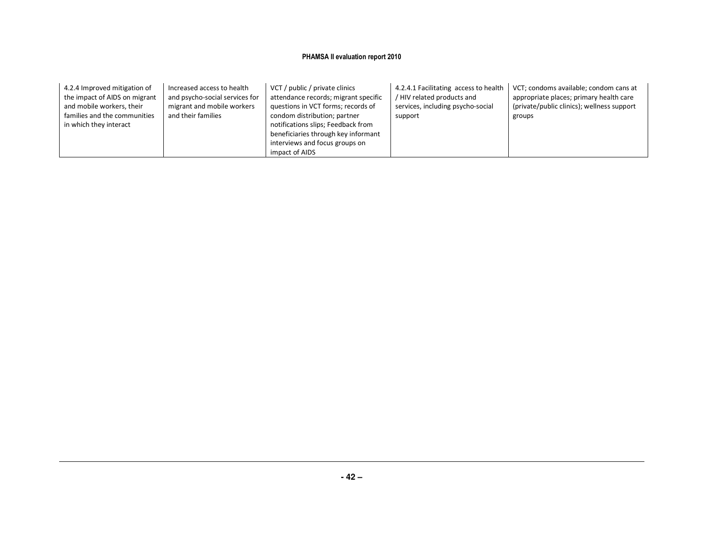| 4.2.4 Improved mitigation of<br>the impact of AIDS on migrant<br>and mobile workers, their<br>families and the communities<br>in which they interact | Increased access to health<br>and psycho-social services for<br>migrant and mobile workers<br>and their families | VCT / public / private clinics<br>attendance records; migrant specific<br>questions in VCT forms; records of<br>condom distribution; partner<br>notifications slips; Feedback from<br>beneficiaries through key informant<br>interviews and focus groups on<br>impact of AIDS | 4.2.4.1 Facilitating access to health<br>/ HIV related products and<br>services, including psycho-social<br>support | VCT; condoms available; condom cans at<br>appropriate places; primary health care<br>(private/public clinics); wellness support<br>groups |
|------------------------------------------------------------------------------------------------------------------------------------------------------|------------------------------------------------------------------------------------------------------------------|-------------------------------------------------------------------------------------------------------------------------------------------------------------------------------------------------------------------------------------------------------------------------------|---------------------------------------------------------------------------------------------------------------------|-------------------------------------------------------------------------------------------------------------------------------------------|
|------------------------------------------------------------------------------------------------------------------------------------------------------|------------------------------------------------------------------------------------------------------------------|-------------------------------------------------------------------------------------------------------------------------------------------------------------------------------------------------------------------------------------------------------------------------------|---------------------------------------------------------------------------------------------------------------------|-------------------------------------------------------------------------------------------------------------------------------------------|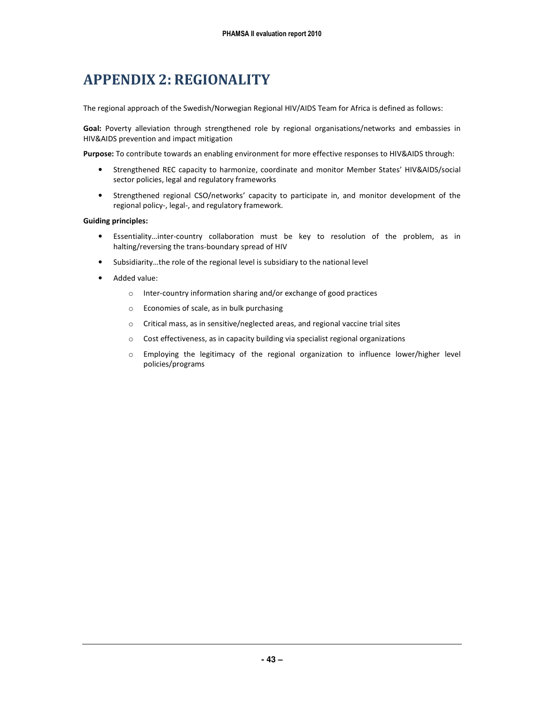### APPENDIX 2: REGIONALITY

The regional approach of the Swedish/Norwegian Regional HIV/AIDS Team for Africa is defined as follows:

Goal: Poverty alleviation through strengthened role by regional organisations/networks and embassies in HIV&AIDS prevention and impact mitigation

Purpose: To contribute towards an enabling environment for more effective responses to HIV&AIDS through:

- Strengthened REC capacity to harmonize, coordinate and monitor Member States' HIV&AIDS/social sector policies, legal and regulatory frameworks
- Strengthened regional CSO/networks' capacity to participate in, and monitor development of the regional policy-, legal-, and regulatory framework.

#### Guiding principles:

- Essentiality…inter-country collaboration must be key to resolution of the problem, as in halting/reversing the trans-boundary spread of HIV
- Subsidiarity…the role of the regional level is subsidiary to the national level
- Added value:
	- o Inter-country information sharing and/or exchange of good practices
	- o Economies of scale, as in bulk purchasing
	- o Critical mass, as in sensitive/neglected areas, and regional vaccine trial sites
	- o Cost effectiveness, as in capacity building via specialist regional organizations
	- $\circ$  Employing the legitimacy of the regional organization to influence lower/higher level policies/programs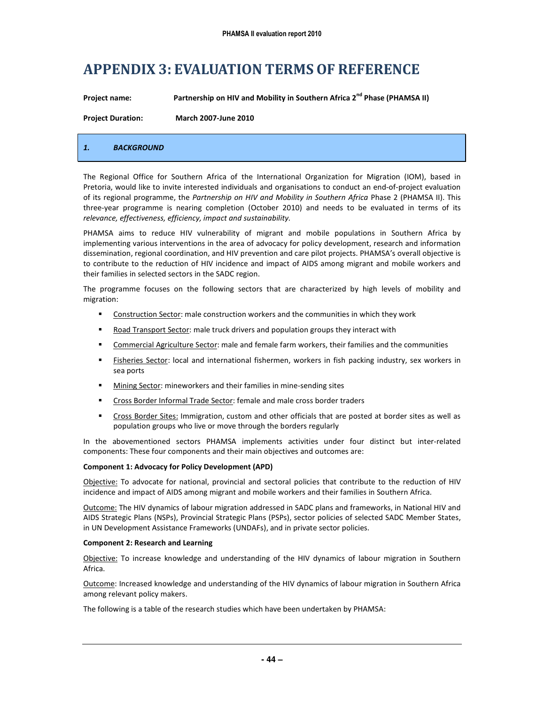### APPENDIX 3: EVALUATION TERMS OF REFERENCE

| <b>Project name:</b>     | Partnership on HIV and Mobility in Southern Africa 2 <sup>nd</sup> Phase (PHAMSA II) |
|--------------------------|--------------------------------------------------------------------------------------|
| <b>Project Duration:</b> | <b>March 2007-June 2010</b>                                                          |
|                          |                                                                                      |

#### 1. BACKGROUND

The Regional Office for Southern Africa of the International Organization for Migration (IOM), based in Pretoria, would like to invite interested individuals and organisations to conduct an end-of-project evaluation of its regional programme, the Partnership on HIV and Mobility in Southern Africa Phase 2 (PHAMSA II). This three-year programme is nearing completion (October 2010) and needs to be evaluated in terms of its relevance, effectiveness, efficiency, impact and sustainability.

PHAMSA aims to reduce HIV vulnerability of migrant and mobile populations in Southern Africa by implementing various interventions in the area of advocacy for policy development, research and information dissemination, regional coordination, and HIV prevention and care pilot projects. PHAMSA's overall objective is to contribute to the reduction of HIV incidence and impact of AIDS among migrant and mobile workers and their families in selected sectors in the SADC region.

The programme focuses on the following sectors that are characterized by high levels of mobility and migration:

- Construction Sector: male construction workers and the communities in which they work
- Road Transport Sector: male truck drivers and population groups they interact with
- Commercial Agriculture Sector: male and female farm workers, their families and the communities
- **Fisheries Sector:** local and international fishermen, workers in fish packing industry, sex workers in sea ports
- Mining Sector: mineworkers and their families in mine-sending sites
- Cross Border Informal Trade Sector: female and male cross border traders
- Cross Border Sites: Immigration, custom and other officials that are posted at border sites as well as population groups who live or move through the borders regularly

In the abovementioned sectors PHAMSA implements activities under four distinct but inter-related components: These four components and their main objectives and outcomes are:

#### Component 1: Advocacy for Policy Development (APD)

Objective: To advocate for national, provincial and sectoral policies that contribute to the reduction of HIV incidence and impact of AIDS among migrant and mobile workers and their families in Southern Africa.

Outcome: The HIV dynamics of labour migration addressed in SADC plans and frameworks, in National HIV and AIDS Strategic Plans (NSPs), Provincial Strategic Plans (PSPs), sector policies of selected SADC Member States, in UN Development Assistance Frameworks (UNDAFs), and in private sector policies.

#### Component 2: Research and Learning

Objective: To increase knowledge and understanding of the HIV dynamics of labour migration in Southern Africa.

Outcome: Increased knowledge and understanding of the HIV dynamics of labour migration in Southern Africa among relevant policy makers.

The following is a table of the research studies which have been undertaken by PHAMSA: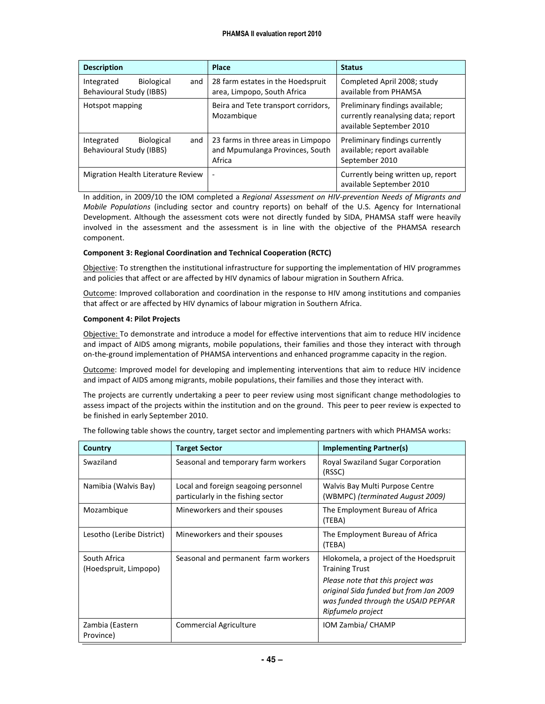| <b>Description</b>                                                 | Place                                                                           | <b>Status</b>                                                                                     |
|--------------------------------------------------------------------|---------------------------------------------------------------------------------|---------------------------------------------------------------------------------------------------|
| <b>Biological</b><br>Integrated<br>and<br>Behavioural Study (IBBS) | 28 farm estates in the Hoedspruit<br>area, Limpopo, South Africa                | Completed April 2008; study<br>available from PHAMSA                                              |
| Hotspot mapping                                                    | Beira and Tete transport corridors,<br>Mozambique                               | Preliminary findings available;<br>currently reanalysing data; report<br>available September 2010 |
| <b>Biological</b><br>Integrated<br>and<br>Behavioural Study (IBBS) | 23 farms in three areas in Limpopo<br>and Mpumulanga Provinces, South<br>Africa | Preliminary findings currently<br>available; report available<br>September 2010                   |
| Migration Health Literature Review                                 | ۰                                                                               | Currently being written up, report<br>available September 2010                                    |

In addition, in 2009/10 the IOM completed a Regional Assessment on HIV-prevention Needs of Migrants and Mobile Populations (including sector and country reports) on behalf of the U.S. Agency for International Development. Although the assessment cots were not directly funded by SIDA, PHAMSA staff were heavily involved in the assessment and the assessment is in line with the objective of the PHAMSA research component.

#### Component 3: Regional Coordination and Technical Cooperation (RCTC)

Objective: To strengthen the institutional infrastructure for supporting the implementation of HIV programmes and policies that affect or are affected by HIV dynamics of labour migration in Southern Africa.

Outcome: Improved collaboration and coordination in the response to HIV among institutions and companies that affect or are affected by HIV dynamics of labour migration in Southern Africa.

#### Component 4: Pilot Projects

Objective: To demonstrate and introduce a model for effective interventions that aim to reduce HIV incidence and impact of AIDS among migrants, mobile populations, their families and those they interact with through on-the-ground implementation of PHAMSA interventions and enhanced programme capacity in the region.

Outcome: Improved model for developing and implementing interventions that aim to reduce HIV incidence and impact of AIDS among migrants, mobile populations, their families and those they interact with.

The projects are currently undertaking a peer to peer review using most significant change methodologies to assess impact of the projects within the institution and on the ground. This peer to peer review is expected to be finished in early September 2010.

| Country                               | <b>Target Sector</b>                                                       | <b>Implementing Partner(s)</b>                                                                                                                                                                             |
|---------------------------------------|----------------------------------------------------------------------------|------------------------------------------------------------------------------------------------------------------------------------------------------------------------------------------------------------|
| Swaziland                             | Seasonal and temporary farm workers                                        | Royal Swaziland Sugar Corporation<br>(RSSC)                                                                                                                                                                |
| Namibia (Walvis Bay)                  | Local and foreign seagoing personnel<br>particularly in the fishing sector | Walvis Bay Multi Purpose Centre<br>(WBMPC) (terminated August 2009)                                                                                                                                        |
| Mozambique                            | Mineworkers and their spouses                                              | The Employment Bureau of Africa<br>(TEBA)                                                                                                                                                                  |
| Lesotho (Leribe District)             | Mineworkers and their spouses                                              | The Employment Bureau of Africa<br>(TEBA)                                                                                                                                                                  |
| South Africa<br>(Hoedspruit, Limpopo) | Seasonal and permanent farm workers                                        | Hlokomela, a project of the Hoedspruit<br><b>Training Trust</b><br>Please note that this project was<br>original Sida funded but from Jan 2009<br>was funded through the USAID PEPFAR<br>Ripfumelo project |
| Zambia (Eastern<br>Province)          | <b>Commercial Agriculture</b>                                              | IOM Zambia/ CHAMP                                                                                                                                                                                          |

The following table shows the country, target sector and implementing partners with which PHAMSA works: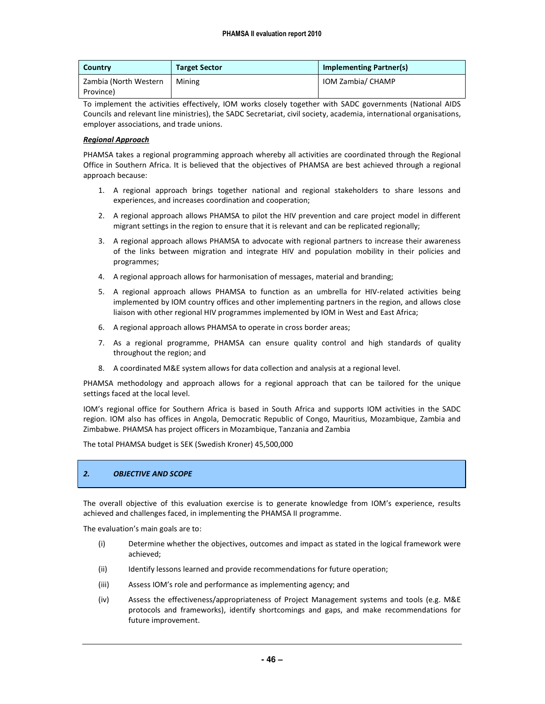| Country               | <b>Target Sector</b> | <b>Implementing Partner(s)</b> |
|-----------------------|----------------------|--------------------------------|
| Zambia (North Western | Mining               | IOM Zambia/ CHAMP              |
| Province)             |                      |                                |

To implement the activities effectively, IOM works closely together with SADC governments (National AIDS Councils and relevant line ministries), the SADC Secretariat, civil society, academia, international organisations, employer associations, and trade unions.

#### Regional Approach

PHAMSA takes a regional programming approach whereby all activities are coordinated through the Regional Office in Southern Africa. It is believed that the objectives of PHAMSA are best achieved through a regional approach because:

- 1. A regional approach brings together national and regional stakeholders to share lessons and experiences, and increases coordination and cooperation;
- 2. A regional approach allows PHAMSA to pilot the HIV prevention and care project model in different migrant settings in the region to ensure that it is relevant and can be replicated regionally;
- 3. A regional approach allows PHAMSA to advocate with regional partners to increase their awareness of the links between migration and integrate HIV and population mobility in their policies and programmes;
- 4. A regional approach allows for harmonisation of messages, material and branding;
- 5. A regional approach allows PHAMSA to function as an umbrella for HIV-related activities being implemented by IOM country offices and other implementing partners in the region, and allows close liaison with other regional HIV programmes implemented by IOM in West and East Africa;
- 6. A regional approach allows PHAMSA to operate in cross border areas;
- 7. As a regional programme, PHAMSA can ensure quality control and high standards of quality throughout the region; and
- 8. A coordinated M&E system allows for data collection and analysis at a regional level.

PHAMSA methodology and approach allows for a regional approach that can be tailored for the unique settings faced at the local level.

IOM's regional office for Southern Africa is based in South Africa and supports IOM activities in the SADC region. IOM also has offices in Angola, Democratic Republic of Congo, Mauritius, Mozambique, Zambia and Zimbabwe. PHAMSA has project officers in Mozambique, Tanzania and Zambia

The total PHAMSA budget is SEK (Swedish Kroner) 45,500,000

#### 2. OBJECTIVE AND SCOPE

The overall objective of this evaluation exercise is to generate knowledge from IOM's experience, results achieved and challenges faced, in implementing the PHAMSA II programme.

The evaluation's main goals are to:

- (i) Determine whether the objectives, outcomes and impact as stated in the logical framework were achieved;
- (ii) Identify lessons learned and provide recommendations for future operation;
- (iii) Assess IOM's role and performance as implementing agency; and
- (iv) Assess the effectiveness/appropriateness of Project Management systems and tools (e.g. M&E protocols and frameworks), identify shortcomings and gaps, and make recommendations for future improvement.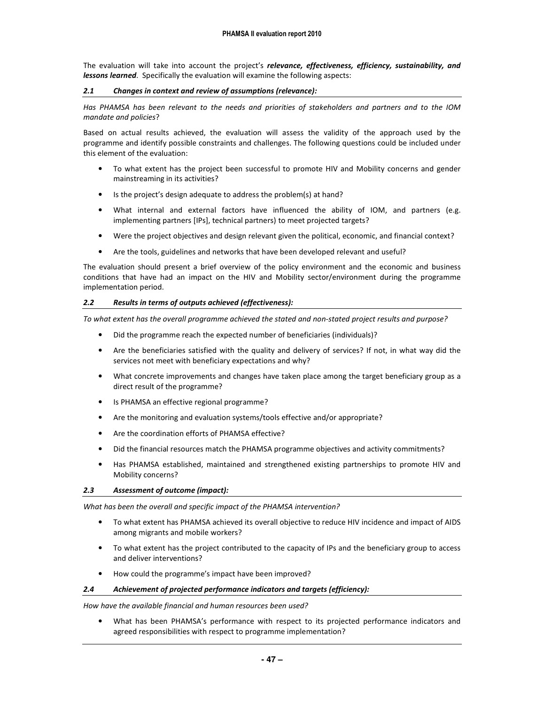The evaluation will take into account the project's relevance, effectiveness, efficiency, sustainability, and *lessons learned.* Specifically the evaluation will examine the following aspects:

#### 2.1 Changes in context and review of assumptions (relevance):

Has PHAMSA has been relevant to the needs and priorities of stakeholders and partners and to the IOM mandate and policies?

Based on actual results achieved, the evaluation will assess the validity of the approach used by the programme and identify possible constraints and challenges. The following questions could be included under this element of the evaluation:

- To what extent has the project been successful to promote HIV and Mobility concerns and gender mainstreaming in its activities?
- Is the project's design adequate to address the problem(s) at hand?
- What internal and external factors have influenced the ability of IOM, and partners (e.g. implementing partners [IPs], technical partners) to meet projected targets?
- Were the project objectives and design relevant given the political, economic, and financial context?
- Are the tools, guidelines and networks that have been developed relevant and useful?

The evaluation should present a brief overview of the policy environment and the economic and business conditions that have had an impact on the HIV and Mobility sector/environment during the programme implementation period.

#### 2.2 Results in terms of outputs achieved (effectiveness):

To what extent has the overall programme achieved the stated and non-stated project results and purpose?

- Did the programme reach the expected number of beneficiaries (individuals)?
- Are the beneficiaries satisfied with the quality and delivery of services? If not, in what way did the services not meet with beneficiary expectations and why?
- What concrete improvements and changes have taken place among the target beneficiary group as a direct result of the programme?
- Is PHAMSA an effective regional programme?
- Are the monitoring and evaluation systems/tools effective and/or appropriate?
- Are the coordination efforts of PHAMSA effective?
- Did the financial resources match the PHAMSA programme objectives and activity commitments?
- Has PHAMSA established, maintained and strengthened existing partnerships to promote HIV and Mobility concerns?

#### 2.3 Assessment of outcome (impact):

What has been the overall and specific impact of the PHAMSA intervention?

- To what extent has PHAMSA achieved its overall objective to reduce HIV incidence and impact of AIDS among migrants and mobile workers?
- To what extent has the project contributed to the capacity of IPs and the beneficiary group to access and deliver interventions?
- How could the programme's impact have been improved?

#### 2.4 Achievement of projected performance indicators and targets (efficiency):

How have the available financial and human resources been used?

• What has been PHAMSA's performance with respect to its projected performance indicators and agreed responsibilities with respect to programme implementation?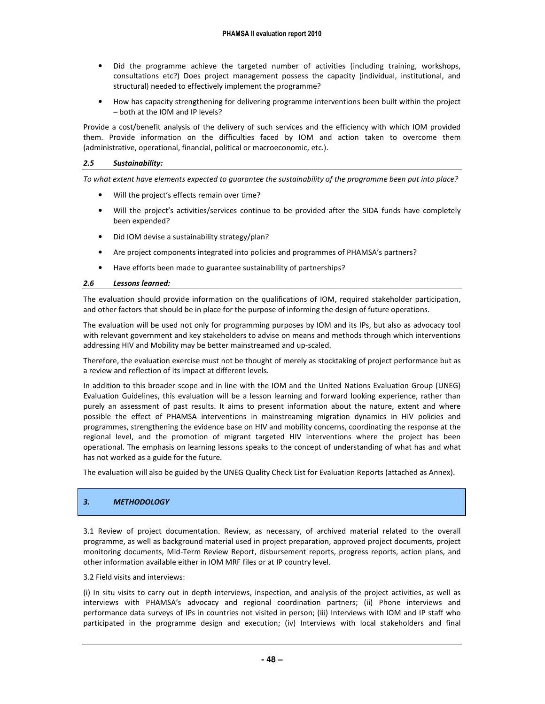- Did the programme achieve the targeted number of activities (including training, workshops, consultations etc?) Does project management possess the capacity (individual, institutional, and structural) needed to effectively implement the programme?
- How has capacity strengthening for delivering programme interventions been built within the project – both at the IOM and IP levels?

Provide a cost/benefit analysis of the delivery of such services and the efficiency with which IOM provided them. Provide information on the difficulties faced by IOM and action taken to overcome them (administrative, operational, financial, political or macroeconomic, etc.).

#### 2.5 Sustainability:

To what extent have elements expected to guarantee the sustainability of the programme been put into place?

- Will the project's effects remain over time?
- Will the project's activities/services continue to be provided after the SIDA funds have completely been expended?
- Did IOM devise a sustainability strategy/plan?
- Are project components integrated into policies and programmes of PHAMSA's partners?
- Have efforts been made to guarantee sustainability of partnerships?

#### 2.6 Lessons learned:

The evaluation should provide information on the qualifications of IOM, required stakeholder participation, and other factors that should be in place for the purpose of informing the design of future operations.

The evaluation will be used not only for programming purposes by IOM and its IPs, but also as advocacy tool with relevant government and key stakeholders to advise on means and methods through which interventions addressing HIV and Mobility may be better mainstreamed and up-scaled.

Therefore, the evaluation exercise must not be thought of merely as stocktaking of project performance but as a review and reflection of its impact at different levels.

In addition to this broader scope and in line with the IOM and the United Nations Evaluation Group (UNEG) Evaluation Guidelines, this evaluation will be a lesson learning and forward looking experience, rather than purely an assessment of past results. It aims to present information about the nature, extent and where possible the effect of PHAMSA interventions in mainstreaming migration dynamics in HIV policies and programmes, strengthening the evidence base on HIV and mobility concerns, coordinating the response at the regional level, and the promotion of migrant targeted HIV interventions where the project has been operational. The emphasis on learning lessons speaks to the concept of understanding of what has and what has not worked as a guide for the future.

The evaluation will also be guided by the UNEG Quality Check List for Evaluation Reports (attached as Annex).

#### 3. METHODOLOGY

3.1 Review of project documentation. Review, as necessary, of archived material related to the overall programme, as well as background material used in project preparation, approved project documents, project monitoring documents, Mid-Term Review Report, disbursement reports, progress reports, action plans, and other information available either in IOM MRF files or at IP country level.

3.2 Field visits and interviews:

(i) In situ visits to carry out in depth interviews, inspection, and analysis of the project activities, as well as interviews with PHAMSA's advocacy and regional coordination partners; (ii) Phone interviews and performance data surveys of IPs in countries not visited in person; (iii) Interviews with IOM and IP staff who participated in the programme design and execution; (iv) Interviews with local stakeholders and final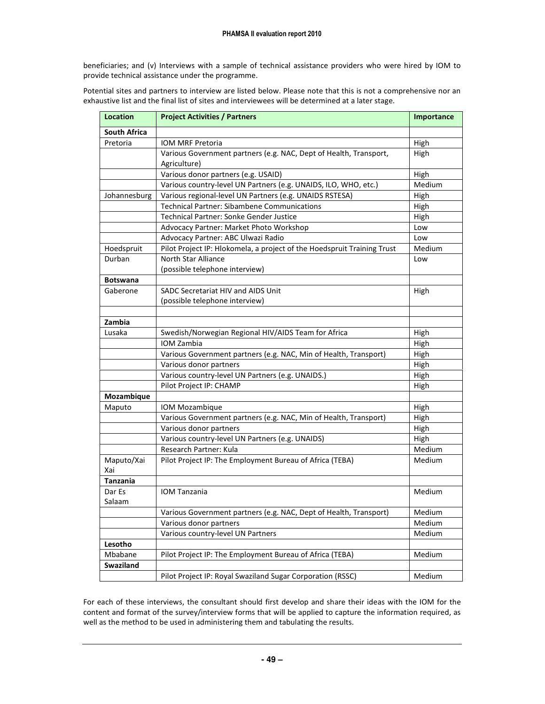beneficiaries; and (v) Interviews with a sample of technical assistance providers who were hired by IOM to provide technical assistance under the programme.

Potential sites and partners to interview are listed below. Please note that this is not a comprehensive nor an exhaustive list and the final list of sites and interviewees will be determined at a later stage.

| <b>Location</b>     | <b>Project Activities / Partners</b>                                              | Importance |
|---------------------|-----------------------------------------------------------------------------------|------------|
| <b>South Africa</b> |                                                                                   |            |
| Pretoria            | IOM MRF Pretoria                                                                  | High       |
|                     | Various Government partners (e.g. NAC, Dept of Health, Transport,<br>Agriculture) | High       |
|                     | Various donor partners (e.g. USAID)                                               | High       |
|                     | Various country-level UN Partners (e.g. UNAIDS, ILO, WHO, etc.)                   | Medium     |
| Johannesburg        | Various regional-level UN Partners (e.g. UNAIDS RSTESA)                           | High       |
|                     | <b>Technical Partner: Sibambene Communications</b>                                | High       |
|                     | <b>Technical Partner: Sonke Gender Justice</b>                                    | High       |
|                     | Advocacy Partner: Market Photo Workshop                                           | Low        |
|                     | Advocacy Partner: ABC Ulwazi Radio                                                | Low        |
| Hoedspruit          | Pilot Project IP: Hlokomela, a project of the Hoedspruit Training Trust           | Medium     |
| Durban              | North Star Alliance                                                               | Low        |
|                     | (possible telephone interview)                                                    |            |
| <b>Botswana</b>     |                                                                                   |            |
| Gaberone            | SADC Secretariat HIV and AIDS Unit                                                | High       |
|                     | (possible telephone interview)                                                    |            |
| Zambia              |                                                                                   |            |
| Lusaka              | Swedish/Norwegian Regional HIV/AIDS Team for Africa                               | High       |
|                     | IOM Zambia                                                                        | High       |
|                     | Various Government partners (e.g. NAC, Min of Health, Transport)                  | High       |
|                     | Various donor partners                                                            | High       |
|                     | Various country-level UN Partners (e.g. UNAIDS.)                                  | High       |
|                     | Pilot Project IP: CHAMP                                                           | High       |
| Mozambique          |                                                                                   |            |
| Maputo              | IOM Mozambique                                                                    | High       |
|                     | Various Government partners (e.g. NAC, Min of Health, Transport)                  | High       |
|                     | Various donor partners                                                            | High       |
|                     | Various country-level UN Partners (e.g. UNAIDS)                                   | High       |
|                     | Research Partner: Kula                                                            | Medium     |
| Maputo/Xai<br>Xai   | Pilot Project IP: The Employment Bureau of Africa (TEBA)                          | Medium     |
| <b>Tanzania</b>     |                                                                                   |            |
| Dar Es<br>Salaam    | <b>IOM Tanzania</b>                                                               | Medium     |
|                     | Various Government partners (e.g. NAC, Dept of Health, Transport)                 | Medium     |
|                     | Various donor partners                                                            | Medium     |
|                     | Various country-level UN Partners                                                 | Medium     |
| Lesotho             |                                                                                   |            |
| Mbabane             | Pilot Project IP: The Employment Bureau of Africa (TEBA)                          | Medium     |
| Swaziland           |                                                                                   |            |
|                     | Pilot Project IP: Royal Swaziland Sugar Corporation (RSSC)                        | Medium     |

For each of these interviews, the consultant should first develop and share their ideas with the IOM for the content and format of the survey/interview forms that will be applied to capture the information required, as well as the method to be used in administering them and tabulating the results.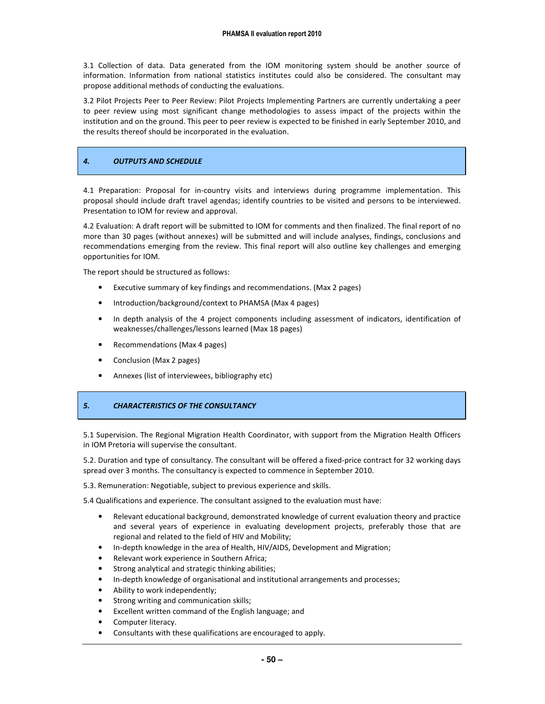3.1 Collection of data. Data generated from the IOM monitoring system should be another source of information. Information from national statistics institutes could also be considered. The consultant may propose additional methods of conducting the evaluations.

3.2 Pilot Projects Peer to Peer Review: Pilot Projects Implementing Partners are currently undertaking a peer to peer review using most significant change methodologies to assess impact of the projects within the institution and on the ground. This peer to peer review is expected to be finished in early September 2010, and the results thereof should be incorporated in the evaluation.

#### 4. OUTPUTS AND SCHEDULE

4.1 Preparation: Proposal for in-country visits and interviews during programme implementation. This proposal should include draft travel agendas; identify countries to be visited and persons to be interviewed. Presentation to IOM for review and approval.

4.2 Evaluation: A draft report will be submitted to IOM for comments and then finalized. The final report of no more than 30 pages (without annexes) will be submitted and will include analyses, findings, conclusions and recommendations emerging from the review. This final report will also outline key challenges and emerging opportunities for IOM.

The report should be structured as follows:

- Executive summary of key findings and recommendations. (Max 2 pages)
- Introduction/background/context to PHAMSA (Max 4 pages)
- In depth analysis of the 4 project components including assessment of indicators, identification of weaknesses/challenges/lessons learned (Max 18 pages)
- Recommendations (Max 4 pages)
- Conclusion (Max 2 pages)
- Annexes (list of interviewees, bibliography etc)

#### 5. CHARACTERISTICS OF THE CONSULTANCY

5.1 Supervision. The Regional Migration Health Coordinator, with support from the Migration Health Officers in IOM Pretoria will supervise the consultant.

5.2. Duration and type of consultancy. The consultant will be offered a fixed-price contract for 32 working days spread over 3 months. The consultancy is expected to commence in September 2010.

5.3. Remuneration: Negotiable, subject to previous experience and skills.

5.4 Qualifications and experience. The consultant assigned to the evaluation must have:

- Relevant educational background, demonstrated knowledge of current evaluation theory and practice and several years of experience in evaluating development projects, preferably those that are regional and related to the field of HIV and Mobility;
- In-depth knowledge in the area of Health, HIV/AIDS, Development and Migration;
- Relevant work experience in Southern Africa;
- Strong analytical and strategic thinking abilities;
- In-depth knowledge of organisational and institutional arrangements and processes;
- Ability to work independently;
- Strong writing and communication skills;
- Excellent written command of the English language; and
- Computer literacy.
- Consultants with these qualifications are encouraged to apply.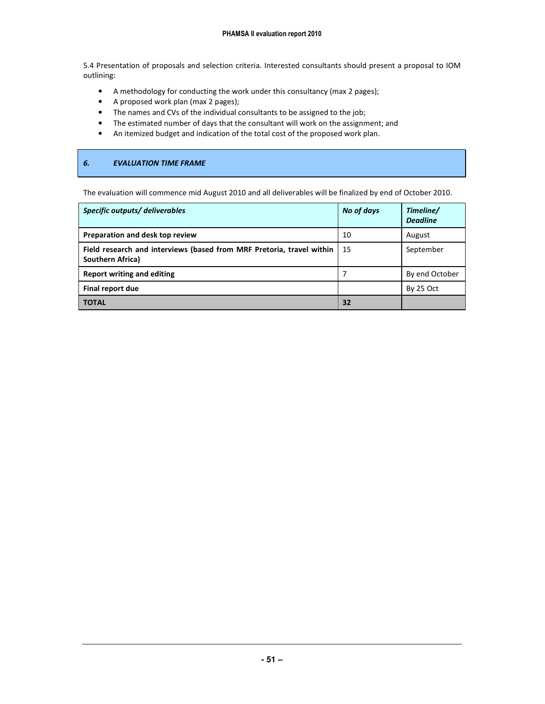5.4 Presentation of proposals and selection criteria. Interested consultants should present a proposal to IOM outlining:

- A methodology for conducting the work under this consultancy (max 2 pages);
- A proposed work plan (max 2 pages);
- The names and CVs of the individual consultants to be assigned to the job;
- The estimated number of days that the consultant will work on the assignment; and
- An itemized budget and indication of the total cost of the proposed work plan.

#### 6. EVALUATION TIME FRAME

The evaluation will commence mid August 2010 and all deliverables will be finalized by end of October 2010.

| Specific outputs/ deliverables                                                            | No of days | Timeline/<br><b>Deadline</b> |
|-------------------------------------------------------------------------------------------|------------|------------------------------|
| Preparation and desk top review                                                           | 10         | August                       |
| Field research and interviews (based from MRF Pretoria, travel within<br>Southern Africa) | 15         | September                    |
| Report writing and editing                                                                |            | By end October               |
| Final report due                                                                          |            | By 25 Oct                    |
| <b>TOTAL</b>                                                                              | 32         |                              |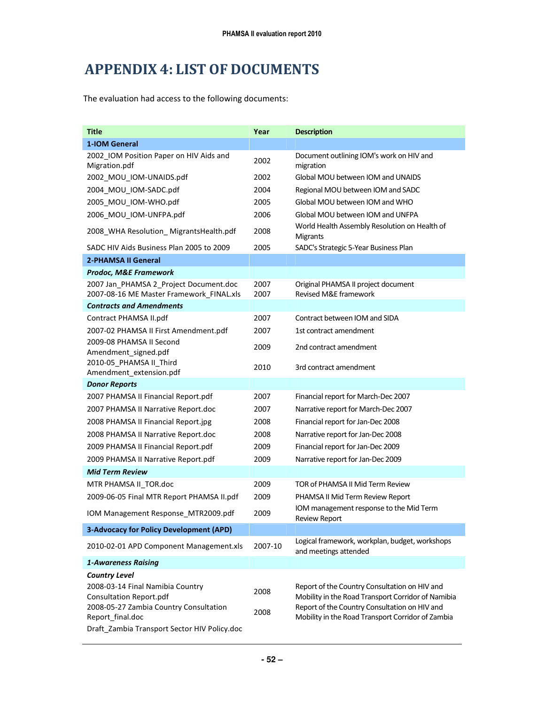## APPENDIX 4: LIST OF DOCUMENTS

The evaluation had access to the following documents:

| <b>Title</b>                                                                                                                     | Year         | <b>Description</b>                                                                                                                                                                                        |
|----------------------------------------------------------------------------------------------------------------------------------|--------------|-----------------------------------------------------------------------------------------------------------------------------------------------------------------------------------------------------------|
| 1-IOM General                                                                                                                    |              |                                                                                                                                                                                                           |
| 2002 IOM Position Paper on HIV Aids and<br>Migration.pdf                                                                         | 2002         | Document outlining IOM's work on HIV and<br>migration                                                                                                                                                     |
| 2002_MOU_IOM-UNAIDS.pdf                                                                                                          | 2002         | Global MOU between IOM and UNAIDS                                                                                                                                                                         |
| 2004 MOU IOM-SADC.pdf                                                                                                            | 2004         | Regional MOU between IOM and SADC                                                                                                                                                                         |
| 2005 MOU IOM-WHO.pdf                                                                                                             | 2005         | Global MOU between IOM and WHO                                                                                                                                                                            |
| 2006_MOU_IOM-UNFPA.pdf                                                                                                           | 2006         | Global MOU between IOM and UNFPA                                                                                                                                                                          |
| 2008_WHA Resolution_MigrantsHealth.pdf                                                                                           | 2008         | World Health Assembly Resolution on Health of<br>Migrants                                                                                                                                                 |
| SADC HIV Aids Business Plan 2005 to 2009                                                                                         | 2005         | SADC's Strategic 5-Year Business Plan                                                                                                                                                                     |
| <b>2-PHAMSA II General</b>                                                                                                       |              |                                                                                                                                                                                                           |
| <b>Prodoc, M&amp;E Framework</b>                                                                                                 |              |                                                                                                                                                                                                           |
| 2007 Jan_PHAMSA 2_Project Document.doc<br>2007-08-16 ME Master Framework_FINAL.xls                                               | 2007<br>2007 | Original PHAMSA II project document<br>Revised M&E framework                                                                                                                                              |
| <b>Contracts and Amendments</b>                                                                                                  |              |                                                                                                                                                                                                           |
| Contract PHAMSA II.pdf                                                                                                           | 2007         | Contract between IOM and SIDA                                                                                                                                                                             |
| 2007-02 PHAMSA II First Amendment.pdf                                                                                            | 2007         | 1st contract amendment                                                                                                                                                                                    |
| 2009-08 PHAMSA II Second<br>Amendment_signed.pdf                                                                                 | 2009         | 2nd contract amendment                                                                                                                                                                                    |
| 2010-05 PHAMSA II Third<br>Amendment_extension.pdf                                                                               | 2010         | 3rd contract amendment                                                                                                                                                                                    |
| <b>Donor Reports</b>                                                                                                             |              |                                                                                                                                                                                                           |
| 2007 PHAMSA II Financial Report.pdf                                                                                              | 2007         | Financial report for March-Dec 2007                                                                                                                                                                       |
| 2007 PHAMSA II Narrative Report.doc                                                                                              | 2007         | Narrative report for March-Dec 2007                                                                                                                                                                       |
| 2008 PHAMSA II Financial Report.jpg                                                                                              | 2008         | Financial report for Jan-Dec 2008                                                                                                                                                                         |
| 2008 PHAMSA II Narrative Report.doc                                                                                              | 2008         | Narrative report for Jan-Dec 2008                                                                                                                                                                         |
| 2009 PHAMSA II Financial Report.pdf                                                                                              | 2009         | Financial report for Jan-Dec 2009                                                                                                                                                                         |
| 2009 PHAMSA II Narrative Report.pdf                                                                                              | 2009         | Narrative report for Jan-Dec 2009                                                                                                                                                                         |
| <b>Mid Term Review</b>                                                                                                           |              |                                                                                                                                                                                                           |
| MTR PHAMSA II_TOR.doc                                                                                                            | 2009         | TOR of PHAMSA II Mid Term Review                                                                                                                                                                          |
| 2009-06-05 Final MTR Report PHAMSA II.pdf                                                                                        | 2009         | PHAMSA II Mid Term Review Report                                                                                                                                                                          |
| IOM Management Response_MTR2009.pdf                                                                                              | 2009         | IOM management response to the Mid Term<br><b>Review Report</b>                                                                                                                                           |
| 3-Advocacy for Policy Development (APD)                                                                                          |              |                                                                                                                                                                                                           |
| 2010-02-01 APD Component Management.xls                                                                                          | 2007-10      | Logical framework, workplan, budget, workshops<br>and meetings attended                                                                                                                                   |
| <b>1-Awareness Raising</b>                                                                                                       |              |                                                                                                                                                                                                           |
| <b>Country Level</b>                                                                                                             |              |                                                                                                                                                                                                           |
| 2008-03-14 Final Namibia Country<br><b>Consultation Report.pdf</b><br>2008-05-27 Zambia Country Consultation<br>Report_final.doc | 2008<br>2008 | Report of the Country Consultation on HIV and<br>Mobility in the Road Transport Corridor of Namibia<br>Report of the Country Consultation on HIV and<br>Mobility in the Road Transport Corridor of Zambia |
| Draft_Zambia Transport Sector HIV Policy.doc                                                                                     |              |                                                                                                                                                                                                           |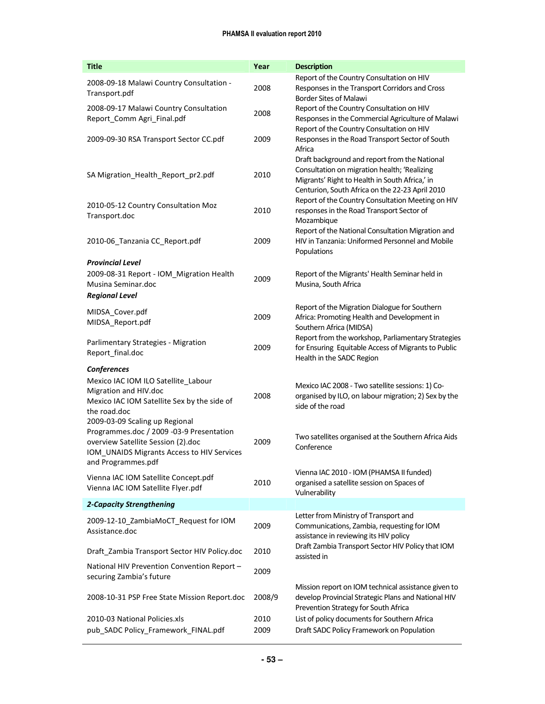| <b>Title</b>                                                                                                                                                                         | Year         | <b>Description</b>                                                                                                                                                                                 |
|--------------------------------------------------------------------------------------------------------------------------------------------------------------------------------------|--------------|----------------------------------------------------------------------------------------------------------------------------------------------------------------------------------------------------|
| 2008-09-18 Malawi Country Consultation -<br>Transport.pdf                                                                                                                            | 2008         | Report of the Country Consultation on HIV<br>Responses in the Transport Corridors and Cross<br><b>Border Sites of Malawi</b>                                                                       |
| 2008-09-17 Malawi Country Consultation<br>Report_Comm Agri_Final.pdf                                                                                                                 | 2008         | Report of the Country Consultation on HIV<br>Responses in the Commercial Agriculture of Malawi<br>Report of the Country Consultation on HIV                                                        |
| 2009-09-30 RSA Transport Sector CC.pdf                                                                                                                                               | 2009         | Responses in the Road Transport Sector of South<br>Africa                                                                                                                                          |
| SA Migration_Health_Report_pr2.pdf                                                                                                                                                   | 2010         | Draft background and report from the National<br>Consultation on migration health; 'Realizing<br>Migrants' Right to Health in South Africa,' in<br>Centurion, South Africa on the 22-23 April 2010 |
| 2010-05-12 Country Consultation Moz<br>Transport.doc                                                                                                                                 | 2010         | Report of the Country Consultation Meeting on HIV<br>responses in the Road Transport Sector of<br>Mozambique                                                                                       |
| 2010-06_Tanzania CC_Report.pdf                                                                                                                                                       | 2009         | Report of the National Consultation Migration and<br>HIV in Tanzania: Uniformed Personnel and Mobile<br>Populations                                                                                |
| <b>Provincial Level</b><br>2009-08-31 Report - IOM Migration Health<br>Musina Seminar.doc<br><b>Regional Level</b>                                                                   | 2009         | Report of the Migrants' Health Seminar held in<br>Musina, South Africa                                                                                                                             |
| MIDSA_Cover.pdf<br>MIDSA_Report.pdf                                                                                                                                                  | 2009         | Report of the Migration Dialogue for Southern<br>Africa: Promoting Health and Development in<br>Southern Africa (MIDSA)                                                                            |
| Parlimentary Strategies - Migration<br>Report_final.doc                                                                                                                              | 2009         | Report from the workshop, Parliamentary Strategies<br>for Ensuring Equitable Access of Migrants to Public<br>Health in the SADC Region                                                             |
| Conferences<br>Mexico IAC IOM ILO Satellite_Labour<br>Migration and HIV.doc<br>Mexico IAC IOM Satellite Sex by the side of<br>the road.doc                                           | 2008         | Mexico IAC 2008 - Two satellite sessions: 1) Co-<br>organised by ILO, on labour migration; 2) Sex by the<br>side of the road                                                                       |
| 2009-03-09 Scaling up Regional<br>Programmes.doc / 2009 -03-9 Presentation<br>overview Satellite Session (2).doc<br>IOM_UNAIDS Migrants Access to HIV Services<br>and Programmes.pdf | 2009         | Two satellites organised at the Southern Africa Aids<br>Conference                                                                                                                                 |
| Vienna IAC IOM Satellite Concept.pdf<br>Vienna IAC IOM Satellite Flyer.pdf                                                                                                           | 2010         | Vienna IAC 2010 - IOM (PHAMSA II funded)<br>organised a satellite session on Spaces of<br>Vulnerability                                                                                            |
| 2-Capacity Strengthening                                                                                                                                                             |              |                                                                                                                                                                                                    |
| 2009-12-10_ZambiaMoCT_Request for IOM<br>Assistance.doc                                                                                                                              | 2009         | Letter from Ministry of Transport and<br>Communications, Zambia, requesting for IOM<br>assistance in reviewing its HIV policy                                                                      |
| Draft_Zambia Transport Sector HIV Policy.doc                                                                                                                                         | 2010         | Draft Zambia Transport Sector HIV Policy that IOM<br>assisted in                                                                                                                                   |
| National HIV Prevention Convention Report -<br>securing Zambia's future                                                                                                              | 2009         |                                                                                                                                                                                                    |
| 2008-10-31 PSP Free State Mission Report.doc                                                                                                                                         | 2008/9       | Mission report on IOM technical assistance given to<br>develop Provincial Strategic Plans and National HIV<br>Prevention Strategy for South Africa                                                 |
| 2010-03 National Policies.xls<br>pub_SADC Policy_Framework_FINAL.pdf                                                                                                                 | 2010<br>2009 | List of policy documents for Southern Africa<br>Draft SADC Policy Framework on Population                                                                                                          |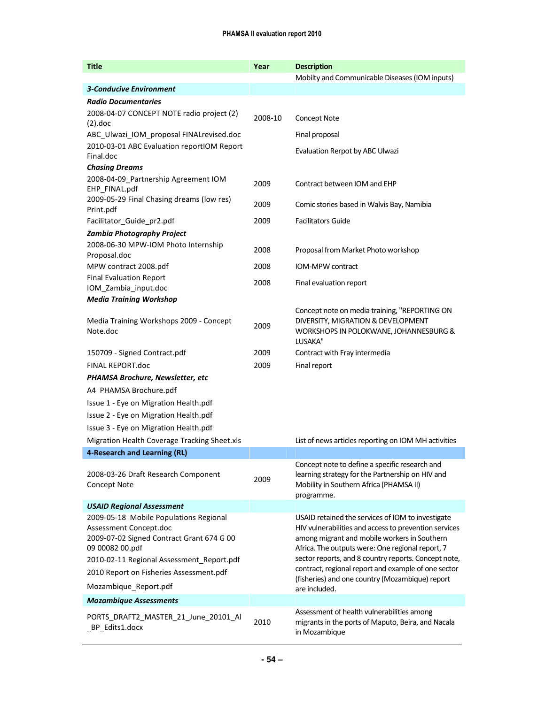| <b>Title</b>                                                                                                                                                                                                                                      | Year    | <b>Description</b>                                                                                                                                                                                                                                                                                                                                                               |
|---------------------------------------------------------------------------------------------------------------------------------------------------------------------------------------------------------------------------------------------------|---------|----------------------------------------------------------------------------------------------------------------------------------------------------------------------------------------------------------------------------------------------------------------------------------------------------------------------------------------------------------------------------------|
|                                                                                                                                                                                                                                                   |         | Mobilty and Communicable Diseases (IOM inputs)                                                                                                                                                                                                                                                                                                                                   |
| <b>3-Conducive Environment</b>                                                                                                                                                                                                                    |         |                                                                                                                                                                                                                                                                                                                                                                                  |
| <b>Radio Documentaries</b>                                                                                                                                                                                                                        |         |                                                                                                                                                                                                                                                                                                                                                                                  |
| 2008-04-07 CONCEPT NOTE radio project (2)<br>$(2).$ doc                                                                                                                                                                                           | 2008-10 | <b>Concept Note</b>                                                                                                                                                                                                                                                                                                                                                              |
| ABC_Ulwazi_IOM_proposal FINALrevised.doc                                                                                                                                                                                                          |         | Final proposal                                                                                                                                                                                                                                                                                                                                                                   |
| 2010-03-01 ABC Evaluation reportIOM Report<br>Final.doc                                                                                                                                                                                           |         | Evaluation Rerpot by ABC Ulwazi                                                                                                                                                                                                                                                                                                                                                  |
| <b>Chasing Dreams</b>                                                                                                                                                                                                                             |         |                                                                                                                                                                                                                                                                                                                                                                                  |
| 2008-04-09_Partnership Agreement IOM<br>EHP_FINAL.pdf                                                                                                                                                                                             | 2009    | Contract between IOM and EHP                                                                                                                                                                                                                                                                                                                                                     |
| 2009-05-29 Final Chasing dreams (low res)<br>Print.pdf                                                                                                                                                                                            | 2009    | Comic stories based in Walvis Bay, Namibia                                                                                                                                                                                                                                                                                                                                       |
| Facilitator_Guide_pr2.pdf                                                                                                                                                                                                                         | 2009    | <b>Facilitators Guide</b>                                                                                                                                                                                                                                                                                                                                                        |
| <b>Zambia Photography Project</b>                                                                                                                                                                                                                 |         |                                                                                                                                                                                                                                                                                                                                                                                  |
| 2008-06-30 MPW-IOM Photo Internship<br>Proposal.doc                                                                                                                                                                                               | 2008    | Proposal from Market Photo workshop                                                                                                                                                                                                                                                                                                                                              |
| MPW contract 2008.pdf                                                                                                                                                                                                                             | 2008    | IOM-MPW contract                                                                                                                                                                                                                                                                                                                                                                 |
| <b>Final Evaluation Report</b><br>IOM_Zambia_input.doc                                                                                                                                                                                            | 2008    | Final evaluation report                                                                                                                                                                                                                                                                                                                                                          |
| <b>Media Training Workshop</b>                                                                                                                                                                                                                    |         |                                                                                                                                                                                                                                                                                                                                                                                  |
| Media Training Workshops 2009 - Concept<br>Note.doc                                                                                                                                                                                               | 2009    | Concept note on media training, "REPORTING ON<br>DIVERSITY, MIGRATION & DEVELOPMENT<br>WORKSHOPS IN POLOKWANE, JOHANNESBURG &<br>LUSAKA"                                                                                                                                                                                                                                         |
| 150709 - Signed Contract.pdf                                                                                                                                                                                                                      | 2009    | Contract with Fray intermedia                                                                                                                                                                                                                                                                                                                                                    |
| <b>FINAL REPORT.doc</b>                                                                                                                                                                                                                           | 2009    | Final report                                                                                                                                                                                                                                                                                                                                                                     |
| PHAMSA Brochure, Newsletter, etc                                                                                                                                                                                                                  |         |                                                                                                                                                                                                                                                                                                                                                                                  |
| A4 PHAMSA Brochure.pdf                                                                                                                                                                                                                            |         |                                                                                                                                                                                                                                                                                                                                                                                  |
| Issue 1 - Eye on Migration Health.pdf                                                                                                                                                                                                             |         |                                                                                                                                                                                                                                                                                                                                                                                  |
| Issue 2 - Eye on Migration Health.pdf                                                                                                                                                                                                             |         |                                                                                                                                                                                                                                                                                                                                                                                  |
| Issue 3 - Eye on Migration Health.pdf                                                                                                                                                                                                             |         |                                                                                                                                                                                                                                                                                                                                                                                  |
| Migration Health Coverage Tracking Sheet.xls                                                                                                                                                                                                      |         | List of news articles reporting on IOM MH activities                                                                                                                                                                                                                                                                                                                             |
| 4-Research and Learning (RL)                                                                                                                                                                                                                      |         |                                                                                                                                                                                                                                                                                                                                                                                  |
| 2008-03-26 Draft Research Component<br>Concept Note                                                                                                                                                                                               | 2009    | Concept note to define a specific research and<br>learning strategy for the Partnership on HIV and<br>Mobility in Southern Africa (PHAMSA II)<br>programme.                                                                                                                                                                                                                      |
| <b>USAID Regional Assessment</b>                                                                                                                                                                                                                  |         |                                                                                                                                                                                                                                                                                                                                                                                  |
| 2009-05-18 Mobile Populations Regional<br>Assessment Concept.doc<br>2009-07-02 Signed Contract Grant 674 G 00<br>09 00082 00.pdf<br>2010-02-11 Regional Assessment_Report.pdf<br>2010 Report on Fisheries Assessment.pdf<br>Mozambique_Report.pdf |         | USAID retained the services of IOM to investigate<br>HIV vulnerabilities and access to prevention services<br>among migrant and mobile workers in Southern<br>Africa. The outputs were: One regional report, 7<br>sector reports, and 8 country reports. Concept note,<br>contract, regional report and example of one sector<br>(fisheries) and one country (Mozambique) report |
|                                                                                                                                                                                                                                                   |         | are included.                                                                                                                                                                                                                                                                                                                                                                    |
| <b>Mozambique Assessments</b><br>PORTS_DRAFT2_MASTER_21_June_20101_Al<br>_BP_Edits1.docx                                                                                                                                                          | 2010    | Assessment of health vulnerabilities among<br>migrants in the ports of Maputo, Beira, and Nacala<br>in Mozambique                                                                                                                                                                                                                                                                |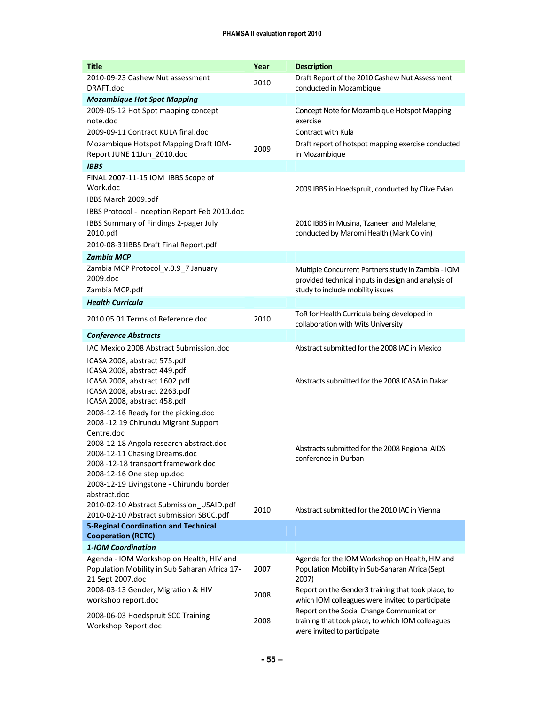| <b>Title</b>                                                                                                                                                                                                                                   | Year         | <b>Description</b>                                                                                                                                                                |
|------------------------------------------------------------------------------------------------------------------------------------------------------------------------------------------------------------------------------------------------|--------------|-----------------------------------------------------------------------------------------------------------------------------------------------------------------------------------|
| 2010-09-23 Cashew Nut assessment<br>DRAFT.doc                                                                                                                                                                                                  | 2010         | Draft Report of the 2010 Cashew Nut Assessment<br>conducted in Mozambique                                                                                                         |
| <b>Mozambique Hot Spot Mapping</b>                                                                                                                                                                                                             |              |                                                                                                                                                                                   |
| 2009-05-12 Hot Spot mapping concept<br>note.doc<br>2009-09-11 Contract KULA final.doc<br>Mozambique Hotspot Mapping Draft IOM-                                                                                                                 |              | Concept Note for Mozambique Hotspot Mapping<br>exercise<br>Contract with Kula<br>Draft report of hotspot mapping exercise conducted                                               |
| Report JUNE 11Jun_2010.doc                                                                                                                                                                                                                     | 2009         | in Mozambique                                                                                                                                                                     |
| <b>IBBS</b>                                                                                                                                                                                                                                    |              |                                                                                                                                                                                   |
| FINAL 2007-11-15 IOM IBBS Scope of<br>Work.doc<br>IBBS March 2009.pdf                                                                                                                                                                          |              | 2009 IBBS in Hoedspruit, conducted by Clive Evian                                                                                                                                 |
| IBBS Protocol - Inception Report Feb 2010.doc<br>IBBS Summary of Findings 2-pager July<br>2010.pdf<br>2010-08-31IBBS Draft Final Report.pdf                                                                                                    |              | 2010 IBBS in Musina, Tzaneen and Malelane,<br>conducted by Maromi Health (Mark Colvin)                                                                                            |
| <b>Zambia MCP</b>                                                                                                                                                                                                                              |              |                                                                                                                                                                                   |
| Zambia MCP Protocol_v.0.9_7 January<br>2009.doc<br>Zambia MCP.pdf                                                                                                                                                                              |              | Multiple Concurrent Partners study in Zambia - IOM<br>provided technical inputs in design and analysis of<br>study to include mobility issues                                     |
| <b>Health Curricula</b>                                                                                                                                                                                                                        |              |                                                                                                                                                                                   |
| 2010 05 01 Terms of Reference.doc                                                                                                                                                                                                              | 2010         | ToR for Health Curricula being developed in<br>collaboration with Wits University                                                                                                 |
| <b>Conference Abstracts</b>                                                                                                                                                                                                                    |              |                                                                                                                                                                                   |
| IAC Mexico 2008 Abstract Submission.doc                                                                                                                                                                                                        |              | Abstract submitted for the 2008 IAC in Mexico                                                                                                                                     |
| ICASA 2008, abstract 575.pdf<br>ICASA 2008, abstract 449.pdf<br>ICASA 2008, abstract 1602.pdf<br>ICASA 2008, abstract 2263.pdf<br>ICASA 2008, abstract 458.pdf<br>2008-12-16 Ready for the picking.doc<br>2008 -12 19 Chirundu Migrant Support |              | Abstracts submitted for the 2008 ICASA in Dakar                                                                                                                                   |
| Centre.doc<br>2008-12-18 Angola research abstract.doc<br>2008-12-11 Chasing Dreams.doc<br>2008 -12-18 transport framework.doc<br>2008-12-16 One step up.doc<br>2008-12-19 Livingstone - Chirundu border<br>abstract.doc                        |              | Abstracts submitted for the 2008 Regional AIDS<br>conference in Durban                                                                                                            |
| 2010-02-10 Abstract Submission_USAID.pdf<br>2010-02-10 Abstract submission SBCC.pdf                                                                                                                                                            | 2010         | Abstract submitted for the 2010 IAC in Vienna                                                                                                                                     |
| <b>5-Reginal Coordination and Technical</b><br><b>Cooperation (RCTC)</b>                                                                                                                                                                       |              |                                                                                                                                                                                   |
| 1-IOM Coordination                                                                                                                                                                                                                             |              |                                                                                                                                                                                   |
| Agenda - IOM Workshop on Health, HIV and<br>Population Mobility in Sub Saharan Africa 17-<br>21 Sept 2007.doc<br>2008-03-13 Gender, Migration & HIV                                                                                            | 2007         | Agenda for the IOM Workshop on Health, HIV and<br>Population Mobility in Sub-Saharan Africa (Sept<br>2007)<br>Report on the Gender3 training that took place, to                  |
| workshop report.doc<br>2008-06-03 Hoedspruit SCC Training<br>Workshop Report.doc                                                                                                                                                               | 2008<br>2008 | which IOM colleagues were invited to participate<br>Report on the Social Change Communication<br>training that took place, to which IOM colleagues<br>were invited to participate |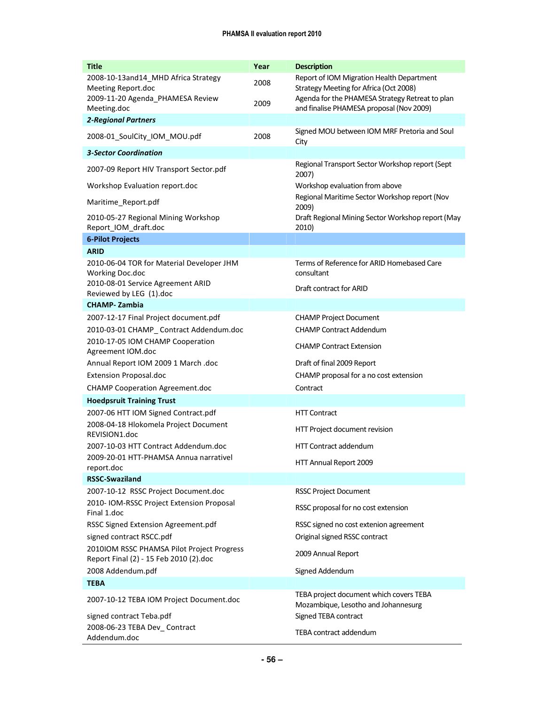| <b>Title</b>                                                                                  | Year | <b>Description</b>                                                                                                                     |
|-----------------------------------------------------------------------------------------------|------|----------------------------------------------------------------------------------------------------------------------------------------|
| 2008-10-13and14_MHD Africa Strategy<br>Meeting Report.doc<br>2009-11-20 Agenda_PHAMESA Review | 2008 | Report of IOM Migration Health Department<br>Strategy Meeting for Africa (Oct 2008)<br>Agenda for the PHAMESA Strategy Retreat to plan |
| Meeting.doc                                                                                   | 2009 | and finalise PHAMESA proposal (Nov 2009)                                                                                               |
| <b>2-Regional Partners</b>                                                                    |      |                                                                                                                                        |
| 2008-01_SoulCity_IOM_MOU.pdf                                                                  | 2008 | Signed MOU between IOM MRF Pretoria and Soul<br>City                                                                                   |
| <b>3-Sector Coordination</b>                                                                  |      |                                                                                                                                        |
| 2007-09 Report HIV Transport Sector.pdf                                                       |      | Regional Transport Sector Workshop report (Sept<br>2007)                                                                               |
| Workshop Evaluation report.doc                                                                |      | Workshop evaluation from above                                                                                                         |
| Maritime_Report.pdf                                                                           |      | Regional Maritime Sector Workshop report (Nov<br>2009)                                                                                 |
| 2010-05-27 Regional Mining Workshop<br>Report_IOM_draft.doc                                   |      | Draft Regional Mining Sector Workshop report (May<br>2010)                                                                             |
| <b>6-Pilot Projects</b>                                                                       |      |                                                                                                                                        |
| <b>ARID</b>                                                                                   |      |                                                                                                                                        |
| 2010-06-04 TOR for Material Developer JHM<br>Working Doc.doc                                  |      | Terms of Reference for ARID Homebased Care<br>consultant                                                                               |
| 2010-08-01 Service Agreement ARID<br>Reviewed by LEG (1).doc                                  |      | Draft contract for ARID                                                                                                                |
| <b>CHAMP-Zambia</b>                                                                           |      |                                                                                                                                        |
| 2007-12-17 Final Project document.pdf                                                         |      | <b>CHAMP Project Document</b>                                                                                                          |
| 2010-03-01 CHAMP_ Contract Addendum.doc                                                       |      | <b>CHAMP Contract Addendum</b>                                                                                                         |
| 2010-17-05 IOM CHAMP Cooperation<br>Agreement IOM.doc                                         |      | <b>CHAMP Contract Extension</b>                                                                                                        |
| Annual Report IOM 2009 1 March .doc                                                           |      | Draft of final 2009 Report                                                                                                             |
| <b>Extension Proposal.doc</b>                                                                 |      | CHAMP proposal for a no cost extension                                                                                                 |
| <b>CHAMP Cooperation Agreement.doc</b>                                                        |      | Contract                                                                                                                               |
| <b>Hoedpsruit Training Trust</b>                                                              |      |                                                                                                                                        |
| 2007-06 HTT IOM Signed Contract.pdf                                                           |      | <b>HTT Contract</b>                                                                                                                    |
| 2008-04-18 Hlokomela Project Document<br>REVISION1.doc                                        |      | HTT Project document revision                                                                                                          |
| 2007-10-03 HTT Contract Addendum.doc                                                          |      | <b>HTT Contract addendum</b>                                                                                                           |
| 2009-20-01 HTT-PHAMSA Annua narrativel                                                        |      | HTT Annual Report 2009                                                                                                                 |
| report.doc<br><b>RSSC-Swaziland</b>                                                           |      |                                                                                                                                        |
| 2007-10-12 RSSC Project Document.doc                                                          |      | <b>RSSC Project Document</b>                                                                                                           |
| 2010- IOM-RSSC Project Extension Proposal<br>Final 1.doc                                      |      | RSSC proposal for no cost extension                                                                                                    |
| RSSC Signed Extension Agreement.pdf                                                           |      | RSSC signed no cost extenion agreement                                                                                                 |
| signed contract RSCC.pdf                                                                      |      | Original signed RSSC contract                                                                                                          |
| 2010IOM RSSC PHAMSA Pilot Project Progress<br>Report Final (2) - 15 Feb 2010 (2).doc          |      | 2009 Annual Report                                                                                                                     |
| 2008 Addendum.pdf                                                                             |      | Signed Addendum                                                                                                                        |
| <b>TEBA</b>                                                                                   |      |                                                                                                                                        |
| 2007-10-12 TEBA IOM Project Document.doc                                                      |      | TEBA project document which covers TEBA<br>Mozambique, Lesotho and Johannesurg                                                         |
| signed contract Teba.pdf                                                                      |      | Signed TEBA contract                                                                                                                   |
| 2008-06-23 TEBA Dev_Contract<br>Addendum.doc                                                  |      | TEBA contract addendum                                                                                                                 |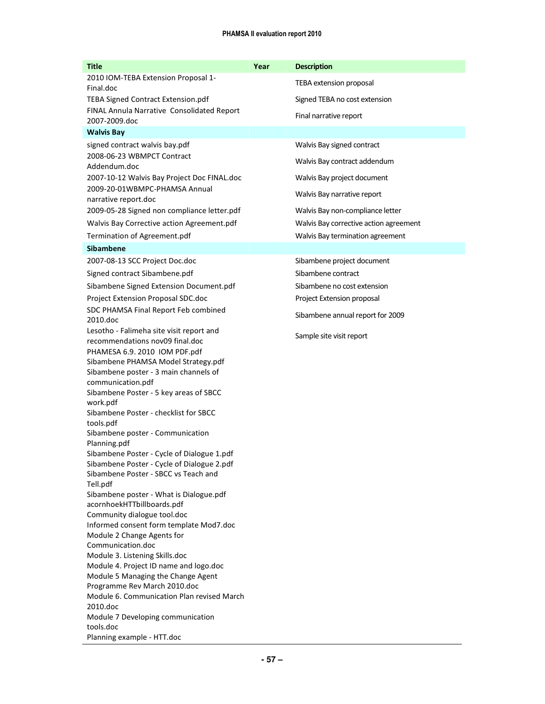| <b>Title</b>                                                                             | Year | <b>Description</b>                     |
|------------------------------------------------------------------------------------------|------|----------------------------------------|
| 2010 IOM-TEBA Extension Proposal 1-<br>Final.doc                                         |      | TEBA extension proposal                |
| <b>TEBA Signed Contract Extension.pdf</b>                                                |      | Signed TEBA no cost extension          |
| FINAL Annula Narrative Consolidated Report                                               |      | Final narrative report                 |
| 2007-2009.doc                                                                            |      |                                        |
| <b>Walvis Bay</b>                                                                        |      |                                        |
| signed contract walvis bay.pdf                                                           |      | Walvis Bay signed contract             |
| 2008-06-23 WBMPCT Contract<br>Addendum.doc                                               |      | Walvis Bay contract addendum           |
| 2007-10-12 Walvis Bay Project Doc FINAL.doc                                              |      | Walvis Bay project document            |
| 2009-20-01WBMPC-PHAMSA Annual                                                            |      | Walvis Bay narrative report            |
| narrative report.doc                                                                     |      |                                        |
| 2009-05-28 Signed non compliance letter.pdf                                              |      | Walvis Bay non-compliance letter       |
| Walvis Bay Corrective action Agreement.pdf                                               |      | Walvis Bay corrective action agreement |
| Termination of Agreement.pdf                                                             |      | Walvis Bay termination agreement       |
| <b>Sibambene</b>                                                                         |      |                                        |
| 2007-08-13 SCC Project Doc.doc                                                           |      | Sibambene project document             |
| Signed contract Sibambene.pdf                                                            |      | Sibambene contract                     |
| Sibambene Signed Extension Document.pdf                                                  |      | Sibambene no cost extension            |
| Project Extension Proposal SDC.doc                                                       |      | Project Extension proposal             |
| SDC PHAMSA Final Report Feb combined                                                     |      | Sibambene annual report for 2009       |
| 2010.doc                                                                                 |      |                                        |
| Lesotho - Falimeha site visit report and<br>recommendations nov09 final.doc              |      | Sample site visit report               |
| PHAMESA 6.9. 2010 IOM PDF.pdf                                                            |      |                                        |
| Sibambene PHAMSA Model Strategy.pdf                                                      |      |                                        |
| Sibambene poster - 3 main channels of                                                    |      |                                        |
| communication.pdf                                                                        |      |                                        |
| Sibambene Poster - 5 key areas of SBCC<br>work.pdf                                       |      |                                        |
| Sibambene Poster - checklist for SBCC                                                    |      |                                        |
| tools.pdf                                                                                |      |                                        |
| Sibambene poster - Communication                                                         |      |                                        |
| Planning.pdf                                                                             |      |                                        |
| Sibambene Poster - Cycle of Dialogue 1.pdf<br>Sibambene Poster - Cycle of Dialogue 2.pdf |      |                                        |
| Sibambene Poster - SBCC vs Teach and                                                     |      |                                        |
| Tell.pdf                                                                                 |      |                                        |
| Sibambene poster - What is Dialogue.pdf                                                  |      |                                        |
| acornhoekHTTbillboards.pdf                                                               |      |                                        |
| Community dialogue tool.doc<br>Informed consent form template Mod7.doc                   |      |                                        |
| Module 2 Change Agents for                                                               |      |                                        |
| Communication.doc                                                                        |      |                                        |
| Module 3. Listening Skills.doc                                                           |      |                                        |
| Module 4. Project ID name and logo.doc                                                   |      |                                        |
| Module 5 Managing the Change Agent<br>Programme Rev March 2010.doc                       |      |                                        |
| Module 6. Communication Plan revised March                                               |      |                                        |
| 2010.doc                                                                                 |      |                                        |
| Module 7 Developing communication                                                        |      |                                        |
| tools.doc                                                                                |      |                                        |
| Planning example - HTT.doc                                                               |      |                                        |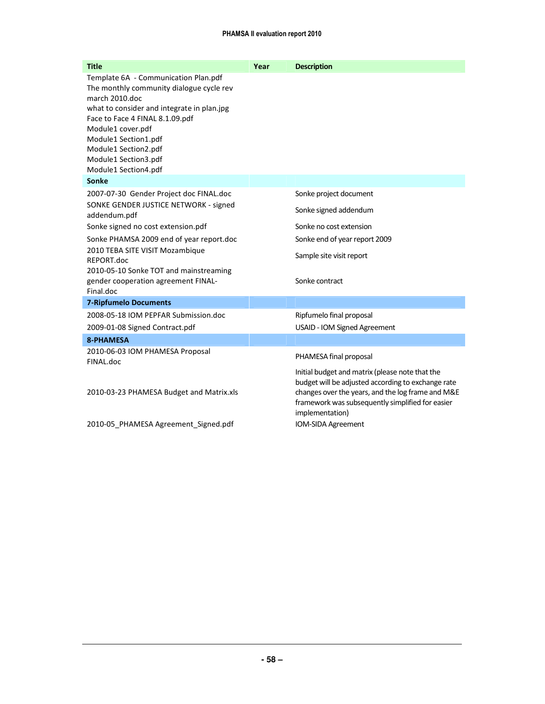| <b>Title</b>                                                                                                                                                                                                                                                                                             | Year | <b>Description</b>                                                                                                                                                                                                                |
|----------------------------------------------------------------------------------------------------------------------------------------------------------------------------------------------------------------------------------------------------------------------------------------------------------|------|-----------------------------------------------------------------------------------------------------------------------------------------------------------------------------------------------------------------------------------|
| Template 6A - Communication Plan.pdf<br>The monthly community dialogue cycle rev<br>march 2010.doc<br>what to consider and integrate in plan.jpg<br>Face to Face 4 FINAL 8.1.09.pdf<br>Module1 cover.pdf<br>Module1 Section1.pdf<br>Module1 Section2.pdf<br>Module1 Section3.pdf<br>Module1 Section4.pdf |      |                                                                                                                                                                                                                                   |
| Sonke                                                                                                                                                                                                                                                                                                    |      |                                                                                                                                                                                                                                   |
| 2007-07-30 Gender Project doc FINAL.doc                                                                                                                                                                                                                                                                  |      | Sonke project document                                                                                                                                                                                                            |
| SONKE GENDER JUSTICE NETWORK - signed<br>addendum.pdf                                                                                                                                                                                                                                                    |      | Sonke signed addendum                                                                                                                                                                                                             |
| Sonke signed no cost extension.pdf                                                                                                                                                                                                                                                                       |      | Sonke no cost extension                                                                                                                                                                                                           |
| Sonke PHAMSA 2009 end of year report.doc                                                                                                                                                                                                                                                                 |      | Sonke end of year report 2009                                                                                                                                                                                                     |
| 2010 TEBA SITE VISIT Mozambique<br>REPORT.doc<br>2010-05-10 Sonke TOT and mainstreaming<br>gender cooperation agreement FINAL-                                                                                                                                                                           |      | Sample site visit report<br>Sonke contract                                                                                                                                                                                        |
| Final.doc                                                                                                                                                                                                                                                                                                |      |                                                                                                                                                                                                                                   |
| <b>7-Ripfumelo Documents</b>                                                                                                                                                                                                                                                                             |      |                                                                                                                                                                                                                                   |
| 2008-05-18 IOM PEPFAR Submission.doc                                                                                                                                                                                                                                                                     |      | Ripfumelo final proposal                                                                                                                                                                                                          |
| 2009-01-08 Signed Contract.pdf                                                                                                                                                                                                                                                                           |      | USAID - IOM Signed Agreement                                                                                                                                                                                                      |
| <b>8-PHAMESA</b>                                                                                                                                                                                                                                                                                         |      |                                                                                                                                                                                                                                   |
| 2010-06-03 IOM PHAMESA Proposal<br>FINAL.doc                                                                                                                                                                                                                                                             |      | PHAMESA final proposal                                                                                                                                                                                                            |
| 2010-03-23 PHAMESA Budget and Matrix.xls                                                                                                                                                                                                                                                                 |      | Initial budget and matrix (please note that the<br>budget will be adjusted according to exchange rate<br>changes over the years, and the log frame and M&E<br>framework was subsequently simplified for easier<br>implementation) |
| 2010-05 PHAMESA Agreement Signed.pdf                                                                                                                                                                                                                                                                     |      | IOM-SIDA Agreement                                                                                                                                                                                                                |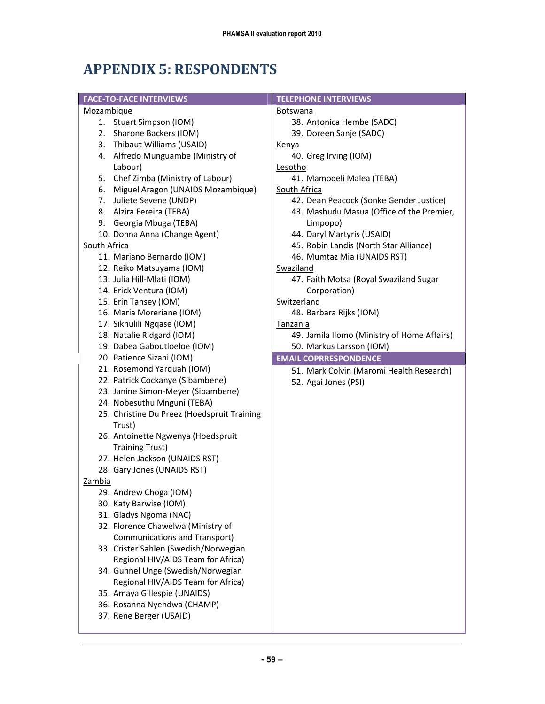# APPENDIX 5: RESPONDENTS

| <b>FACE-TO-FACE INTERVIEWS</b>                                                | <b>TELEPHONE INTERVIEWS</b>                 |  |  |
|-------------------------------------------------------------------------------|---------------------------------------------|--|--|
| Mozambique                                                                    | <b>Botswana</b>                             |  |  |
| 1. Stuart Simpson (IOM)                                                       | 38. Antonica Hembe (SADC)                   |  |  |
| 2. Sharone Backers (IOM)                                                      | 39. Doreen Sanje (SADC)                     |  |  |
| 3. Thibaut Williams (USAID)                                                   | <u>Kenya</u>                                |  |  |
| 4. Alfredo Munguambe (Ministry of                                             | 40. Greg Irving (IOM)                       |  |  |
| Labour)                                                                       | Lesotho                                     |  |  |
| 5. Chef Zimba (Ministry of Labour)                                            | 41. Mamoqeli Malea (TEBA)                   |  |  |
| 6. Miguel Aragon (UNAIDS Mozambique)                                          | South Africa                                |  |  |
| 7. Juliete Sevene (UNDP)                                                      | 42. Dean Peacock (Sonke Gender Justice)     |  |  |
| 8. Alzira Fereira (TEBA)                                                      | 43. Mashudu Masua (Office of the Premier,   |  |  |
| 9. Georgia Mbuga (TEBA)                                                       | Limpopo)                                    |  |  |
| 10. Donna Anna (Change Agent)                                                 | 44. Daryl Martyris (USAID)                  |  |  |
| South Africa                                                                  | 45. Robin Landis (North Star Alliance)      |  |  |
| 11. Mariano Bernardo (IOM)                                                    | 46. Mumtaz Mia (UNAIDS RST)                 |  |  |
| 12. Reiko Matsuyama (IOM)                                                     | Swaziland                                   |  |  |
| 13. Julia Hill-Mlati (IOM)                                                    | 47. Faith Motsa (Royal Swaziland Sugar      |  |  |
| 14. Erick Ventura (IOM)                                                       | Corporation)                                |  |  |
| 15. Erin Tansey (IOM)                                                         | Switzerland                                 |  |  |
| 16. Maria Moreriane (IOM)                                                     | 48. Barbara Rijks (IOM)                     |  |  |
| 17. Sikhulili Ngqase (IOM)                                                    | Tanzania                                    |  |  |
| 18. Natalie Ridgard (IOM)                                                     | 49. Jamila Ilomo (Ministry of Home Affairs) |  |  |
| 19. Dabea Gaboutloeloe (IOM)                                                  | 50. Markus Larsson (IOM)                    |  |  |
|                                                                               |                                             |  |  |
|                                                                               |                                             |  |  |
| 20. Patience Sizani (IOM)                                                     | <b>EMAIL COPRRESPONDENCE</b>                |  |  |
| 21. Rosemond Yarquah (IOM)                                                    | 51. Mark Colvin (Maromi Health Research)    |  |  |
| 22. Patrick Cockanye (Sibambene)                                              | 52. Agai Jones (PSI)                        |  |  |
| 23. Janine Simon-Meyer (Sibambene)                                            |                                             |  |  |
| 24. Nobesuthu Mnguni (TEBA)                                                   |                                             |  |  |
| 25. Christine Du Preez (Hoedspruit Training                                   |                                             |  |  |
| Trust)                                                                        |                                             |  |  |
| 26. Antoinette Ngwenya (Hoedspruit                                            |                                             |  |  |
| <b>Training Trust)</b>                                                        |                                             |  |  |
| 27. Helen Jackson (UNAIDS RST)                                                |                                             |  |  |
| 28. Gary Jones (UNAIDS RST)<br>Zambia                                         |                                             |  |  |
|                                                                               |                                             |  |  |
| 29. Andrew Choga (IOM)                                                        |                                             |  |  |
| 30. Katy Barwise (IOM)                                                        |                                             |  |  |
| 31. Gladys Ngoma (NAC)                                                        |                                             |  |  |
| 32. Florence Chawelwa (Ministry of                                            |                                             |  |  |
| <b>Communications and Transport)</b><br>33. Crister Sahlen (Swedish/Norwegian |                                             |  |  |
| Regional HIV/AIDS Team for Africa)                                            |                                             |  |  |
|                                                                               |                                             |  |  |
| 34. Gunnel Unge (Swedish/Norwegian                                            |                                             |  |  |
| Regional HIV/AIDS Team for Africa)<br>35. Amaya Gillespie (UNAIDS)            |                                             |  |  |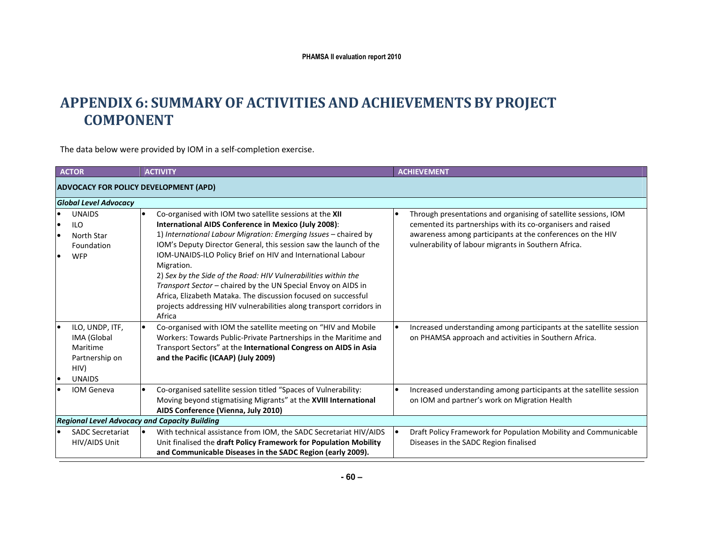### APPENDIX 6: SUMMARY OF ACTIVITIES AND ACHIEVEMENTS BY PROJECT COMPONENT

The data below were provided by IOM in a self-completion exercise.

| <b>ACTOR</b>                                                                          | <b>ACTIVITY</b>                                                                                                                                                                                                                                                                                                                                                                                                                                                                                                                                                                                                                          | <b>ACHIEVEMENT</b>                                                                                                                                                                                                                                   |
|---------------------------------------------------------------------------------------|------------------------------------------------------------------------------------------------------------------------------------------------------------------------------------------------------------------------------------------------------------------------------------------------------------------------------------------------------------------------------------------------------------------------------------------------------------------------------------------------------------------------------------------------------------------------------------------------------------------------------------------|------------------------------------------------------------------------------------------------------------------------------------------------------------------------------------------------------------------------------------------------------|
|                                                                                       | <b>ADVOCACY FOR POLICY DEVELOPMENT (APD)</b>                                                                                                                                                                                                                                                                                                                                                                                                                                                                                                                                                                                             |                                                                                                                                                                                                                                                      |
| <b>Global Level Advocacy</b>                                                          |                                                                                                                                                                                                                                                                                                                                                                                                                                                                                                                                                                                                                                          |                                                                                                                                                                                                                                                      |
| <b>UNAIDS</b><br><b>ILO</b><br>North Star<br>Foundation<br><b>WFP</b>                 | Co-organised with IOM two satellite sessions at the XII<br>$\bullet$<br>International AIDS Conference in Mexico (July 2008):<br>1) International Labour Migration: Emerging Issues - chaired by<br>IOM's Deputy Director General, this session saw the launch of the<br>IOM-UNAIDS-ILO Policy Brief on HIV and International Labour<br>Migration.<br>2) Sex by the Side of the Road: HIV Vulnerabilities within the<br>Transport Sector - chaired by the UN Special Envoy on AIDS in<br>Africa, Elizabeth Mataka. The discussion focused on successful<br>projects addressing HIV vulnerabilities along transport corridors in<br>Africa | Through presentations and organising of satellite sessions, IOM<br>cemented its partnerships with its co-organisers and raised<br>awareness among participants at the conferences on the HIV<br>vulnerability of labour migrants in Southern Africa. |
| ILO, UNDP, ITF,<br>IMA (Global<br>Maritime<br>Partnership on<br>HIV)<br><b>UNAIDS</b> | Co-organised with IOM the satellite meeting on "HIV and Mobile<br>$\bullet$<br>Workers: Towards Public-Private Partnerships in the Maritime and<br>Transport Sectors" at the International Congress on AIDS in Asia<br>and the Pacific (ICAAP) (July 2009)                                                                                                                                                                                                                                                                                                                                                                               | Increased understanding among participants at the satellite session<br>on PHAMSA approach and activities in Southern Africa.                                                                                                                         |
| <b>IOM Geneva</b>                                                                     | Co-organised satellite session titled "Spaces of Vulnerability:<br>Moving beyond stigmatising Migrants" at the XVIII International<br>AIDS Conference (Vienna, July 2010)                                                                                                                                                                                                                                                                                                                                                                                                                                                                | Increased understanding among participants at the satellite session<br>on IOM and partner's work on Migration Health                                                                                                                                 |
|                                                                                       | <b>Regional Level Advocacy and Capacity Building</b>                                                                                                                                                                                                                                                                                                                                                                                                                                                                                                                                                                                     |                                                                                                                                                                                                                                                      |
| <b>SADC Secretariat</b><br>HIV/AIDS Unit                                              | With technical assistance from IOM, the SADC Secretariat HIV/AIDS<br>le<br>Unit finalised the draft Policy Framework for Population Mobility<br>and Communicable Diseases in the SADC Region (early 2009).                                                                                                                                                                                                                                                                                                                                                                                                                               | Draft Policy Framework for Population Mobility and Communicable<br>$\bullet$<br>Diseases in the SADC Region finalised                                                                                                                                |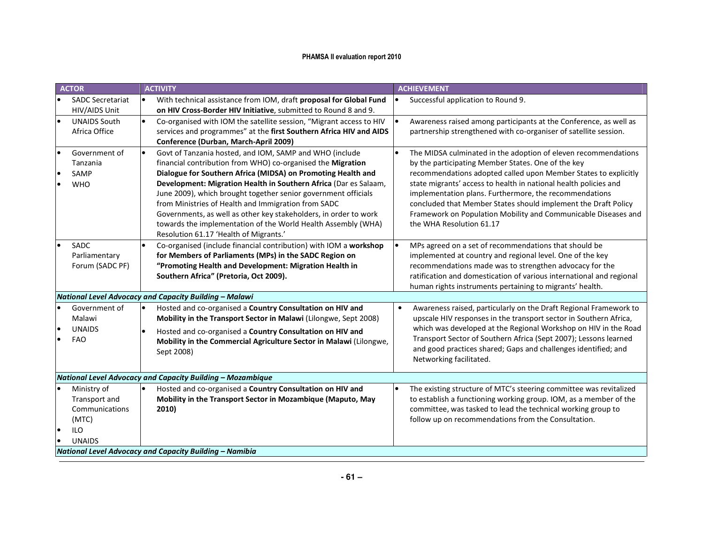|    | <b>ACTOR</b>                                                                           | <b>ACTIVITY</b>                                                                                                                                                                                                                                                                                                                                                                                                                                                                                                                                                    | <b>ACHIEVEMENT</b>                                                                                                                                                                                                                                                                                                                                                                                                                                                                    |
|----|----------------------------------------------------------------------------------------|--------------------------------------------------------------------------------------------------------------------------------------------------------------------------------------------------------------------------------------------------------------------------------------------------------------------------------------------------------------------------------------------------------------------------------------------------------------------------------------------------------------------------------------------------------------------|---------------------------------------------------------------------------------------------------------------------------------------------------------------------------------------------------------------------------------------------------------------------------------------------------------------------------------------------------------------------------------------------------------------------------------------------------------------------------------------|
|    | <b>SADC Secretariat</b><br>HIV/AIDS Unit                                               | $\bullet$<br>With technical assistance from IOM, draft proposal for Global Fund<br>on HIV Cross-Border HIV Initiative, submitted to Round 8 and 9.                                                                                                                                                                                                                                                                                                                                                                                                                 | Successful application to Round 9.                                                                                                                                                                                                                                                                                                                                                                                                                                                    |
|    | <b>UNAIDS South</b><br>Africa Office                                                   | Co-organised with IOM the satellite session, "Migrant access to HIV<br>services and programmes" at the first Southern Africa HIV and AIDS<br>Conference (Durban, March-April 2009)                                                                                                                                                                                                                                                                                                                                                                                 | Awareness raised among participants at the Conference, as well as<br>partnership strengthened with co-organiser of satellite session.                                                                                                                                                                                                                                                                                                                                                 |
|    | Government of<br>Tanzania<br>SAMP<br><b>WHO</b>                                        | Govt of Tanzania hosted, and IOM, SAMP and WHO (include<br>financial contribution from WHO) co-organised the Migration<br>Dialogue for Southern Africa (MIDSA) on Promoting Health and<br>Development: Migration Health in Southern Africa (Dar es Salaam,<br>June 2009), which brought together senior government officials<br>from Ministries of Health and Immigration from SADC<br>Governments, as well as other key stakeholders, in order to work<br>towards the implementation of the World Health Assembly (WHA)<br>Resolution 61.17 'Health of Migrants.' | The MIDSA culminated in the adoption of eleven recommendations<br>by the participating Member States. One of the key<br>recommendations adopted called upon Member States to explicitly<br>state migrants' access to health in national health policies and<br>implementation plans. Furthermore, the recommendations<br>concluded that Member States should implement the Draft Policy<br>Framework on Population Mobility and Communicable Diseases and<br>the WHA Resolution 61.17 |
|    | SADC<br>Parliamentary<br>Forum (SADC PF)                                               | Co-organised (include financial contribution) with IOM a workshop<br>for Members of Parliaments (MPs) in the SADC Region on<br>"Promoting Health and Development: Migration Health in<br>Southern Africa" (Pretoria, Oct 2009).                                                                                                                                                                                                                                                                                                                                    | MPs agreed on a set of recommendations that should be<br>implemented at country and regional level. One of the key<br>recommendations made was to strengthen advocacy for the<br>ratification and domestication of various international and regional<br>human rights instruments pertaining to migrants' health.                                                                                                                                                                     |
|    |                                                                                        | National Level Advocacy and Capacity Building - Malawi                                                                                                                                                                                                                                                                                                                                                                                                                                                                                                             |                                                                                                                                                                                                                                                                                                                                                                                                                                                                                       |
|    | Government of<br>Malawi<br><b>UNAIDS</b><br><b>FAO</b>                                 | Hosted and co-organised a Country Consultation on HIV and<br>Mobility in the Transport Sector in Malawi (Lilongwe, Sept 2008)<br>Hosted and co-organised a Country Consultation on HIV and<br>Mobility in the Commercial Agriculture Sector in Malawi (Lilongwe,<br>Sept 2008)                                                                                                                                                                                                                                                                                     | Awareness raised, particularly on the Draft Regional Framework to<br>upscale HIV responses in the transport sector in Southern Africa,<br>which was developed at the Regional Workshop on HIV in the Road<br>Transport Sector of Southern Africa (Sept 2007); Lessons learned<br>and good practices shared; Gaps and challenges identified; and<br>Networking facilitated.                                                                                                            |
|    |                                                                                        | National Level Advocacy and Capacity Building - Mozambique                                                                                                                                                                                                                                                                                                                                                                                                                                                                                                         |                                                                                                                                                                                                                                                                                                                                                                                                                                                                                       |
| le | Ministry of<br>Transport and<br>Communications<br>(MTC)<br><b>ILO</b><br><b>UNAIDS</b> | Hosted and co-organised a Country Consultation on HIV and<br>Mobility in the Transport Sector in Mozambique (Maputo, May<br>2010)                                                                                                                                                                                                                                                                                                                                                                                                                                  | The existing structure of MTC's steering committee was revitalized<br>to establish a functioning working group. IOM, as a member of the<br>committee, was tasked to lead the technical working group to<br>follow up on recommendations from the Consultation.                                                                                                                                                                                                                        |
|    |                                                                                        | National Level Advocacy and Capacity Building - Namibia                                                                                                                                                                                                                                                                                                                                                                                                                                                                                                            |                                                                                                                                                                                                                                                                                                                                                                                                                                                                                       |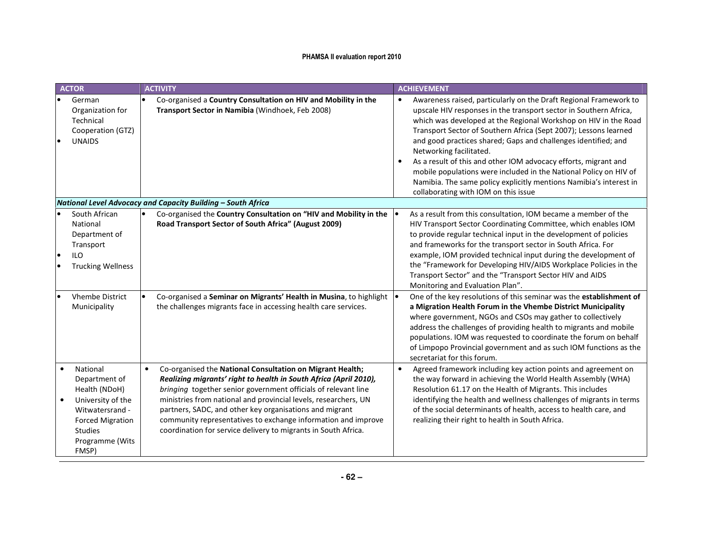| <b>ACTOR</b>                                                                                                                                                | <b>ACTIVITY</b>                                                                                                                                                                                                                                                                                                                                                                                                                                                   |           | <b>ACHIEVEMENT</b>                                                                                                                                                                                                                                                                                                                                                                                                                                                                                                                                                                                                               |
|-------------------------------------------------------------------------------------------------------------------------------------------------------------|-------------------------------------------------------------------------------------------------------------------------------------------------------------------------------------------------------------------------------------------------------------------------------------------------------------------------------------------------------------------------------------------------------------------------------------------------------------------|-----------|----------------------------------------------------------------------------------------------------------------------------------------------------------------------------------------------------------------------------------------------------------------------------------------------------------------------------------------------------------------------------------------------------------------------------------------------------------------------------------------------------------------------------------------------------------------------------------------------------------------------------------|
| German<br>Organization for<br>Technical<br>Cooperation (GTZ)<br><b>UNAIDS</b>                                                                               | Co-organised a Country Consultation on HIV and Mobility in the<br>Transport Sector in Namibia (Windhoek, Feb 2008)                                                                                                                                                                                                                                                                                                                                                | $\bullet$ | Awareness raised, particularly on the Draft Regional Framework to<br>upscale HIV responses in the transport sector in Southern Africa,<br>which was developed at the Regional Workshop on HIV in the Road<br>Transport Sector of Southern Africa (Sept 2007); Lessons learned<br>and good practices shared; Gaps and challenges identified; and<br>Networking facilitated.<br>As a result of this and other IOM advocacy efforts, migrant and<br>mobile populations were included in the National Policy on HIV of<br>Namibia. The same policy explicitly mentions Namibia's interest in<br>collaborating with IOM on this issue |
|                                                                                                                                                             | National Level Advocacy and Capacity Building - South Africa                                                                                                                                                                                                                                                                                                                                                                                                      |           |                                                                                                                                                                                                                                                                                                                                                                                                                                                                                                                                                                                                                                  |
| South African<br>National<br>Department of<br>Transport<br><b>ILO</b><br><b>Trucking Wellness</b>                                                           | Co-organised the Country Consultation on "HIV and Mobility in the<br>Road Transport Sector of South Africa" (August 2009)                                                                                                                                                                                                                                                                                                                                         |           | As a result from this consultation, IOM became a member of the<br>HIV Transport Sector Coordinating Committee, which enables IOM<br>to provide regular technical input in the development of policies<br>and frameworks for the transport sector in South Africa. For<br>example, IOM provided technical input during the development of<br>the "Framework for Developing HIV/AIDS Workplace Policies in the<br>Transport Sector" and the "Transport Sector HIV and AIDS<br>Monitoring and Evaluation Plan".                                                                                                                     |
| <b>Vhembe District</b><br>Municipality                                                                                                                      | Co-organised a Seminar on Migrants' Health in Musina, to highlight<br>the challenges migrants face in accessing health care services.                                                                                                                                                                                                                                                                                                                             |           | One of the key resolutions of this seminar was the establishment of<br>a Migration Health Forum in the Vhembe District Municipality<br>where government, NGOs and CSOs may gather to collectively<br>address the challenges of providing health to migrants and mobile<br>populations. IOM was requested to coordinate the forum on behalf<br>of Limpopo Provincial government and as such IOM functions as the<br>secretariat for this forum.                                                                                                                                                                                   |
| National<br>Department of<br>Health (NDoH)<br>University of the<br>Witwatersrand -<br><b>Forced Migration</b><br><b>Studies</b><br>Programme (Wits<br>FMSP) | Co-organised the National Consultation on Migrant Health;<br>Realizing migrants' right to health in South Africa (April 2010),<br>bringing together senior government officials of relevant line<br>ministries from national and provincial levels, researchers, UN<br>partners, SADC, and other key organisations and migrant<br>community representatives to exchange information and improve<br>coordination for service delivery to migrants in South Africa. |           | Agreed framework including key action points and agreement on<br>the way forward in achieving the World Health Assembly (WHA)<br>Resolution 61.17 on the Health of Migrants. This includes<br>identifying the health and wellness challenges of migrants in terms<br>of the social determinants of health, access to health care, and<br>realizing their right to health in South Africa.                                                                                                                                                                                                                                        |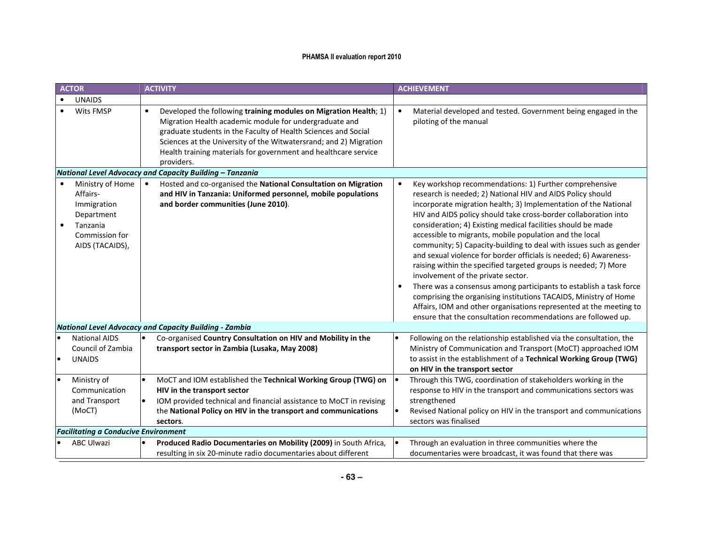|           | <b>ACTOR</b>                                                                                               | <b>ACTIVITY</b>                                                                                                                                                                                                                                                                                                                                                 | <b>ACHIEVEMENT</b>                                                                                                                                                                                                                                                                                                                                                                                                                                                                                                                                                                                                                                                                                                                                                                                                                                                                                                         |
|-----------|------------------------------------------------------------------------------------------------------------|-----------------------------------------------------------------------------------------------------------------------------------------------------------------------------------------------------------------------------------------------------------------------------------------------------------------------------------------------------------------|----------------------------------------------------------------------------------------------------------------------------------------------------------------------------------------------------------------------------------------------------------------------------------------------------------------------------------------------------------------------------------------------------------------------------------------------------------------------------------------------------------------------------------------------------------------------------------------------------------------------------------------------------------------------------------------------------------------------------------------------------------------------------------------------------------------------------------------------------------------------------------------------------------------------------|
| $\bullet$ | <b>UNAIDS</b>                                                                                              |                                                                                                                                                                                                                                                                                                                                                                 |                                                                                                                                                                                                                                                                                                                                                                                                                                                                                                                                                                                                                                                                                                                                                                                                                                                                                                                            |
|           | Wits FMSP                                                                                                  | Developed the following training modules on Migration Health; 1)<br>$\bullet$<br>Migration Health academic module for undergraduate and<br>graduate students in the Faculty of Health Sciences and Social<br>Sciences at the University of the Witwatersrand; and 2) Migration<br>Health training materials for government and healthcare service<br>providers. | Material developed and tested. Government being engaged in the<br>piloting of the manual                                                                                                                                                                                                                                                                                                                                                                                                                                                                                                                                                                                                                                                                                                                                                                                                                                   |
|           |                                                                                                            | National Level Advocacy and Capacity Building - Tanzania                                                                                                                                                                                                                                                                                                        |                                                                                                                                                                                                                                                                                                                                                                                                                                                                                                                                                                                                                                                                                                                                                                                                                                                                                                                            |
| $\bullet$ | Ministry of Home<br>Affairs-<br>Immigration<br>Department<br>Tanzania<br>Commission for<br>AIDS (TACAIDS), | Hosted and co-organised the National Consultation on Migration<br>and HIV in Tanzania: Uniformed personnel, mobile populations<br>and border communities (June 2010).                                                                                                                                                                                           | Key workshop recommendations: 1) Further comprehensive<br>research is needed; 2) National HIV and AIDS Policy should<br>incorporate migration health; 3) Implementation of the National<br>HIV and AIDS policy should take cross-border collaboration into<br>consideration; 4) Existing medical facilities should be made<br>accessible to migrants, mobile population and the local<br>community; 5) Capacity-building to deal with issues such as gender<br>and sexual violence for border officials is needed; 6) Awareness-<br>raising within the specified targeted groups is needed; 7) More<br>involvement of the private sector.<br>There was a consensus among participants to establish a task force<br>comprising the organising institutions TACAIDS, Ministry of Home<br>Affairs, IOM and other organisations represented at the meeting to<br>ensure that the consultation recommendations are followed up. |
|           |                                                                                                            | <b>National Level Advocacy and Capacity Building - Zambia</b>                                                                                                                                                                                                                                                                                                   |                                                                                                                                                                                                                                                                                                                                                                                                                                                                                                                                                                                                                                                                                                                                                                                                                                                                                                                            |
|           | <b>National AIDS</b><br>Council of Zambia<br><b>UNAIDS</b>                                                 | Co-organised Country Consultation on HIV and Mobility in the<br>transport sector in Zambia (Lusaka, May 2008)                                                                                                                                                                                                                                                   | Following on the relationship established via the consultation, the<br>Ministry of Communication and Transport (MoCT) approached IOM<br>to assist in the establishment of a Technical Working Group (TWG)<br>on HIV in the transport sector                                                                                                                                                                                                                                                                                                                                                                                                                                                                                                                                                                                                                                                                                |
| $\bullet$ | Ministry of<br>Communication<br>and Transport<br>(MoCT)                                                    | MoCT and IOM established the Technical Working Group (TWG) on<br>HIV in the transport sector<br>IOM provided technical and financial assistance to MoCT in revising<br>the National Policy on HIV in the transport and communications<br>sectors.                                                                                                               | Through this TWG, coordination of stakeholders working in the<br>response to HIV in the transport and communications sectors was<br>strengthened<br>Revised National policy on HIV in the transport and communications<br>sectors was finalised                                                                                                                                                                                                                                                                                                                                                                                                                                                                                                                                                                                                                                                                            |
|           | <b>Facilitating a Conducive Environment</b>                                                                |                                                                                                                                                                                                                                                                                                                                                                 |                                                                                                                                                                                                                                                                                                                                                                                                                                                                                                                                                                                                                                                                                                                                                                                                                                                                                                                            |
|           | <b>ABC Ulwazi</b>                                                                                          | Produced Radio Documentaries on Mobility (2009) in South Africa,<br>resulting in six 20-minute radio documentaries about different                                                                                                                                                                                                                              | Through an evaluation in three communities where the<br>documentaries were broadcast, it was found that there was                                                                                                                                                                                                                                                                                                                                                                                                                                                                                                                                                                                                                                                                                                                                                                                                          |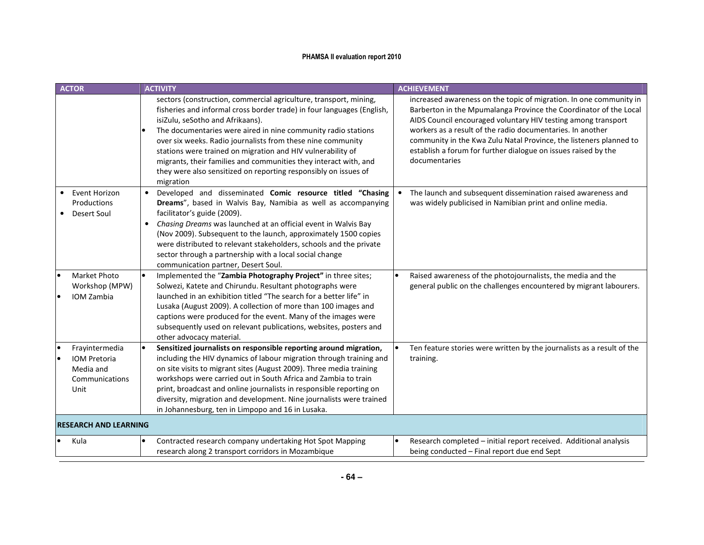| <b>ACTOR</b>                                                                 | <b>ACTIVITY</b>                                                                                                                                                                                                                                                                                                                                                                                                                                                                                                                    | <b>ACHIEVEMENT</b>                                                                                                                                                                                                                                                                                                                                                                                                              |
|------------------------------------------------------------------------------|------------------------------------------------------------------------------------------------------------------------------------------------------------------------------------------------------------------------------------------------------------------------------------------------------------------------------------------------------------------------------------------------------------------------------------------------------------------------------------------------------------------------------------|---------------------------------------------------------------------------------------------------------------------------------------------------------------------------------------------------------------------------------------------------------------------------------------------------------------------------------------------------------------------------------------------------------------------------------|
|                                                                              | sectors (construction, commercial agriculture, transport, mining,<br>fisheries and informal cross border trade) in four languages (English,<br>isiZulu, seSotho and Afrikaans).<br>The documentaries were aired in nine community radio stations<br>over six weeks. Radio journalists from these nine community<br>stations were trained on migration and HIV vulnerability of<br>migrants, their families and communities they interact with, and<br>they were also sensitized on reporting responsibly on issues of<br>migration | increased awareness on the topic of migration. In one community in<br>Barberton in the Mpumalanga Province the Coordinator of the Local<br>AIDS Council encouraged voluntary HIV testing among transport<br>workers as a result of the radio documentaries. In another<br>community in the Kwa Zulu Natal Province, the listeners planned to<br>establish a forum for further dialogue on issues raised by the<br>documentaries |
| Event Horizon<br>Productions<br>Desert Soul                                  | Developed and disseminated Comic resource titled "Chasing<br>Dreams", based in Walvis Bay, Namibia as well as accompanying<br>facilitator's guide (2009).<br>Chasing Dreams was launched at an official event in Walvis Bay<br>٠<br>(Nov 2009). Subsequent to the launch, approximately 1500 copies<br>were distributed to relevant stakeholders, schools and the private<br>sector through a partnership with a local social change<br>communication partner, Desert Soul.                                                        | The launch and subsequent dissemination raised awareness and<br>was widely publicised in Namibian print and online media.                                                                                                                                                                                                                                                                                                       |
| Market Photo<br>Workshop (MPW)<br><b>IOM Zambia</b>                          | Implemented the "Zambia Photography Project" in three sites;<br>l.<br>Solwezi, Katete and Chirundu. Resultant photographs were<br>launched in an exhibition titled "The search for a better life" in<br>Lusaka (August 2009). A collection of more than 100 images and<br>captions were produced for the event. Many of the images were<br>subsequently used on relevant publications, websites, posters and<br>other advocacy material.                                                                                           | Raised awareness of the photojournalists, the media and the<br>general public on the challenges encountered by migrant labourers.                                                                                                                                                                                                                                                                                               |
| Frayintermedia<br><b>IOM Pretoria</b><br>Media and<br>Communications<br>Unit | Sensitized journalists on responsible reporting around migration,<br>including the HIV dynamics of labour migration through training and<br>on site visits to migrant sites (August 2009). Three media training<br>workshops were carried out in South Africa and Zambia to train<br>print, broadcast and online journalists in responsible reporting on<br>diversity, migration and development. Nine journalists were trained<br>in Johannesburg, ten in Limpopo and 16 in Lusaka.                                               | Ten feature stories were written by the journalists as a result of the<br>training.                                                                                                                                                                                                                                                                                                                                             |
| <b>RESEARCH AND LEARNING</b>                                                 |                                                                                                                                                                                                                                                                                                                                                                                                                                                                                                                                    |                                                                                                                                                                                                                                                                                                                                                                                                                                 |
| Kula                                                                         | Contracted research company undertaking Hot Spot Mapping<br>$\bullet$<br>research along 2 transport corridors in Mozambique                                                                                                                                                                                                                                                                                                                                                                                                        | Research completed - initial report received. Additional analysis<br>being conducted - Final report due end Sept                                                                                                                                                                                                                                                                                                                |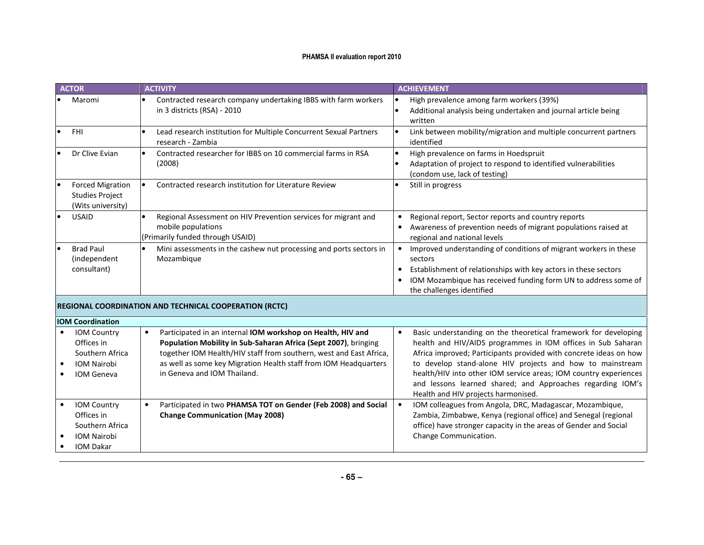| <b>ACTOR</b>                                                                            | <b>ACTIVITY</b>                                                                                                                                                                                                                                                                                                      | <b>ACHIEVEMENT</b>                                                                                                                                                                                                                                                                                                                                                                                                                         |
|-----------------------------------------------------------------------------------------|----------------------------------------------------------------------------------------------------------------------------------------------------------------------------------------------------------------------------------------------------------------------------------------------------------------------|--------------------------------------------------------------------------------------------------------------------------------------------------------------------------------------------------------------------------------------------------------------------------------------------------------------------------------------------------------------------------------------------------------------------------------------------|
| Maromi                                                                                  | Contracted research company undertaking IBBS with farm workers<br>$\bullet$<br>in 3 districts (RSA) - 2010                                                                                                                                                                                                           | High prevalence among farm workers (39%)<br>Additional analysis being undertaken and journal article being<br>written                                                                                                                                                                                                                                                                                                                      |
| <b>FHI</b>                                                                              | Lead research institution for Multiple Concurrent Sexual Partners<br>research - Zambia                                                                                                                                                                                                                               | Link between mobility/migration and multiple concurrent partners<br>identified                                                                                                                                                                                                                                                                                                                                                             |
| Dr Clive Evian                                                                          | Contracted researcher for IBBS on 10 commercial farms in RSA<br>(2008)                                                                                                                                                                                                                                               | High prevalence on farms in Hoedspruit<br>Adaptation of project to respond to identified vulnerabilities<br>(condom use, lack of testing)                                                                                                                                                                                                                                                                                                  |
| <b>Forced Migration</b><br><b>Studies Project</b><br>(Wits university)                  | Contracted research institution for Literature Review                                                                                                                                                                                                                                                                | Still in progress                                                                                                                                                                                                                                                                                                                                                                                                                          |
| <b>USAID</b>                                                                            | Regional Assessment on HIV Prevention services for migrant and<br>mobile populations<br>(Primarily funded through USAID)                                                                                                                                                                                             | Regional report, Sector reports and country reports<br>Awareness of prevention needs of migrant populations raised at<br>regional and national levels                                                                                                                                                                                                                                                                                      |
| <b>Brad Paul</b><br>(independent<br>consultant)                                         | Mini assessments in the cashew nut processing and ports sectors in<br>$\bullet$<br>Mozambique                                                                                                                                                                                                                        | Improved understanding of conditions of migrant workers in these<br>sectors<br>Establishment of relationships with key actors in these sectors<br>IOM Mozambique has received funding form UN to address some of<br>the challenges identified                                                                                                                                                                                              |
|                                                                                         | <b>REGIONAL COORDINATION AND TECHNICAL COOPERATION (RCTC)</b>                                                                                                                                                                                                                                                        |                                                                                                                                                                                                                                                                                                                                                                                                                                            |
| <b>IOM Coordination</b>                                                                 |                                                                                                                                                                                                                                                                                                                      |                                                                                                                                                                                                                                                                                                                                                                                                                                            |
| <b>IOM Country</b><br>Offices in<br>Southern Africa<br><b>IOM Nairobi</b><br>IOM Geneva | Participated in an internal IOM workshop on Health, HIV and<br>$\bullet$<br>Population Mobility in Sub-Saharan Africa (Sept 2007), bringing<br>together IOM Health/HIV staff from southern, west and East Africa,<br>as well as some key Migration Health staff from IOM Headquarters<br>in Geneva and IOM Thailand. | Basic understanding on the theoretical framework for developing<br>health and HIV/AIDS programmes in IOM offices in Sub Saharan<br>Africa improved; Participants provided with concrete ideas on how<br>to develop stand-alone HIV projects and how to mainstream<br>health/HIV into other IOM service areas; IOM country experiences<br>and lessons learned shared; and Approaches regarding IOM's<br>Health and HIV projects harmonised. |
| <b>IOM Country</b><br>Offices in<br>Southern Africa<br>IOM Nairobi<br><b>IOM Dakar</b>  | Participated in two PHAMSA TOT on Gender (Feb 2008) and Social<br><b>Change Communication (May 2008)</b>                                                                                                                                                                                                             | IOM colleagues from Angola, DRC, Madagascar, Mozambique,<br>Zambia, Zimbabwe, Kenya (regional office) and Senegal (regional<br>office) have stronger capacity in the areas of Gender and Social<br>Change Communication.                                                                                                                                                                                                                   |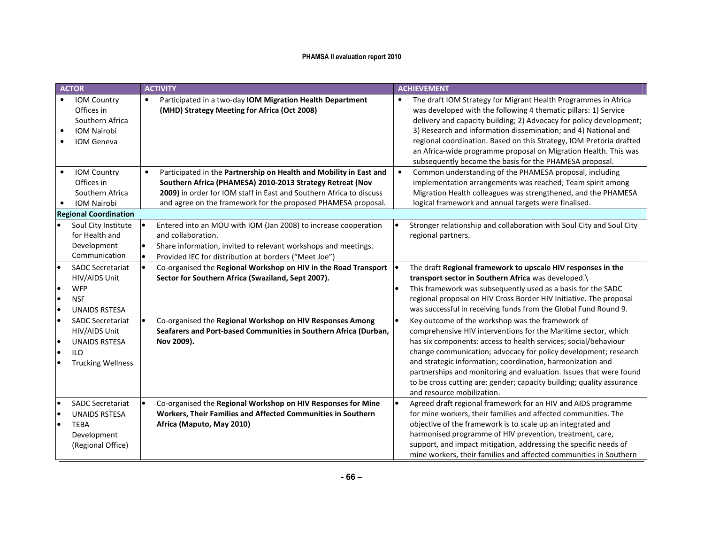| <b>ACTOR</b> |                                                                                                            | <b>ACTIVITY</b>                                                                                                                                                                                                                                                         | <b>ACHIEVEMENT</b>                                                                                                                                                                                                                                                                                                                                                                                                                                                                                  |  |  |
|--------------|------------------------------------------------------------------------------------------------------------|-------------------------------------------------------------------------------------------------------------------------------------------------------------------------------------------------------------------------------------------------------------------------|-----------------------------------------------------------------------------------------------------------------------------------------------------------------------------------------------------------------------------------------------------------------------------------------------------------------------------------------------------------------------------------------------------------------------------------------------------------------------------------------------------|--|--|
| $\bullet$    | IOM Country<br>Offices in<br>Southern Africa<br><b>IOM Nairobi</b><br>IOM Geneva                           | Participated in a two-day IOM Migration Health Department<br>$\bullet$<br>(MHD) Strategy Meeting for Africa (Oct 2008)                                                                                                                                                  | The draft IOM Strategy for Migrant Health Programmes in Africa<br>$\bullet$<br>was developed with the following 4 thematic pillars: 1) Service<br>delivery and capacity building; 2) Advocacy for policy development;<br>3) Research and information dissemination; and 4) National and<br>regional coordination. Based on this Strategy, IOM Pretoria drafted<br>an Africa-wide programme proposal on Migration Health. This was<br>subsequently became the basis for the PHAMESA proposal.        |  |  |
|              | IOM Country<br>Offices in<br>Southern Africa<br><b>IOM Nairobi</b>                                         | Participated in the Partnership on Health and Mobility in East and<br>Southern Africa (PHAMESA) 2010-2013 Strategy Retreat (Nov<br>2009) in order for IOM staff in East and Southern Africa to discuss<br>and agree on the framework for the proposed PHAMESA proposal. | Common understanding of the PHAMESA proposal, including<br>implementation arrangements was reached; Team spirit among<br>Migration Health colleagues was strengthened, and the PHAMESA<br>logical framework and annual targets were finalised.                                                                                                                                                                                                                                                      |  |  |
|              | <b>Regional Coordination</b>                                                                               |                                                                                                                                                                                                                                                                         |                                                                                                                                                                                                                                                                                                                                                                                                                                                                                                     |  |  |
|              | Soul City Institute<br>for Health and<br>Development<br>Communication                                      | Entered into an MOU with IOM (Jan 2008) to increase cooperation<br>and collaboration.<br>Share information, invited to relevant workshops and meetings.<br>Provided IEC for distribution at borders ("Meet Joe")                                                        | Stronger relationship and collaboration with Soul City and Soul City<br>regional partners.                                                                                                                                                                                                                                                                                                                                                                                                          |  |  |
| ١o           | <b>SADC Secretariat</b><br>HIV/AIDS Unit<br><b>WFP</b><br><b>NSF</b><br><b>UNAIDS RSTESA</b>               | Co-organised the Regional Workshop on HIV in the Road Transport<br>Sector for Southern Africa (Swaziland, Sept 2007).                                                                                                                                                   | The draft Regional framework to upscale HIV responses in the<br>transport sector in Southern Africa was developed.\<br>This framework was subsequently used as a basis for the SADC<br>regional proposal on HIV Cross Border HIV Initiative. The proposal<br>was successful in receiving funds from the Global Fund Round 9.                                                                                                                                                                        |  |  |
| le<br>١o     | <b>SADC Secretariat</b><br>HIV/AIDS Unit<br><b>UNAIDS RSTESA</b><br><b>ILO</b><br><b>Trucking Wellness</b> | Co-organised the Regional Workshop on HIV Responses Among<br>Seafarers and Port-based Communities in Southern Africa (Durban,<br>Nov 2009).                                                                                                                             | Key outcome of the workshop was the framework of<br>comprehensive HIV interventions for the Maritime sector, which<br>has six components: access to health services; social/behaviour<br>change communication; advocacy for policy development; research<br>and strategic information; coordination, harmonization and<br>partnerships and monitoring and evaluation. Issues that were found<br>to be cross cutting are: gender; capacity building; quality assurance<br>and resource mobilization. |  |  |
| le           | <b>SADC Secretariat</b><br><b>UNAIDS RSTESA</b><br><b>TEBA</b><br>Development<br>(Regional Office)         | Co-organised the Regional Workshop on HIV Responses for Mine<br>Workers, Their Families and Affected Communities in Southern<br>Africa (Maputo, May 2010)                                                                                                               | Agreed draft regional framework for an HIV and AIDS programme<br>for mine workers, their families and affected communities. The<br>objective of the framework is to scale up an integrated and<br>harmonised programme of HIV prevention, treatment, care,<br>support, and impact mitigation, addressing the specific needs of<br>mine workers, their families and affected communities in Southern                                                                                                 |  |  |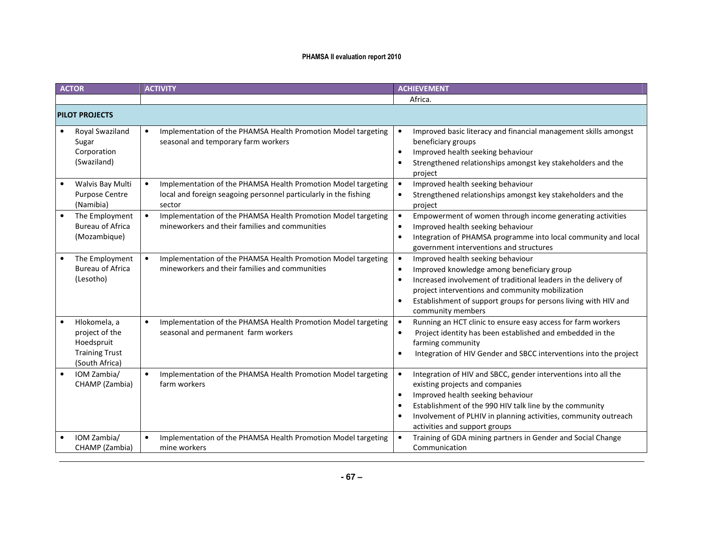| <b>ACTOR</b>                                                                            | <b>ACTIVITY</b>                                                                                                                             | <b>ACHIEVEMENT</b>                                                                                                                                                                                                                                                                                                                                        |  |  |  |
|-----------------------------------------------------------------------------------------|---------------------------------------------------------------------------------------------------------------------------------------------|-----------------------------------------------------------------------------------------------------------------------------------------------------------------------------------------------------------------------------------------------------------------------------------------------------------------------------------------------------------|--|--|--|
|                                                                                         |                                                                                                                                             | Africa.                                                                                                                                                                                                                                                                                                                                                   |  |  |  |
| <b>PILOT PROJECTS</b>                                                                   |                                                                                                                                             |                                                                                                                                                                                                                                                                                                                                                           |  |  |  |
| Royal Swaziland<br>Sugar<br>Corporation<br>(Swaziland)                                  | Implementation of the PHAMSA Health Promotion Model targeting<br>$\bullet$<br>seasonal and temporary farm workers                           | Improved basic literacy and financial management skills amongst<br>beneficiary groups<br>Improved health seeking behaviour<br>$\bullet$<br>Strengthened relationships amongst key stakeholders and the<br>$\bullet$<br>project                                                                                                                            |  |  |  |
| Walvis Bay Multi<br>Purpose Centre<br>(Namibia)                                         | Implementation of the PHAMSA Health Promotion Model targeting<br>local and foreign seagoing personnel particularly in the fishing<br>sector | Improved health seeking behaviour<br>$\bullet$<br>Strengthened relationships amongst key stakeholders and the<br>project                                                                                                                                                                                                                                  |  |  |  |
| The Employment<br><b>Bureau of Africa</b><br>(Mozambique)                               | Implementation of the PHAMSA Health Promotion Model targeting<br>mineworkers and their families and communities                             | Empowerment of women through income generating activities<br>Improved health seeking behaviour<br>$\bullet$<br>Integration of PHAMSA programme into local community and local<br>$\bullet$<br>government interventions and structures                                                                                                                     |  |  |  |
| The Employment<br><b>Bureau of Africa</b><br>(Lesotho)                                  | Implementation of the PHAMSA Health Promotion Model targeting<br>mineworkers and their families and communities                             | Improved health seeking behaviour<br>$\bullet$<br>Improved knowledge among beneficiary group<br>$\bullet$<br>Increased involvement of traditional leaders in the delivery of<br>$\bullet$<br>project interventions and community mobilization<br>Establishment of support groups for persons living with HIV and<br>$\bullet$<br>community members        |  |  |  |
| Hlokomela, a<br>project of the<br>Hoedspruit<br><b>Training Trust</b><br>(South Africa) | Implementation of the PHAMSA Health Promotion Model targeting<br>seasonal and permanent farm workers                                        | Running an HCT clinic to ensure easy access for farm workers<br>Project identity has been established and embedded in the<br>$\bullet$<br>farming community<br>Integration of HIV Gender and SBCC interventions into the project<br>$\bullet$                                                                                                             |  |  |  |
| $\bullet$<br>IOM Zambia/<br>CHAMP (Zambia)                                              | Implementation of the PHAMSA Health Promotion Model targeting<br>$\bullet$<br>farm workers                                                  | Integration of HIV and SBCC, gender interventions into all the<br>$\bullet$<br>existing projects and companies<br>Improved health seeking behaviour<br>$\bullet$<br>Establishment of the 990 HIV talk line by the community<br>$\bullet$<br>Involvement of PLHIV in planning activities, community outreach<br>$\bullet$<br>activities and support groups |  |  |  |
| IOM Zambia/<br>CHAMP (Zambia)                                                           | Implementation of the PHAMSA Health Promotion Model targeting<br>mine workers                                                               | Training of GDA mining partners in Gender and Social Change<br>Communication                                                                                                                                                                                                                                                                              |  |  |  |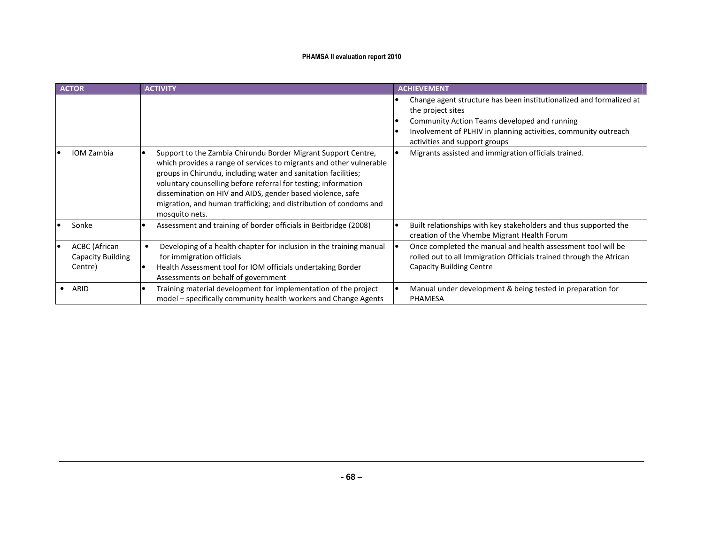| <b>ACTOR</b>                                                | <b>ACTIVITY</b>                                                                                                                                                                                                                                                                                                                                                                                             | <b>ACHIEVEMENT</b>                                                                                                                                                                                                                                                                                   |
|-------------------------------------------------------------|-------------------------------------------------------------------------------------------------------------------------------------------------------------------------------------------------------------------------------------------------------------------------------------------------------------------------------------------------------------------------------------------------------------|------------------------------------------------------------------------------------------------------------------------------------------------------------------------------------------------------------------------------------------------------------------------------------------------------|
| <b>IOM Zambia</b>                                           | Support to the Zambia Chirundu Border Migrant Support Centre,<br>which provides a range of services to migrants and other vulnerable<br>groups in Chirundu, including water and sanitation facilities;<br>voluntary counselling before referral for testing; information<br>dissemination on HIV and AIDS, gender based violence, safe<br>migration, and human trafficking; and distribution of condoms and | Change agent structure has been institutionalized and formalized at<br>the project sites<br>Community Action Teams developed and running<br>Involvement of PLHIV in planning activities, community outreach<br>activities and support groups<br>Migrants assisted and immigration officials trained. |
|                                                             | mosquito nets.                                                                                                                                                                                                                                                                                                                                                                                              |                                                                                                                                                                                                                                                                                                      |
| Sonke                                                       | Assessment and training of border officials in Beitbridge (2008)                                                                                                                                                                                                                                                                                                                                            | Built relationships with key stakeholders and thus supported the<br>creation of the Vhembe Migrant Health Forum                                                                                                                                                                                      |
| <b>ACBC</b> (African<br><b>Capacity Building</b><br>Centre) | Developing of a health chapter for inclusion in the training manual<br>for immigration officials<br>Health Assessment tool for IOM officials undertaking Border<br>Assessments on behalf of government                                                                                                                                                                                                      | Once completed the manual and health assessment tool will be<br>rolled out to all Immigration Officials trained through the African<br><b>Capacity Building Centre</b>                                                                                                                               |
| ARID                                                        | Training material development for implementation of the project<br>model – specifically community health workers and Change Agents                                                                                                                                                                                                                                                                          | Manual under development & being tested in preparation for<br><b>PHAMESA</b>                                                                                                                                                                                                                         |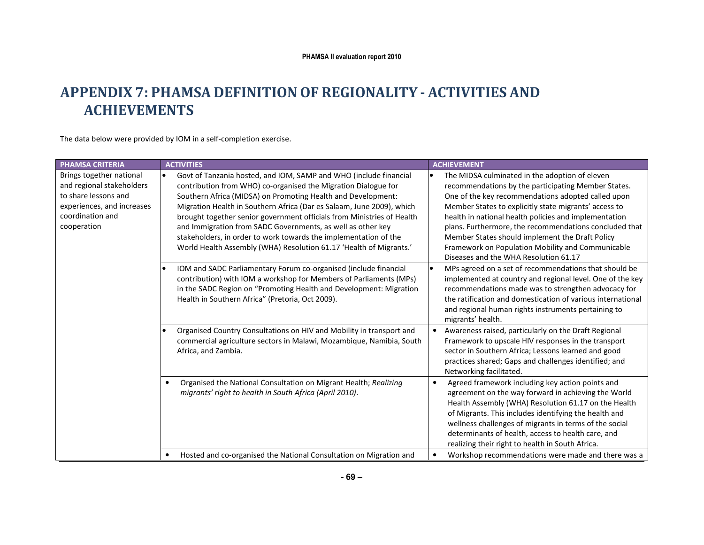# APPENDIX 7: PHAMSA DEFINITION OF REGIONALITY - ACTIVITIES ANDACHIEVEMENTS

The data below were provided by IOM in a self-completion exercise.

| <b>PHAMSA CRITERIA</b>                                                                                                                         | <b>ACTIVITIES</b>                                                                                                                                                                                                                                                                                                                                                                                                                                                                                                                                               | <b>ACHIEVEMENT</b>                                                                                                                                                                                                                                                                                                                                                                                                                                                                       |
|------------------------------------------------------------------------------------------------------------------------------------------------|-----------------------------------------------------------------------------------------------------------------------------------------------------------------------------------------------------------------------------------------------------------------------------------------------------------------------------------------------------------------------------------------------------------------------------------------------------------------------------------------------------------------------------------------------------------------|------------------------------------------------------------------------------------------------------------------------------------------------------------------------------------------------------------------------------------------------------------------------------------------------------------------------------------------------------------------------------------------------------------------------------------------------------------------------------------------|
| Brings together national<br>and regional stakeholders<br>to share lessons and<br>experiences, and increases<br>coordination and<br>cooperation | Govt of Tanzania hosted, and IOM, SAMP and WHO (include financial<br>contribution from WHO) co-organised the Migration Dialogue for<br>Southern Africa (MIDSA) on Promoting Health and Development:<br>Migration Health in Southern Africa (Dar es Salaam, June 2009), which<br>brought together senior government officials from Ministries of Health<br>and Immigration from SADC Governments, as well as other key<br>stakeholders, in order to work towards the implementation of the<br>World Health Assembly (WHA) Resolution 61.17 'Health of Migrants.' | The MIDSA culminated in the adoption of eleven<br>recommendations by the participating Member States.<br>One of the key recommendations adopted called upon<br>Member States to explicitly state migrants' access to<br>health in national health policies and implementation<br>plans. Furthermore, the recommendations concluded that<br>Member States should implement the Draft Policy<br>Framework on Population Mobility and Communicable<br>Diseases and the WHA Resolution 61.17 |
|                                                                                                                                                | IOM and SADC Parliamentary Forum co-organised (include financial<br>contribution) with IOM a workshop for Members of Parliaments (MPs)<br>in the SADC Region on "Promoting Health and Development: Migration<br>Health in Southern Africa" (Pretoria, Oct 2009).                                                                                                                                                                                                                                                                                                | MPs agreed on a set of recommendations that should be<br>implemented at country and regional level. One of the key<br>recommendations made was to strengthen advocacy for<br>the ratification and domestication of various international<br>and regional human rights instruments pertaining to<br>migrants' health.                                                                                                                                                                     |
|                                                                                                                                                | Organised Country Consultations on HIV and Mobility in transport and<br>commercial agriculture sectors in Malawi, Mozambique, Namibia, South<br>Africa, and Zambia.                                                                                                                                                                                                                                                                                                                                                                                             | Awareness raised, particularly on the Draft Regional<br>Framework to upscale HIV responses in the transport<br>sector in Southern Africa; Lessons learned and good<br>practices shared; Gaps and challenges identified; and<br>Networking facilitated.                                                                                                                                                                                                                                   |
|                                                                                                                                                | Organised the National Consultation on Migrant Health; Realizing<br>migrants' right to health in South Africa (April 2010).                                                                                                                                                                                                                                                                                                                                                                                                                                     | Agreed framework including key action points and<br>$\bullet$<br>agreement on the way forward in achieving the World<br>Health Assembly (WHA) Resolution 61.17 on the Health<br>of Migrants. This includes identifying the health and<br>wellness challenges of migrants in terms of the social<br>determinants of health, access to health care, and<br>realizing their right to health in South Africa.                                                                                |
|                                                                                                                                                | Hosted and co-organised the National Consultation on Migration and                                                                                                                                                                                                                                                                                                                                                                                                                                                                                              | Workshop recommendations were made and there was a                                                                                                                                                                                                                                                                                                                                                                                                                                       |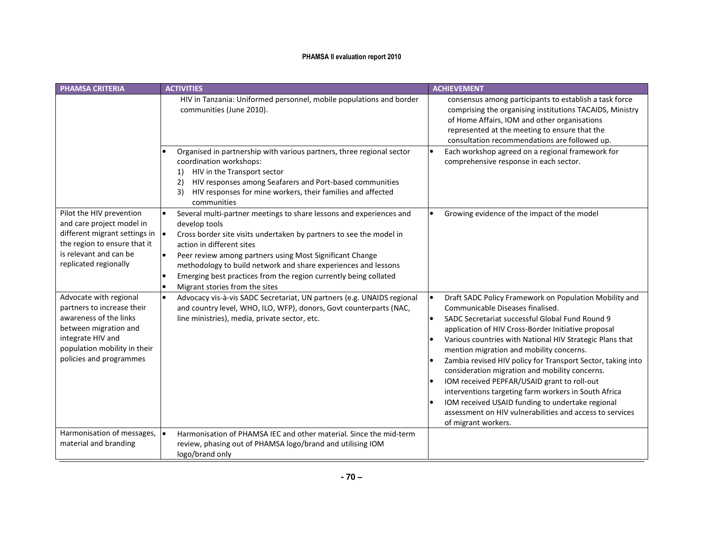| <b>PHAMSA CRITERIA</b>                                                                                                                                                                          | <b>ACTIVITIES</b>                                                                                                                                                                                                                                                                                                                                                                                                                         | <b>ACHIEVEMENT</b>                                                                                                                                                                                                                                                                                                                                                                                                                                                                                                                                                                                                                                                          |
|-------------------------------------------------------------------------------------------------------------------------------------------------------------------------------------------------|-------------------------------------------------------------------------------------------------------------------------------------------------------------------------------------------------------------------------------------------------------------------------------------------------------------------------------------------------------------------------------------------------------------------------------------------|-----------------------------------------------------------------------------------------------------------------------------------------------------------------------------------------------------------------------------------------------------------------------------------------------------------------------------------------------------------------------------------------------------------------------------------------------------------------------------------------------------------------------------------------------------------------------------------------------------------------------------------------------------------------------------|
|                                                                                                                                                                                                 | HIV in Tanzania: Uniformed personnel, mobile populations and border<br>communities (June 2010).                                                                                                                                                                                                                                                                                                                                           | consensus among participants to establish a task force<br>comprising the organising institutions TACAIDS, Ministry<br>of Home Affairs, IOM and other organisations<br>represented at the meeting to ensure that the<br>consultation recommendations are followed up.                                                                                                                                                                                                                                                                                                                                                                                                        |
|                                                                                                                                                                                                 | Organised in partnership with various partners, three regional sector<br>coordination workshops:<br>HIV in the Transport sector<br>1)<br>HIV responses among Seafarers and Port-based communities<br>2)<br>HIV responses for mine workers, their families and affected<br>3)<br>communities                                                                                                                                               | Each workshop agreed on a regional framework for<br>comprehensive response in each sector.                                                                                                                                                                                                                                                                                                                                                                                                                                                                                                                                                                                  |
| Pilot the HIV prevention<br>and care project model in<br>different migrant settings in $\vert \bullet \vert$<br>the region to ensure that it<br>is relevant and can be<br>replicated regionally | Several multi-partner meetings to share lessons and experiences and<br>develop tools<br>Cross border site visits undertaken by partners to see the model in<br>action in different sites<br>Peer review among partners using Most Significant Change<br>$\bullet$<br>methodology to build network and share experiences and lessons<br>Emerging best practices from the region currently being collated<br>Migrant stories from the sites | Growing evidence of the impact of the model                                                                                                                                                                                                                                                                                                                                                                                                                                                                                                                                                                                                                                 |
| Advocate with regional<br>partners to increase their<br>awareness of the links<br>between migration and<br>integrate HIV and<br>population mobility in their<br>policies and programmes         | Advocacy vis-à-vis SADC Secretariat, UN partners (e.g. UNAIDS regional<br>$\bullet$<br>and country level, WHO, ILO, WFP), donors, Govt counterparts (NAC,<br>line ministries), media, private sector, etc.                                                                                                                                                                                                                                | Draft SADC Policy Framework on Population Mobility and<br>Communicable Diseases finalised.<br>SADC Secretariat successful Global Fund Round 9<br>application of HIV Cross-Border Initiative proposal<br>Various countries with National HIV Strategic Plans that<br>mention migration and mobility concerns.<br>Zambia revised HIV policy for Transport Sector, taking into<br>consideration migration and mobility concerns.<br>IOM received PEPFAR/USAID grant to roll-out<br>interventions targeting farm workers in South Africa<br>IOM received USAID funding to undertake regional<br>assessment on HIV vulnerabilities and access to services<br>of migrant workers. |
| Harmonisation of messages,<br>material and branding                                                                                                                                             | Harmonisation of PHAMSA IEC and other material. Since the mid-term<br>review, phasing out of PHAMSA logo/brand and utilising IOM<br>logo/brand only                                                                                                                                                                                                                                                                                       |                                                                                                                                                                                                                                                                                                                                                                                                                                                                                                                                                                                                                                                                             |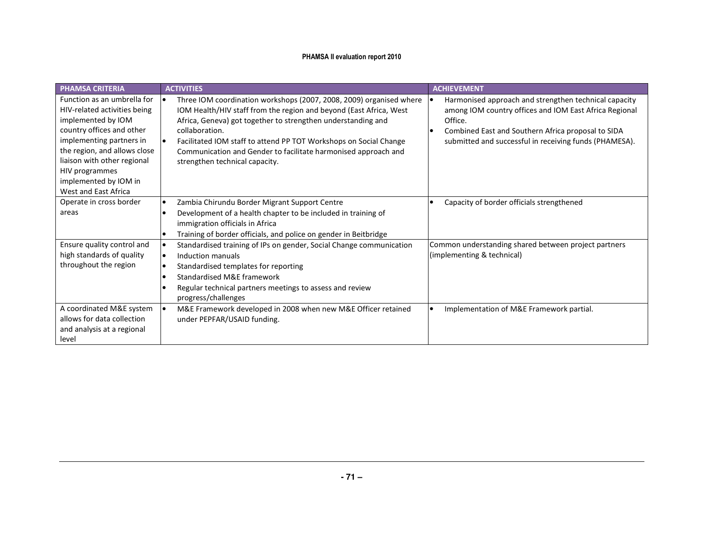| <b>PHAMSA CRITERIA</b>                                                                                                                                                                                                                                                       | <b>ACTIVITIES</b>                                                                                                                                                                                                                                                                                                                                                                                    | <b>ACHIEVEMENT</b>                                                                                                                                                                                                                         |  |  |
|------------------------------------------------------------------------------------------------------------------------------------------------------------------------------------------------------------------------------------------------------------------------------|------------------------------------------------------------------------------------------------------------------------------------------------------------------------------------------------------------------------------------------------------------------------------------------------------------------------------------------------------------------------------------------------------|--------------------------------------------------------------------------------------------------------------------------------------------------------------------------------------------------------------------------------------------|--|--|
| Function as an umbrella for<br>HIV-related activities being<br>implemented by IOM<br>country offices and other<br>implementing partners in<br>the region, and allows close<br>liaison with other regional<br>HIV programmes<br>implemented by IOM in<br>West and East Africa | Three IOM coordination workshops (2007, 2008, 2009) organised where<br>IOM Health/HIV staff from the region and beyond (East Africa, West<br>Africa, Geneva) got together to strengthen understanding and<br>collaboration.<br>Facilitated IOM staff to attend PP TOT Workshops on Social Change<br>Communication and Gender to facilitate harmonised approach and<br>strengthen technical capacity. | Harmonised approach and strengthen technical capacity<br>among IOM country offices and IOM East Africa Regional<br>Office.<br>Combined East and Southern Africa proposal to SIDA<br>submitted and successful in receiving funds (PHAMESA). |  |  |
| Operate in cross border<br>areas                                                                                                                                                                                                                                             | Zambia Chirundu Border Migrant Support Centre<br>Development of a health chapter to be included in training of<br>immigration officials in Africa<br>Training of border officials, and police on gender in Beitbridge                                                                                                                                                                                | Capacity of border officials strengthened                                                                                                                                                                                                  |  |  |
| Ensure quality control and<br>high standards of quality<br>throughout the region                                                                                                                                                                                             | Standardised training of IPs on gender, Social Change communication<br>Induction manuals<br>Standardised templates for reporting<br><b>Standardised M&amp;E framework</b><br>Regular technical partners meetings to assess and review<br>progress/challenges                                                                                                                                         | Common understanding shared between project partners<br>(implementing & technical)                                                                                                                                                         |  |  |
| A coordinated M&E system<br>allows for data collection<br>and analysis at a regional<br>level                                                                                                                                                                                | M&E Framework developed in 2008 when new M&E Officer retained<br>under PEPFAR/USAID funding.                                                                                                                                                                                                                                                                                                         | Implementation of M&E Framework partial.                                                                                                                                                                                                   |  |  |